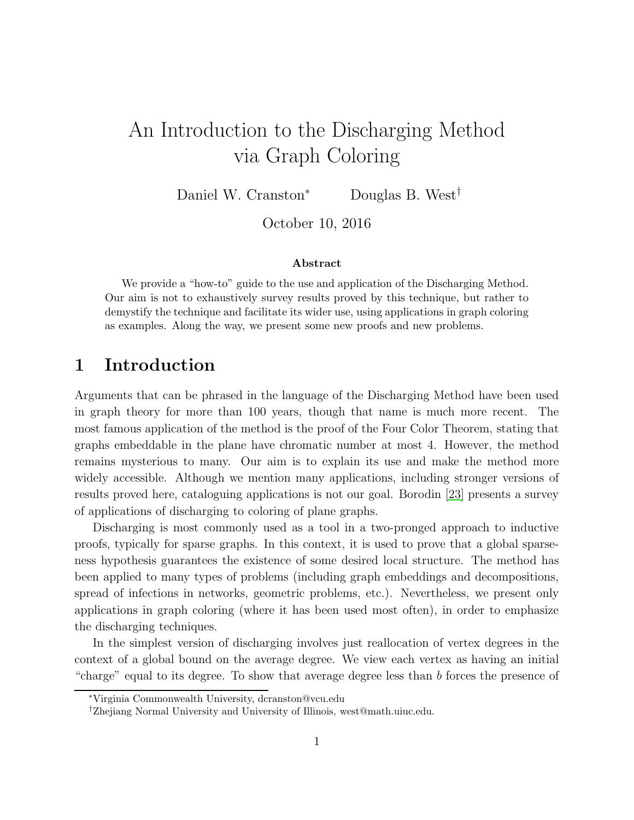# An Introduction to the Discharging Method via Graph Coloring

Daniel W. Cranston<sup>∗</sup> Douglas B. West†

October 10, 2016

#### Abstract

We provide a "how-to" guide to the use and application of the Discharging Method. Our aim is not to exhaustively survey results proved by this technique, but rather to demystify the technique and facilitate its wider use, using applications in graph coloring as examples. Along the way, we present some new proofs and new problems.

## 1 Introduction

Arguments that can be phrased in the language of the Discharging Method have been used in graph theory for more than 100 years, though that name is much more recent. The most famous application of the method is the proof of the Four Color Theorem, stating that graphs embeddable in the plane have chromatic number at most 4. However, the method remains mysterious to many. Our aim is to explain its use and make the method more widely accessible. Although we mention many applications, including stronger versions of results proved here, cataloguing applications is not our goal. Borodin [\[23\]](#page-44-0) presents a survey of applications of discharging to coloring of plane graphs.

Discharging is most commonly used as a tool in a two-pronged approach to inductive proofs, typically for sparse graphs. In this context, it is used to prove that a global sparseness hypothesis guarantees the existence of some desired local structure. The method has been applied to many types of problems (including graph embeddings and decompositions, spread of infections in networks, geometric problems, etc.). Nevertheless, we present only applications in graph coloring (where it has been used most often), in order to emphasize the discharging techniques.

In the simplest version of discharging involves just reallocation of vertex degrees in the context of a global bound on the average degree. We view each vertex as having an initial "charge" equal to its degree. To show that average degree less than b forces the presence of

<sup>∗</sup>Virginia Commonwealth University, dcranston@vcu.edu

<sup>†</sup>Zhejiang Normal University and University of Illinois, west@math.uiuc.edu.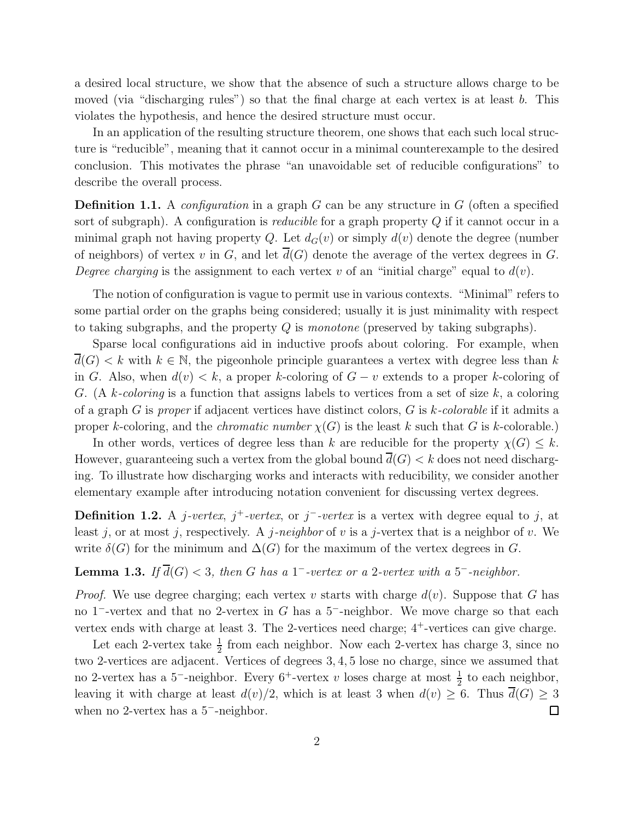a desired local structure, we show that the absence of such a structure allows charge to be moved (via "discharging rules") so that the final charge at each vertex is at least  $b$ . This violates the hypothesis, and hence the desired structure must occur.

In an application of the resulting structure theorem, one shows that each such local structure is "reducible", meaning that it cannot occur in a minimal counterexample to the desired conclusion. This motivates the phrase "an unavoidable set of reducible configurations" to describe the overall process.

**Definition 1.1.** A *configuration* in a graph  $G$  can be any structure in  $G$  (often a specified sort of subgraph). A configuration is *reducible* for a graph property  $Q$  if it cannot occur in a minimal graph not having property Q. Let  $d_G(v)$  or simply  $d(v)$  denote the degree (number of neighbors) of vertex v in G, and let  $\overline{d}(G)$  denote the average of the vertex degrees in G. Degree charging is the assignment to each vertex v of an "initial charge" equal to  $d(v)$ .

The notion of configuration is vague to permit use in various contexts. "Minimal" refers to some partial order on the graphs being considered; usually it is just minimality with respect to taking subgraphs, and the property Q is monotone (preserved by taking subgraphs).

Sparse local configurations aid in inductive proofs about coloring. For example, when  $d(G) < k$  with  $k \in \mathbb{N}$ , the pigeonhole principle guarantees a vertex with degree less than k in G. Also, when  $d(v) < k$ , a proper k-coloring of  $G - v$  extends to a proper k-coloring of G. (A k-coloring is a function that assigns labels to vertices from a set of size  $k$ , a coloring of a graph G is proper if adjacent vertices have distinct colors, G is  $k$ -colorable if it admits a proper k-coloring, and the *chromatic number*  $\chi(G)$  is the least k such that G is k-colorable.)

In other words, vertices of degree less than k are reducible for the property  $\chi(G) \leq k$ . However, guaranteeing such a vertex from the global bound  $d(G) < k$  does not need discharging. To illustrate how discharging works and interacts with reducibility, we consider another elementary example after introducing notation convenient for discussing vertex degrees.

**Definition 1.2.** A *j*-vertex,  $j^+$ -vertex, or  $j^-$ -vertex is a vertex with degree equal to j, at least j, or at most j, respectively. A j-neighbor of v is a j-vertex that is a neighbor of v. We write  $\delta(G)$  for the minimum and  $\Delta(G)$  for the maximum of the vertex degrees in G.

#### <span id="page-1-0"></span>**Lemma 1.3.** If  $\overline{d}(G) < 3$ , then G has a 1<sup>-</sup>-vertex or a 2-vertex with a 5<sup>-</sup>-neighbor.

*Proof.* We use degree charging; each vertex v starts with charge  $d(v)$ . Suppose that G has no 1<sup>-</sup>-vertex and that no 2-vertex in G has a 5<sup>-</sup>-neighbor. We move charge so that each vertex ends with charge at least 3. The 2-vertices need charge;  $4^+$ -vertices can give charge.

Let each 2-vertex take  $\frac{1}{2}$  from each neighbor. Now each 2-vertex has charge 3, since no two 2-vertices are adjacent. Vertices of degrees 3, 4, 5 lose no charge, since we assumed that no 2-vertex has a 5<sup>--</sup>neighbor. Every 6<sup>+</sup>-vertex v loses charge at most  $\frac{1}{2}$  to each neighbor, leaving it with charge at least  $d(v)/2$ , which is at least 3 when  $d(v) \geq 6$ . Thus  $\overline{d}(G) \geq 3$ when no 2-vertex has a 5<sup>−</sup>-neighbor.  $\Box$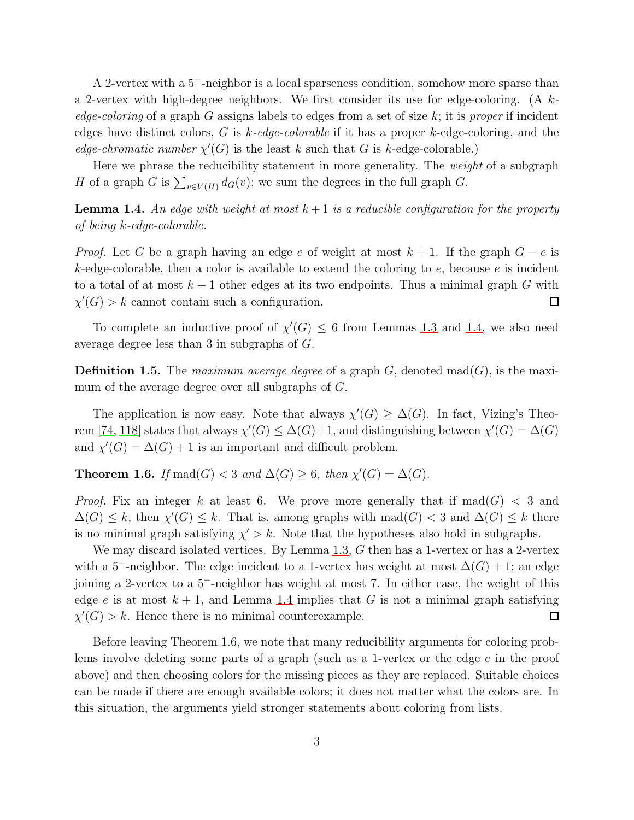A 2-vertex with a 5<sup>−</sup>-neighbor is a local sparseness condition, somehow more sparse than a 2-vertex with high-degree neighbors. We first consider its use for edge-coloring. (A  $k$ edge-coloring of a graph G assigns labels to edges from a set of size  $k$ ; it is proper if incident edges have distinct colors, G is  $k$ -edge-colorable if it has a proper k-edge-coloring, and the edge-chromatic number  $\chi'(G)$  is the least k such that G is k-edge-colorable.)

Here we phrase the reducibility statement in more generality. The *weight* of a subgraph H of a graph G is  $\sum_{v \in V(H)} d_G(v)$ ; we sum the degrees in the full graph G.

<span id="page-2-0"></span>**Lemma 1.4.** An edge with weight at most  $k+1$  is a reducible configuration for the property of being k-edge-colorable.

*Proof.* Let G be a graph having an edge e of weight at most  $k + 1$ . If the graph  $G - e$  is k-edge-colorable, then a color is available to extend the coloring to  $e$ , because  $e$  is incident to a total of at most  $k-1$  other edges at its two endpoints. Thus a minimal graph G with  $\chi'(G) > k$  cannot contain such a configuration.  $\Box$ 

To complete an inductive proof of  $\chi'(G) \leq 6$  from Lemmas [1.3](#page-1-0) and [1.4,](#page-2-0) we also need average degree less than 3 in subgraphs of G.

**Definition 1.5.** The maximum average degree of a graph  $G$ , denoted mad $(G)$ , is the maximum of the average degree over all subgraphs of G.

The application is now easy. Note that always  $\chi'(G) \geq \Delta(G)$ . In fact, Vizing's Theo-rem [\[74,](#page-47-0) [118\]](#page-49-0) states that always  $\chi'(G) \leq \Delta(G) + 1$ , and distinguishing between  $\chi'(G) = \Delta(G)$ and  $\chi'(G) = \Delta(G) + 1$  is an important and difficult problem.

<span id="page-2-1"></span>**Theorem 1.6.** If mad $(G) < 3$  and  $\Delta(G) \geq 6$ , then  $\chi'(G) = \Delta(G)$ .

*Proof.* Fix an integer k at least 6. We prove more generally that if  $\text{mad}(G) < 3$  and  $\Delta(G) \leq k$ , then  $\chi'(G) \leq k$ . That is, among graphs with mad $(G) < 3$  and  $\Delta(G) \leq k$  there is no minimal graph satisfying  $\chi' > k$ . Note that the hypotheses also hold in subgraphs.

We may discard isolated vertices. By Lemma [1.3,](#page-1-0) G then has a 1-vertex or has a 2-vertex with a 5<sup>-</sup>-neighbor. The edge incident to a 1-vertex has weight at most  $\Delta(G) + 1$ ; an edge joining a 2-vertex to a 5<sup>−</sup>-neighbor has weight at most 7. In either case, the weight of this edge e is at most  $k + 1$ , and Lemma [1.4](#page-2-0) implies that G is not a minimal graph satisfying  $\chi'(G) > k$ . Hence there is no minimal counterexample.  $\Box$ 

Before leaving Theorem [1.6,](#page-2-1) we note that many reducibility arguments for coloring problems involve deleting some parts of a graph (such as a 1-vertex or the edge  $e$  in the proof above) and then choosing colors for the missing pieces as they are replaced. Suitable choices can be made if there are enough available colors; it does not matter what the colors are. In this situation, the arguments yield stronger statements about coloring from lists.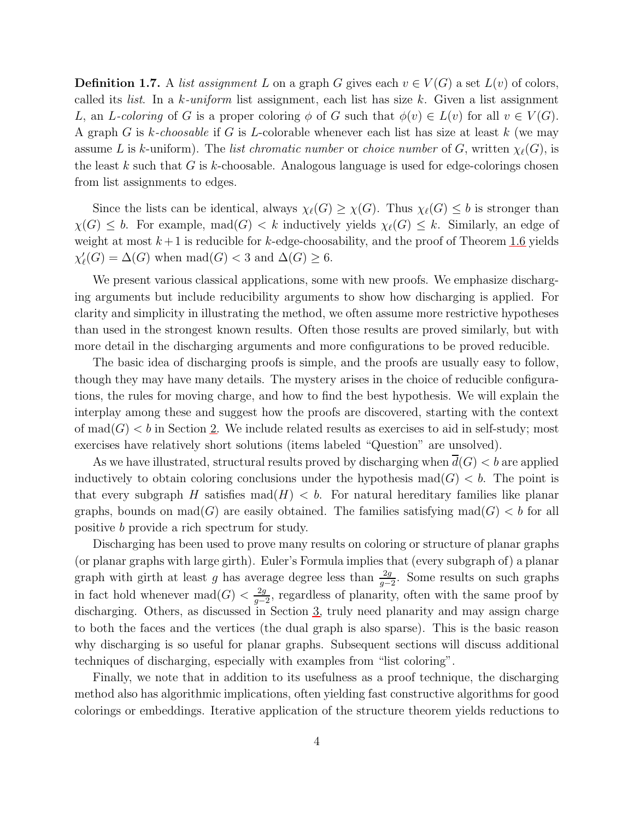<span id="page-3-0"></span>**Definition 1.7.** A list assignment L on a graph G gives each  $v \in V(G)$  a set  $L(v)$  of colors, called its *list*. In a k-uniform list assignment, each list has size k. Given a list assignment L, an L-coloring of G is a proper coloring  $\phi$  of G such that  $\phi(v) \in L(v)$  for all  $v \in V(G)$ . A graph G is k-choosable if G is L-colorable whenever each list has size at least  $k$  (we may assume L is k-uniform). The list chromatic number or choice number of G, written  $\chi_{\ell}(G)$ , is the least k such that  $G$  is k-choosable. Analogous language is used for edge-colorings chosen from list assignments to edges.

Since the lists can be identical, always  $\chi_{\ell}(G) \geq \chi(G)$ . Thus  $\chi_{\ell}(G) \leq b$  is stronger than  $\chi(G) \leq b$ . For example, mad $(G) < k$  inductively yields  $\chi_{\ell}(G) \leq k$ . Similarly, an edge of weight at most  $k+1$  is reducible for k-edge-choosability, and the proof of Theorem [1.6](#page-2-1) yields  $\chi'_{\ell}(G) = \Delta(G)$  when mad $(G) < 3$  and  $\Delta(G) \geq 6$ .

We present various classical applications, some with new proofs. We emphasize discharging arguments but include reducibility arguments to show how discharging is applied. For clarity and simplicity in illustrating the method, we often assume more restrictive hypotheses than used in the strongest known results. Often those results are proved similarly, but with more detail in the discharging arguments and more configurations to be proved reducible.

The basic idea of discharging proofs is simple, and the proofs are usually easy to follow, though they may have many details. The mystery arises in the choice of reducible configurations, the rules for moving charge, and how to find the best hypothesis. We will explain the interplay among these and suggest how the proofs are discovered, starting with the context of  $\text{mad}(G) < b$  in Section [2.](#page-4-0) We include related results as exercises to aid in self-study; most exercises have relatively short solutions (items labeled "Question" are unsolved).

As we have illustrated, structural results proved by discharging when  $\overline{d}(G) < b$  are applied inductively to obtain coloring conclusions under the hypothesis mad( $G$ ) **. The point is** that every subgraph H satisfies  $\text{mad}(H) < b$ . For natural hereditary families like planar graphs, bounds on  $\text{mad}(G)$  are easily obtained. The families satisfying  $\text{mad}(G) < b$  for all positive b provide a rich spectrum for study.

Discharging has been used to prove many results on coloring or structure of planar graphs (or planar graphs with large girth). Euler's Formula implies that (every subgraph of) a planar graph with girth at least g has average degree less than  $\frac{2g}{g-2}$ . Some results on such graphs in fact hold whenever mad $(G) < \frac{2g}{g}$  $\frac{2g}{g-2}$ , regardless of planarity, often with the same proof by discharging. Others, as discussed in Section [3,](#page-12-0) truly need planarity and may assign charge to both the faces and the vertices (the dual graph is also sparse). This is the basic reason why discharging is so useful for planar graphs. Subsequent sections will discuss additional techniques of discharging, especially with examples from "list coloring".

Finally, we note that in addition to its usefulness as a proof technique, the discharging method also has algorithmic implications, often yielding fast constructive algorithms for good colorings or embeddings. Iterative application of the structure theorem yields reductions to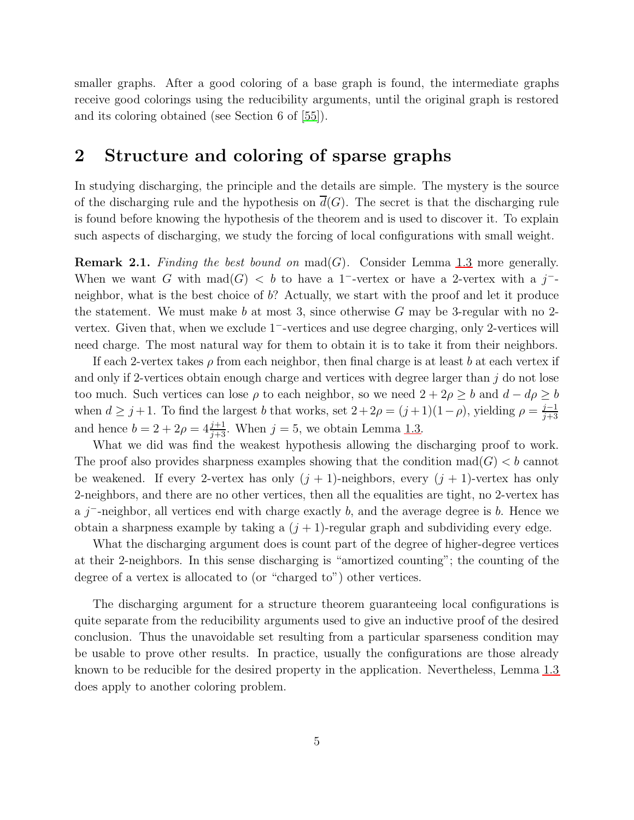smaller graphs. After a good coloring of a base graph is found, the intermediate graphs receive good colorings using the reducibility arguments, until the original graph is restored and its coloring obtained (see Section 6 of [\[55\]](#page-46-0)).

## <span id="page-4-0"></span>2 Structure and coloring of sparse graphs

In studying discharging, the principle and the details are simple. The mystery is the source of the discharging rule and the hypothesis on  $d(G)$ . The secret is that the discharging rule is found before knowing the hypothesis of the theorem and is used to discover it. To explain such aspects of discharging, we study the forcing of local configurations with small weight.

<span id="page-4-1"></span>**Remark 2.1.** Finding the best bound on  $\text{mad}(G)$ . Consider Lemma [1.3](#page-1-0) more generally. When we want G with mad(G) < b to have a 1<sup>-</sup>-vertex or have a 2-vertex with a  $j^$ neighbor, what is the best choice of b? Actually, we start with the proof and let it produce the statement. We must make b at most 3, since otherwise G may be 3-regular with no 2vertex. Given that, when we exclude 1<sup>−</sup>-vertices and use degree charging, only 2-vertices will need charge. The most natural way for them to obtain it is to take it from their neighbors.

If each 2-vertex takes  $\rho$  from each neighbor, then final charge is at least b at each vertex if and only if 2-vertices obtain enough charge and vertices with degree larger than  $j$  do not lose too much. Such vertices can lose  $\rho$  to each neighbor, so we need  $2 + 2\rho \ge b$  and  $d - d\rho \ge b$ when  $d \geq j+1$ . To find the largest b that works, set  $2+2\rho = (j+1)(1-\rho)$ , yielding  $\rho = \frac{j-1}{j+2}$  $j+3$ and hence  $b = 2 + 2\rho = 4\frac{j+1}{j+3}$ . When  $j = 5$ , we obtain Lemma [1.3.](#page-1-0)

What we did was find the weakest hypothesis allowing the discharging proof to work. The proof also provides sharpness examples showing that the condition  $\text{mad}(G) < b$  cannot be weakened. If every 2-vertex has only  $(j + 1)$ -neighbors, every  $(j + 1)$ -vertex has only 2-neighbors, and there are no other vertices, then all the equalities are tight, no 2-vertex has a j<sup>-</sup>-neighbor, all vertices end with charge exactly b, and the average degree is b. Hence we obtain a sharpness example by taking a  $(j + 1)$ -regular graph and subdividing every edge.

What the discharging argument does is count part of the degree of higher-degree vertices at their 2-neighbors. In this sense discharging is "amortized counting"; the counting of the degree of a vertex is allocated to (or "charged to") other vertices.

The discharging argument for a structure theorem guaranteeing local configurations is quite separate from the reducibility arguments used to give an inductive proof of the desired conclusion. Thus the unavoidable set resulting from a particular sparseness condition may be usable to prove other results. In practice, usually the configurations are those already known to be reducible for the desired property in the application. Nevertheless, Lemma [1.3](#page-1-0) does apply to another coloring problem.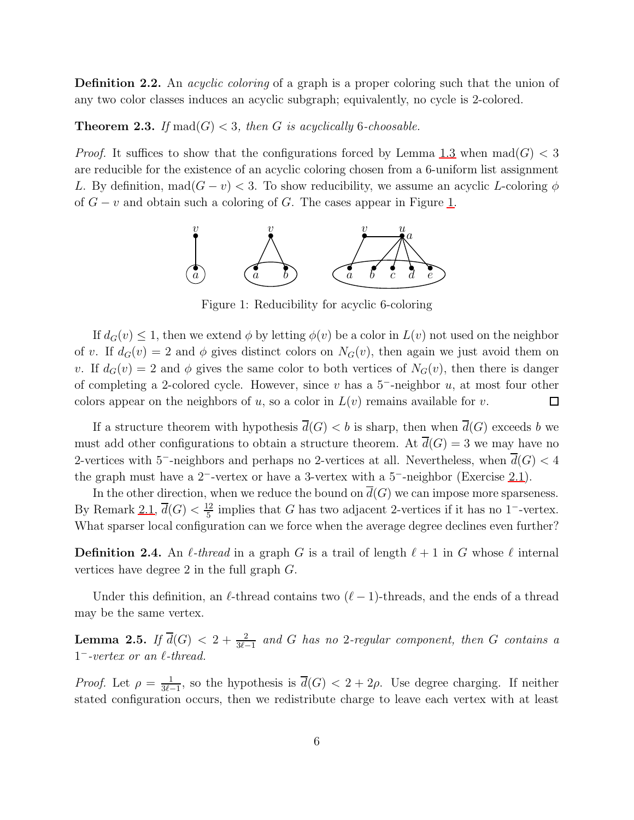<span id="page-5-2"></span>**Definition 2.2.** An *acyclic coloring* of a graph is a proper coloring such that the union of any two color classes induces an acyclic subgraph; equivalently, no cycle is 2-colored.

<span id="page-5-3"></span>**Theorem 2.3.** If  $\text{mad}(G) < 3$ , then G is acyclically 6-choosable.

*Proof.* It suffices to show that the configurations forced by Lemma [1.3](#page-1-0) when  $\text{mad}(G) < 3$ are reducible for the existence of an acyclic coloring chosen from a 6-uniform list assignment L. By definition, mad $(G - v) < 3$ . To show reducibility, we assume an acyclic L-coloring  $\phi$ of  $G - v$  and obtain such a coloring of G. The cases appear in Figure [1.](#page-5-0)



<span id="page-5-0"></span>Figure 1: Reducibility for acyclic 6-coloring

If  $d_G(v) \leq 1$ , then we extend  $\phi$  by letting  $\phi(v)$  be a color in  $L(v)$  not used on the neighbor of v. If  $d_G(v) = 2$  and  $\phi$  gives distinct colors on  $N_G(v)$ , then again we just avoid them on v. If  $d_G(v) = 2$  and  $\phi$  gives the same color to both vertices of  $N_G(v)$ , then there is danger of completing a 2-colored cycle. However, since v has a  $5^-$ -neighbor u, at most four other colors appear on the neighbors of u, so a color in  $L(v)$  remains available for v.  $\Box$ 

If a structure theorem with hypothesis  $\overline{d}(G) < b$  is sharp, then when  $\overline{d}(G)$  exceeds b we must add other configurations to obtain a structure theorem. At  $\overline{d}(G) = 3$  we may have no 2-vertices with 5<sup>-</sup>-neighbors and perhaps no 2-vertices at all. Nevertheless, when  $d(G) < 4$ the graph must have a 2<sup>−</sup>-vertex or have a 3-vertex with a 5<sup>−</sup>-neighbor (Exercise [2.1\)](#page-11-0).

In the other direction, when we reduce the bound on  $\overline{d}(G)$  we can impose more sparseness. By Remark [2.1,](#page-4-1)  $\overline{d}(G) < \frac{12}{5}$  $\frac{12}{5}$  implies that G has two adjacent 2-vertices if it has no 1<sup>-</sup>-vertex. What sparser local configuration can we force when the average degree declines even further?

**Definition 2.4.** An  $\ell$ -thread in a graph G is a trail of length  $\ell + 1$  in G whose  $\ell$  internal vertices have degree 2 in the full graph G.

Under this definition, an  $\ell$ -thread contains two  $(\ell-1)$ -threads, and the ends of a thread may be the same vertex.

<span id="page-5-1"></span>**Lemma 2.5.** If  $\overline{d}(G) < 2 + \frac{2}{3\ell-1}$  and G has no 2-regular component, then G contains a 1<sup>-</sup>-vertex or an ℓ-thread.

*Proof.* Let  $\rho = \frac{1}{3\ell}$  $\frac{1}{3\ell-1}$ , so the hypothesis is  $d(G) < 2 + 2\rho$ . Use degree charging. If neither stated configuration occurs, then we redistribute charge to leave each vertex with at least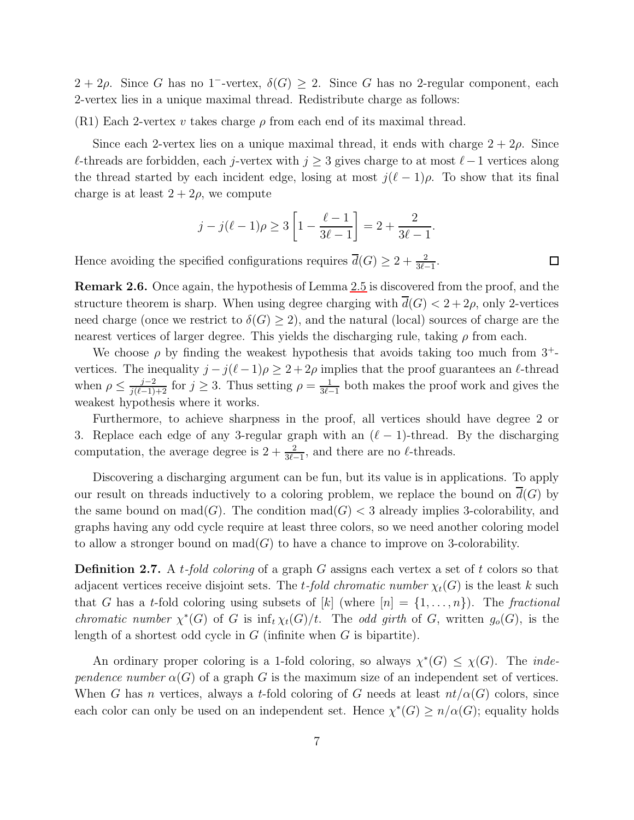$2 + 2\rho$ . Since G has no 1<sup>-</sup>-vertex,  $\delta(G) \geq 2$ . Since G has no 2-regular component, each 2-vertex lies in a unique maximal thread. Redistribute charge as follows:

 $(R1)$  Each 2-vertex v takes charge  $\rho$  from each end of its maximal thread.

Since each 2-vertex lies on a unique maximal thread, it ends with charge  $2 + 2\rho$ . Since  $\ell$ -threads are forbidden, each j-vertex with j ≥ 3 gives charge to at most  $\ell-1$  vertices along the thread started by each incident edge, losing at most  $j(\ell-1)\rho$ . To show that its final charge is at least  $2 + 2\rho$ , we compute

$$
j - j(\ell - 1)\rho \ge 3\left[1 - \frac{\ell - 1}{3\ell - 1}\right] = 2 + \frac{2}{3\ell - 1}
$$

.

Hence avoiding the specified configurations requires  $\overline{d}(G) \geq 2 + \frac{2}{3\ell-1}$ .

 $\Box$ 

Remark 2.6. Once again, the hypothesis of Lemma [2.5](#page-5-1) is discovered from the proof, and the structure theorem is sharp. When using degree charging with  $d(G) < 2 + 2\rho$ , only 2-vertices need charge (once we restrict to  $\delta(G) \geq 2$ ), and the natural (local) sources of charge are the nearest vertices of larger degree. This yields the discharging rule, taking  $\rho$  from each.

We choose  $\rho$  by finding the weakest hypothesis that avoids taking too much from  $3^+$ vertices. The inequality  $j - j(\ell - 1)\rho \geq 2 + 2\rho$  implies that the proof guarantees an  $\ell$ -thread when  $\rho \leq \frac{j-2}{j(\ell-1)+2}$  for  $j \geq 3$ . Thus setting  $\rho = \frac{1}{3\ell-1}$  $\frac{1}{3\ell-1}$  both makes the proof work and gives the weakest hypothesis where it works.

Furthermore, to achieve sharpness in the proof, all vertices should have degree 2 or 3. Replace each edge of any 3-regular graph with an  $(\ell-1)$ -thread. By the discharging computation, the average degree is  $2 + \frac{2}{3\ell-1}$ , and there are no  $\ell$ -threads.

Discovering a discharging argument can be fun, but its value is in applications. To apply our result on threads inductively to a coloring problem, we replace the bound on  $d(G)$  by the same bound on  $\text{mad}(G)$ . The condition  $\text{mad}(G) < 3$  already implies 3-colorability, and graphs having any odd cycle require at least three colors, so we need another coloring model to allow a stronger bound on  $\text{mad}(G)$  to have a chance to improve on 3-colorability.

**Definition 2.7.** A t-fold coloring of a graph G assigns each vertex a set of t colors so that adjacent vertices receive disjoint sets. The t-fold chromatic number  $\chi_t(G)$  is the least k such that G has a t-fold coloring using subsets of  $[k]$  (where  $[n] = \{1, \ldots, n\}$ ). The fractional *chromatic number*  $\chi^*(G)$  of G is  $\inf_t \chi_t(G)/t$ . The *odd girth* of G, written  $g_o(G)$ , is the length of a shortest odd cycle in  $G$  (infinite when  $G$  is bipartite).

An ordinary proper coloring is a 1-fold coloring, so always  $\chi^*(G) \leq \chi(G)$ . The *inde*pendence number  $\alpha(G)$  of a graph G is the maximum size of an independent set of vertices. When G has n vertices, always a t-fold coloring of G needs at least  $nt/\alpha(G)$  colors, since each color can only be used on an independent set. Hence  $\chi^*(G) \geq n/\alpha(G)$ ; equality holds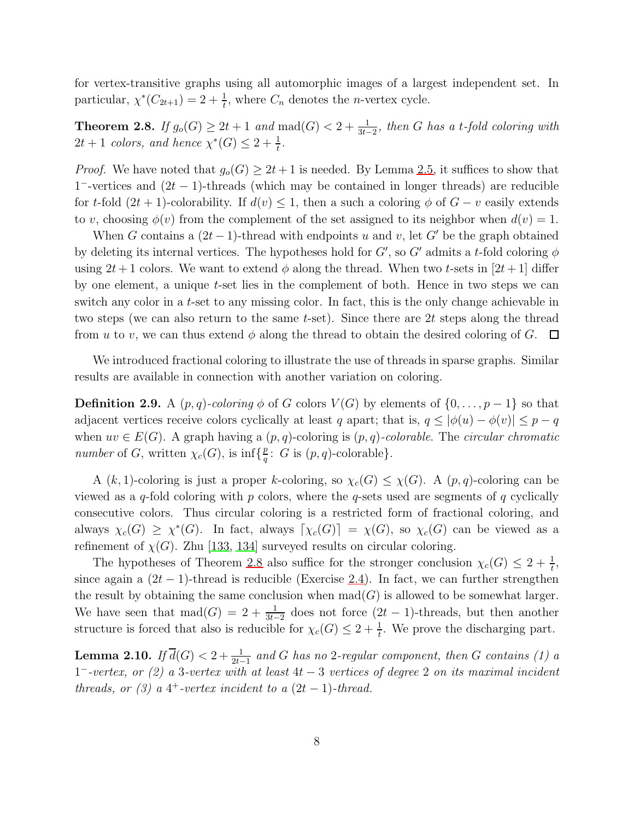for vertex-transitive graphs using all automorphic images of a largest independent set. In particular,  $\chi^*(C_{2t+1}) = 2 + \frac{1}{t}$ , where  $C_n$  denotes the *n*-vertex cycle.

<span id="page-7-0"></span>**Theorem 2.8.** If  $g_o(G) \geq 2t + 1$  and  $\text{mad}(G) < 2 + \frac{1}{3t-2}$ , then G has a t-fold coloring with  $2t + 1$  colors, and hence  $\chi^*(G) \leq 2 + \frac{1}{t}$ .

*Proof.* We have noted that  $g_o(G) \geq 2t + 1$  is needed. By Lemma [2.5,](#page-5-1) it suffices to show that 1<sup>-</sup>-vertices and  $(2t - 1)$ -threads (which may be contained in longer threads) are reducible for t-fold  $(2t + 1)$ -colorability. If  $d(v) \leq 1$ , then a such a coloring  $\phi$  of  $G - v$  easily extends to v, choosing  $\phi(v)$  from the complement of the set assigned to its neighbor when  $d(v) = 1$ .

When G contains a  $(2t-1)$ -thread with endpoints u and v, let G' be the graph obtained by deleting its internal vertices. The hypotheses hold for  $G'$ , so  $G'$  admits a t-fold coloring  $\phi$ using  $2t + 1$  colors. We want to extend  $\phi$  along the thread. When two t-sets in  $[2t + 1]$  differ by one element, a unique t-set lies in the complement of both. Hence in two steps we can switch any color in a t-set to any missing color. In fact, this is the only change achievable in two steps (we can also return to the same t-set). Since there are  $2t$  steps along the thread from u to v, we can thus extend  $\phi$  along the thread to obtain the desired coloring of G.  $\Box$ 

We introduced fractional coloring to illustrate the use of threads in sparse graphs. Similar results are available in connection with another variation on coloring.

**Definition 2.9.** A  $(p, q)$ -coloring  $\phi$  of G colors  $V(G)$  by elements of  $\{0, \ldots, p-1\}$  so that adjacent vertices receive colors cyclically at least q apart; that is,  $q \leq |\phi(u) - \phi(v)| \leq p - q$ when  $uv \in E(G)$ . A graph having a  $(p, q)$ -coloring is  $(p, q)$ -colorable. The circular chromatic number of G, written  $\chi_c(G)$ , is inf $\{\frac{p}{q}\}$  $\frac{p}{q}$ : *G* is  $(p, q)$ -colorable}.

A  $(k, 1)$ -coloring is just a proper k-coloring, so  $\chi_c(G) \leq \chi(G)$ . A  $(p, q)$ -coloring can be viewed as a q-fold coloring with  $p$  colors, where the q-sets used are segments of  $q$  cyclically consecutive colors. Thus circular coloring is a restricted form of fractional coloring, and always  $\chi_c(G) \geq \chi^*(G)$ . In fact, always  $[\chi_c(G)] = \chi(G)$ , so  $\chi_c(G)$  can be viewed as a refinement of  $\chi(G)$ . Zhu [\[133,](#page-49-1) [134\]](#page-49-2) surveyed results on circular coloring.

The hypotheses of Theorem [2.8](#page-7-0) also suffice for the stronger conclusion  $\chi_c(G) \leq 2 + \frac{1}{t}$ , since again a  $(2t-1)$ -thread is reducible (Exercise [2.4\)](#page-11-1). In fact, we can further strengthen the result by obtaining the same conclusion when  $\text{mad}(G)$  is allowed to be somewhat larger. We have seen that  $\text{mad}(G) = 2 + \frac{1}{3t-2}$  does not force  $(2t - 1)$ -threads, but then another structure is forced that also is reducible for  $\chi_c(G) \leq 2 + \frac{1}{t}$ . We prove the discharging part.

<span id="page-7-1"></span>**Lemma 2.10.** If  $\overline{d}(G) < 2 + \frac{1}{2t-1}$  and G has no 2-regular component, then G contains (1) a 1 <sup>−</sup>-vertex, or (2) a 3-vertex with at least 4t − 3 vertices of degree 2 on its maximal incident threads, or (3) a  $4^+$ -vertex incident to a  $(2t - 1)$ -thread.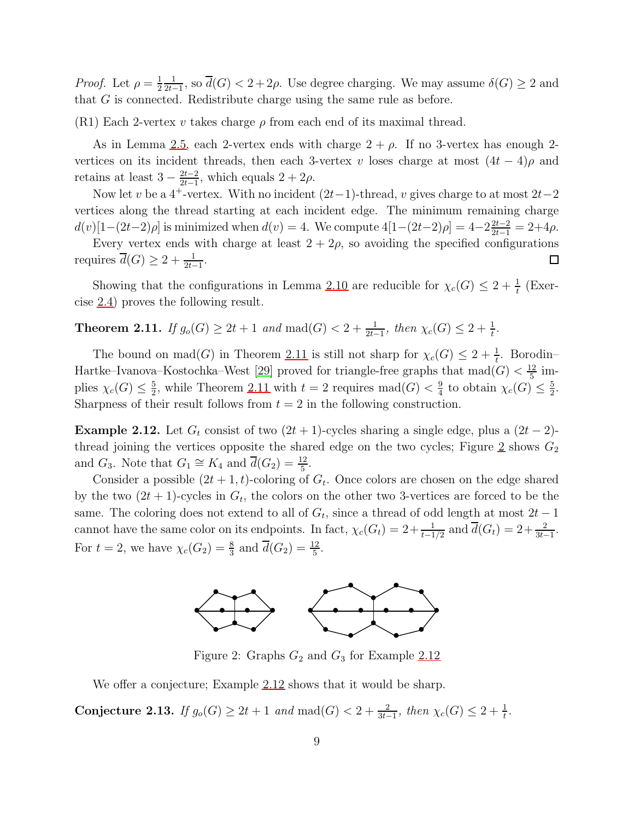*Proof.* Let  $\rho = \frac{1}{2}$ 2 1  $\frac{1}{2t-1}$ , so  $d(G)$  < 2 + 2 $\rho$ . Use degree charging. We may assume  $\delta(G)$  ≥ 2 and that G is connected. Redistribute charge using the same rule as before.

 $(R1)$  Each 2-vertex v takes charge  $\rho$  from each end of its maximal thread.

As in Lemma [2.5,](#page-5-1) each 2-vertex ends with charge  $2 + \rho$ . If no 3-vertex has enough 2vertices on its incident threads, then each 3-vertex v loses charge at most  $(4t-4)\rho$  and retains at least  $3 - \frac{2t-2}{2t-1}$  $\frac{2t-2}{2t-1}$ , which equals  $2 + 2\rho$ .

Now let v be a 4<sup>+</sup>-vertex. With no incident  $(2t-1)$ -thread, v gives charge to at most  $2t-2$ vertices along the thread starting at each incident edge. The minimum remaining charge  $d(v)[1-(2t-2)\rho]$  is minimized when  $d(v) = 4$ . We compute  $4[1-(2t-2)\rho] = 4-2\frac{2t-2}{2t-1} = 2+4\rho$ .

Every vertex ends with charge at least  $2 + 2\rho$ , so avoiding the specified configurations requires  $\overline{d}(G) \geq 2 + \frac{1}{2t-1}$ .  $\Box$ 

Showing that the configurations in Lemma [2.10](#page-7-1) are reducible for  $\chi_c(G) \leq 2 + \frac{1}{t}$  (Exercise [2.4\)](#page-11-1) proves the following result.

# <span id="page-8-0"></span>**Theorem 2.11.** If  $g_o(G) \geq 2t + 1$  and mad $(G) < 2 + \frac{1}{2t-1}$ , then  $\chi_c(G) \leq 2 + \frac{1}{t}$ .

The bound on mad(G) in Theorem [2.11](#page-8-0) is still not sharp for  $\chi_c(G) \leq 2 + \frac{1}{t}$ . Borodin-Hartke–Ivanova–Kostochka–West [\[29\]](#page-45-0) proved for triangle-free graphs that  $\text{mad}(G) < \frac{12}{5}$  $\frac{12}{5}$  implies  $\chi_c(G) \leq \frac{5}{2}$  $\frac{5}{2}$ , while Theorem [2.11](#page-8-0) with  $t = 2$  requires  $\text{mad}(G) < \frac{9}{4}$  $\frac{9}{4}$  to obtain  $\chi_c(G) \leq \frac{5}{2}$  $\frac{5}{2}$ . Sharpness of their result follows from  $t = 2$  in the following construction.

<span id="page-8-2"></span>**Example 2.12.** Let  $G_t$  consist of two  $(2t + 1)$ -cycles sharing a single edge, plus a  $(2t - 2)$ -thread joining the vertices opposite the shared edge on the two cycles; Figure [2](#page-8-1) shows  $G_2$ and  $G_3$ . Note that  $G_1 \cong K_4$  and  $\overline{d}(G_2) = \frac{12}{5}$ .

Consider a possible  $(2t + 1, t)$ -coloring of  $G_t$ . Once colors are chosen on the edge shared by the two  $(2t + 1)$ -cycles in  $G_t$ , the colors on the other two 3-vertices are forced to be the same. The coloring does not extend to all of  $G_t$ , since a thread of odd length at most  $2t - 1$ cannot have the same color on its endpoints. In fact,  $\chi_c(G_t) = 2 + \frac{1}{t-1/2}$  and  $\overline{d}(G_t) = 2 + \frac{2}{3t-1}$ . For  $t = 2$ , we have  $\chi_c(G_2) = \frac{8}{3}$  and  $\overline{d}(G_2) = \frac{12}{5}$ .



<span id="page-8-1"></span>Figure 2: Graphs  $G_2$  and  $G_3$  for Example [2.12](#page-8-2)

We offer a conjecture; Example [2.12](#page-8-2) shows that it would be sharp.

<span id="page-8-3"></span>Conjecture 2.13. If  $g_o(G) \ge 2t + 1$  and  $\text{mad}(G) < 2 + \frac{2}{3t-1}$ , then  $\chi_c(G) \le 2 + \frac{1}{t}$ .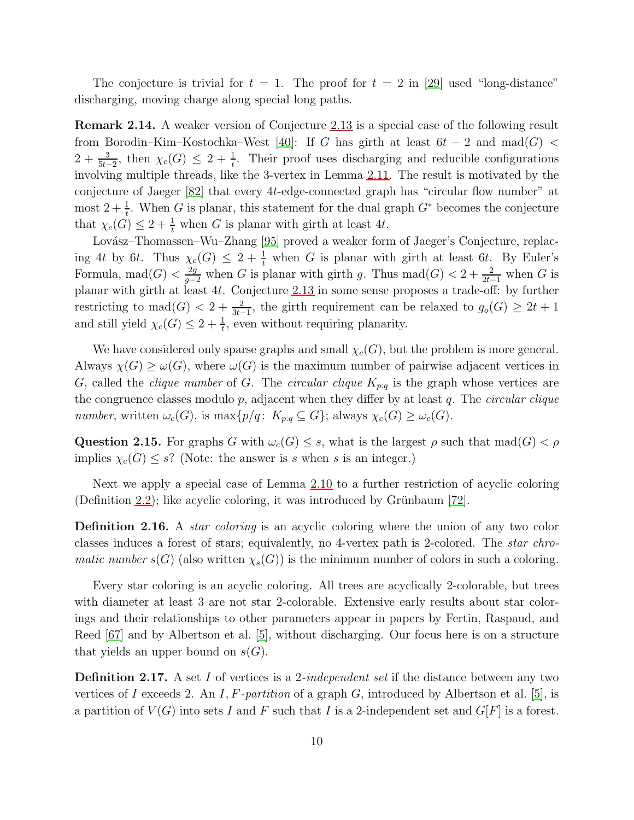The conjecture is trivial for  $t = 1$ . The proof for  $t = 2$  in [\[29\]](#page-45-0) used "long-distance" discharging, moving charge along special long paths.

Remark 2.14. A weaker version of Conjecture [2.13](#page-8-3) is a special case of the following result from Borodin–Kim–Kostochka–West [\[40\]](#page-45-1): If G has girth at least  $6t - 2$  and mad $(G)$  <  $2+\frac{3}{5t-2}$ , then  $\chi_c(G) \leq 2+\frac{1}{t}$ . Their proof uses discharging and reducible configurations involving multiple threads, like the 3-vertex in Lemma [2.11.](#page-8-0) The result is motivated by the conjecture of Jaeger [\[82\]](#page-47-1) that every 4t-edge-connected graph has "circular flow number" at most  $2 + \frac{1}{t}$ . When G is planar, this statement for the dual graph  $G^*$  becomes the conjecture that  $\chi_c(G) \leq 2 + \frac{1}{t}$  when G is planar with girth at least 4t.

Lovász–Thomassen–Wu–Zhang [\[95\]](#page-48-0) proved a weaker form of Jaeger's Conjecture, replacing 4t by 6t. Thus  $\chi_c(G) \leq 2 + \frac{1}{t}$  when G is planar with girth at least 6t. By Euler's Formula, mad $(G) < \frac{2g}{g-2}$  when G is planar with girth g. Thus mad $(G) < 2 + \frac{2}{2t-1}$  when G is planar with girth at least 4t. Conjecture [2.13](#page-8-3) in some sense proposes a trade-off: by further restricting to mad $(G) < 2 + \frac{2}{3t-1}$ , the girth requirement can be relaxed to  $g_o(G) \geq 2t+1$ and still yield  $\chi_c(G) \leq 2 + \frac{1}{t}$ , even without requiring planarity.

We have considered only sparse graphs and small  $\chi_c(G)$ , but the problem is more general. Always  $\chi(G) \ge \omega(G)$ , where  $\omega(G)$  is the maximum number of pairwise adjacent vertices in G, called the *clique number* of G. The *circular clique*  $K_{p:q}$  is the graph whose vertices are the congruence classes modulo  $p$ , adjacent when they differ by at least  $q$ . The *circular clique* number, written  $\omega_c(G)$ , is max $\{p/q: K_{p:q} \subseteq G\}$ ; always  $\chi_c(G) \geq \omega_c(G)$ .

**Question 2.15.** For graphs G with  $\omega_c(G) \leq s$ , what is the largest  $\rho$  such that mad $(G) < \rho$ implies  $\chi_c(G) \leq s$ ? (Note: the answer is s when s is an integer.)

Next we apply a special case of Lemma [2.10](#page-7-1) to a further restriction of acyclic coloring (Definition [2.2\)](#page-5-2); like acyclic coloring, it was introduced by Grünbaum  $[72]$ .

**Definition 2.16.** A *star coloring* is an acyclic coloring where the union of any two color classes induces a forest of stars; equivalently, no 4-vertex path is 2-colored. The star chro*matic number*  $s(G)$  (also written  $\chi_s(G)$ ) is the minimum number of colors in such a coloring.

Every star coloring is an acyclic coloring. All trees are acyclically 2-colorable, but trees with diameter at least 3 are not star 2-colorable. Extensive early results about star colorings and their relationships to other parameters appear in papers by Fertin, Raspaud, and Reed [\[67\]](#page-47-3) and by Albertson et al. [\[5\]](#page-44-1), without discharging. Our focus here is on a structure that yields an upper bound on  $s(G)$ .

**Definition 2.17.** A set I of vertices is a 2-independent set if the distance between any two vertices of I exceeds 2. An I, F-partition of a graph G, introduced by Albertson et al. [\[5\]](#page-44-1), is a partition of  $V(G)$  into sets I and F such that I is a 2-independent set and  $G[F]$  is a forest.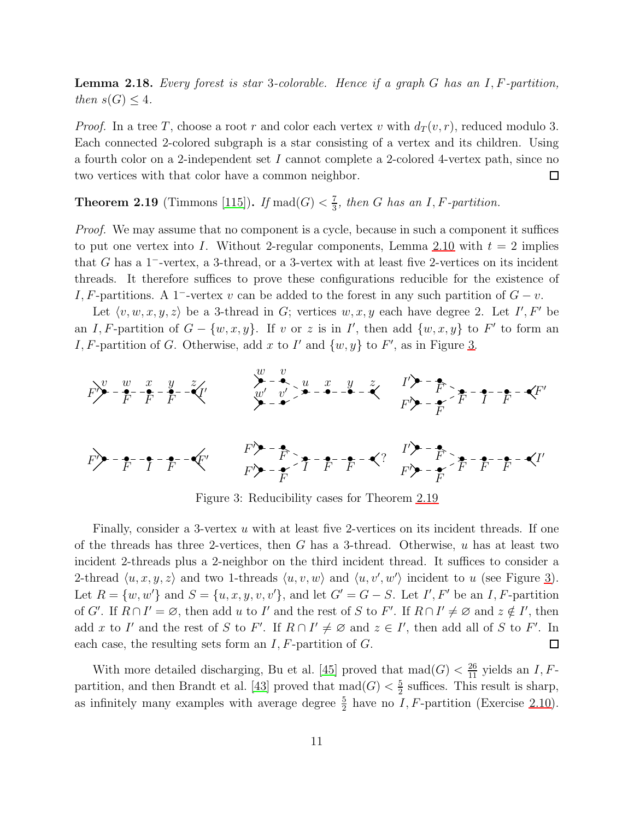**Lemma 2.18.** Every forest is star 3-colorable. Hence if a graph  $G$  has an  $I, F$ -partition, then  $s(G) \leq 4$ .

*Proof.* In a tree T, choose a root r and color each vertex v with  $d_T(v, r)$ , reduced modulo 3. Each connected 2-colored subgraph is a star consisting of a vertex and its children. Using a fourth color on a 2-independent set I cannot complete a 2-colored 4-vertex path, since no  $\Box$ two vertices with that color have a common neighbor.

<span id="page-10-1"></span>**Theorem 2.19** (Timmons [\[115\]](#page-49-3)). If  $\text{mad}(G) < \frac{7}{3}$  $\frac{7}{3}$ , then G has an I, F-partition.

*Proof.* We may assume that no component is a cycle, because in such a component it suffices to put one vertex into I. Without 2-regular components, Lemma [2.10](#page-7-1) with  $t = 2$  implies that G has a 1<sup>−</sup>-vertex, a 3-thread, or a 3-vertex with at least five 2-vertices on its incident threads. It therefore suffices to prove these configurations reducible for the existence of I, F-partitions. A 1<sup>-</sup>-vertex v can be added to the forest in any such partition of  $G - v$ .

Let  $\langle v, w, x, y, z \rangle$  be a 3-thread in G; vertices  $w, x, y$  each have degree 2. Let I', F' be an I, F-partition of  $G - \{w, x, y\}$ . If v or z is in I', then add  $\{w, x, y\}$  to F' to form an I, F-partition of G. Otherwise, add x to I' and  $\{w, y\}$  to F', as in Figure [3.](#page-10-0)

$$
F^{\lambda} - F - F - F - F
$$
\n
$$
F^{\lambda} - F - F - F - F
$$
\n
$$
F^{\lambda} - F - F - F - F
$$
\n
$$
F^{\lambda} - F - F - F - F
$$
\n
$$
F^{\lambda} - F - F - F - F
$$
\n
$$
F^{\lambda} - F - F - F - F - F
$$
\n
$$
F^{\lambda} - F - F - F - F - F
$$
\n
$$
F^{\lambda} - F - F - F - F - F - F
$$

<span id="page-10-0"></span>Figure 3: Reducibility cases for Theorem [2.19](#page-10-1)

Finally, consider a 3-vertex u with at least five 2-vertices on its incident threads. If one of the threads has three 2-vertices, then  $G$  has a 3-thread. Otherwise,  $u$  has at least two incident 2-threads plus a 2-neighbor on the third incident thread. It suffices to consider a 2-thread  $\langle u, x, y, z \rangle$  and two 1-threads  $\langle u, v, w \rangle$  and  $\langle u, v', w' \rangle$  incident to u (see Figure [3\)](#page-10-0). Let  $R = \{w, w'\}$  and  $S = \{u, x, y, v, v'\}$ , and let  $G' = G - S$ . Let I', F' be an I, F-partition of G'. If  $R \cap I' = \emptyset$ , then add u to I' and the rest of S to F'. If  $R \cap I' \neq \emptyset$  and  $z \notin I'$ , then add x to I' and the rest of S to F'. If  $R \cap I' \neq \emptyset$  and  $z \in I'$ , then add all of S to F'. In each case, the resulting sets form an  $I, F$ -partition of  $G$ .  $\Box$ 

With more detailed discharging, Bu et al. [\[45\]](#page-45-2) proved that  $\text{mad}(G) < \frac{26}{11}$  yields an I, F-partition, and then Brandt et al. [\[43\]](#page-45-3) proved that  $\text{mad}(G) < \frac{5}{2}$  $\frac{5}{2}$  suffices. This result is sharp, as infinitely many examples with average degree  $\frac{5}{2}$  have no I, F-partition (Exercise [2.10\)](#page-11-2).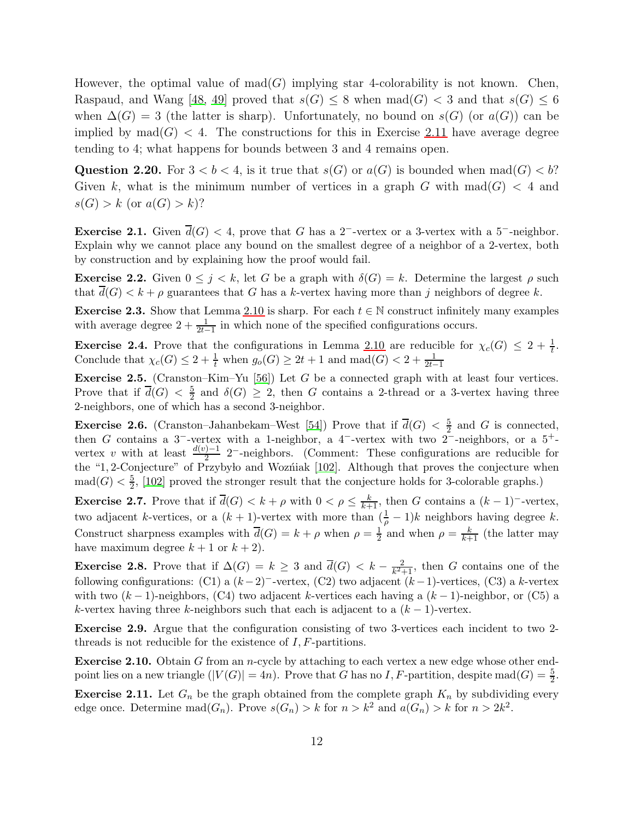However, the optimal value of  $\text{mad}(G)$  implying star 4-colorability is not known. Chen, Raspaud, and Wang [\[48,](#page-46-1) [49\]](#page-46-2) proved that  $s(G) \leq 8$  when mad( $G$ )  $\leq 3$  and that  $s(G) \leq 6$ when  $\Delta(G) = 3$  (the latter is sharp). Unfortunately, no bound on  $s(G)$  (or  $a(G)$ ) can be implied by mad( $G$ )  $\lt$  4. The constructions for this in Exercise [2.11](#page-11-3) have average degree tending to 4; what happens for bounds between 3 and 4 remains open.

Question 2.20. For  $3 < b < 4$ , is it true that  $s(G)$  or  $a(G)$  is bounded when  $\text{mad}(G) < b$ ? Given k, what is the minimum number of vertices in a graph G with  $\text{mad}(G) < 4$  and  $s(G) > k$  (or  $a(G) > k$ )?

<span id="page-11-0"></span>Exercise 2.1. Given  $\overline{d}(G) < 4$ , prove that G has a 2<sup>-</sup>-vertex or a 3-vertex with a 5<sup>-</sup>-neighbor. Explain why we cannot place any bound on the smallest degree of a neighbor of a 2-vertex, both by construction and by explaining how the proof would fail.

**Exercise 2.2.** Given  $0 \leq j \leq k$ , let G be a graph with  $\delta(G) = k$ . Determine the largest  $\rho$  such that  $\overline{d}(G) < k + \rho$  guarantees that G has a k-vertex having more than j neighbors of degree k.

**Exercise 2.3.** Show that Lemma [2.10](#page-7-1) is sharp. For each  $t \in \mathbb{N}$  construct infinitely many examples with average degree  $2 + \frac{1}{2t-1}$  in which none of the specified configurations occurs.

<span id="page-11-1"></span>**Exercise 2.4.** Prove that the configurations in Lemma [2.10](#page-7-1) are reducible for  $\chi_c(G) \leq 2 + \frac{1}{t}$ . Conclude that  $\chi_c(G) \leq 2 + \frac{1}{t}$  when  $g_o(G) \geq 2t + 1$  and  $\text{mad}(G) < 2 + \frac{1}{2t-1}$ 

<span id="page-11-4"></span>Exercise 2.5. (Cranston–Kim–Yu [\[56\]](#page-46-3)) Let  $G$  be a connected graph with at least four vertices. Prove that if  $\overline{d}(G) < \frac{5}{2}$  $\frac{5}{2}$  and  $\delta(G) \geq 2$ , then G contains a 2-thread or a 3-vertex having three 2-neighbors, one of which has a second 3-neighbor.

**Exercise 2.6.** (Cranston–Jahanbekam–West [\[54\]](#page-46-4)) Prove that if  $\overline{d}(G) < \frac{5}{2}$  $\frac{5}{2}$  and G is connected, then G contains a 3<sup>-</sup>-vertex with a 1-neighbor, a 4<sup>-</sup>-vertex with two  $2$ <sup>-</sup>-neighbors, or a 5<sup>+</sup>vertex v with at least  $\frac{d(v)-1}{2}$  2<sup>-</sup>-neighbors. (Comment: These configurations are reducible for the "1, 2-Conjecture" of Przybyło and Wozńiak [\[102\]](#page-48-1). Although that proves the conjecture when  $\mathrm{mad}(G) < \frac{5}{2}$  $\frac{5}{2}$ , [\[102\]](#page-48-1) proved the stronger result that the conjecture holds for 3-colorable graphs.)

**Exercise 2.7.** Prove that if  $\overline{d}(G) < k + \rho$  with  $0 < \rho \leq \frac{k}{k+1}$ , then G contains a  $(k-1)^{-}$ -vertex, two adjacent k-vertices, or a  $(k + 1)$ -vertex with more than  $(\frac{1}{\rho} - 1)k$  neighbors having degree k. Construct sharpness examples with  $\overline{d}(G) = k + \rho$  when  $\rho = \frac{1}{2}$  $\frac{1}{2}$  and when  $\rho = \frac{k}{k+1}$  (the latter may have maximum degree  $k + 1$  or  $k + 2$ ).

<span id="page-11-5"></span>**Exercise 2.8.** Prove that if  $\Delta(G) = k \geq 3$  and  $\overline{d}(G) < k - \frac{2}{k^2}$ .  $\frac{2}{k^2+1}$ , then G contains one of the following configurations: (C1) a  $(k-2)$ <sup>-</sup>-vertex, (C2) two adjacent  $(k-1)$ -vertices, (C3) a k-vertex with two  $(k-1)$ -neighbors, (C4) two adjacent k-vertices each having a  $(k-1)$ -neighbor, or (C5) a k-vertex having three k-neighbors such that each is adjacent to a  $(k-1)$ -vertex.

Exercise 2.9. Argue that the configuration consisting of two 3-vertices each incident to two 2 threads is not reducible for the existence of  $I, F$ -partitions.

<span id="page-11-2"></span>**Exercise 2.10.** Obtain G from an *n*-cycle by attaching to each vertex a new edge whose other endpoint lies on a new triangle  $(|V(G)| = 4n)$ . Prove that G has no I, F-partition, despite mad $(G) = \frac{5}{2}$ .

<span id="page-11-3"></span>**Exercise 2.11.** Let  $G_n$  be the graph obtained from the complete graph  $K_n$  by subdividing every edge once. Determine mad $(G_n)$ . Prove  $s(G_n) > k$  for  $n > k^2$  and  $a(G_n) > k$  for  $n > 2k^2$ .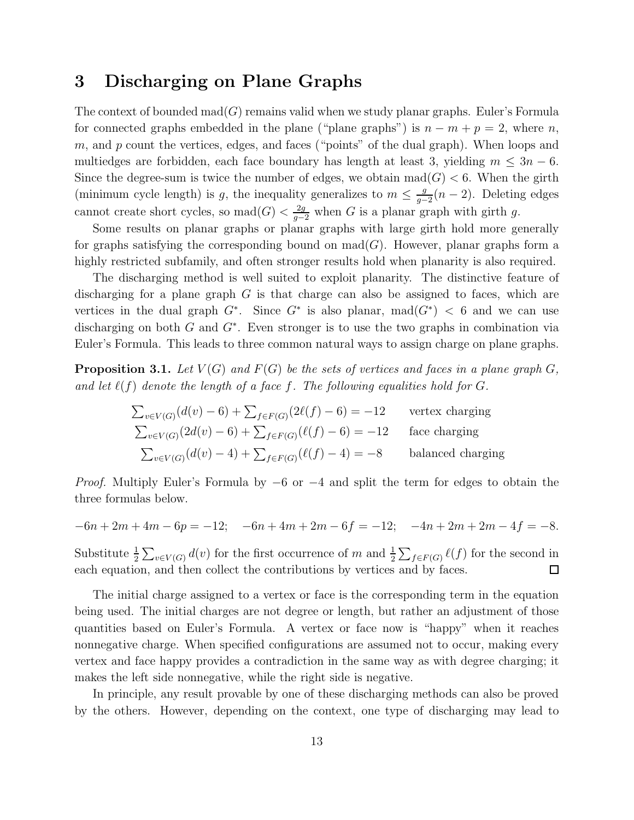### <span id="page-12-0"></span>3 Discharging on Plane Graphs

The context of bounded mad( $G$ ) remains valid when we study planar graphs. Euler's Formula for connected graphs embedded in the plane ("plane graphs") is  $n - m + p = 2$ , where n,  $m$ , and  $p$  count the vertices, edges, and faces ("points" of the dual graph). When loops and multiedges are forbidden, each face boundary has length at least 3, yielding  $m \leq 3n - 6$ . Since the degree-sum is twice the number of edges, we obtain  $\text{mad}(G) < 6$ . When the girth (minimum cycle length) is g, the inequality generalizes to  $m \leq \frac{g}{q}$  $\frac{g}{g-2}(n-2)$ . Deleting edges cannot create short cycles, so  $\text{mad}(G) < \frac{2g}{g-2}$  when G is a planar graph with girth g.

Some results on planar graphs or planar graphs with large girth hold more generally for graphs satisfying the corresponding bound on  $\text{mad}(G)$ . However, planar graphs form a highly restricted subfamily, and often stronger results hold when planarity is also required.

The discharging method is well suited to exploit planarity. The distinctive feature of discharging for a plane graph  $G$  is that charge can also be assigned to faces, which are vertices in the dual graph  $G^*$ . Since  $G^*$  is also planar, mad $(G^*)$  < 6 and we can use discharging on both G and G<sup>∗</sup> . Even stronger is to use the two graphs in combination via Euler's Formula. This leads to three common natural ways to assign charge on plane graphs.

**Proposition 3.1.** Let  $V(G)$  and  $F(G)$  be the sets of vertices and faces in a plane graph G, and let  $\ell(f)$  denote the length of a face f. The following equalities hold for G.

$$
\sum_{v \in V(G)} (d(v) - 6) + \sum_{f \in F(G)} (2\ell(f) - 6) = -12
$$
 vertex charging  

$$
\sum_{v \in V(G)} (2d(v) - 6) + \sum_{f \in F(G)} (\ell(f) - 6) = -12
$$
 face charging  

$$
\sum_{v \in V(G)} (d(v) - 4) + \sum_{f \in F(G)} (\ell(f) - 4) = -8
$$
 balanced charging

*Proof.* Multiply Euler's Formula by  $-6$  or  $-4$  and split the term for edges to obtain the three formulas below.

 $-6n + 2m + 4m - 6p = -12; -6n + 4m + 2m - 6f = -12; -4n + 2m + 2m - 4f = -8.$ 

Substitute  $\frac{1}{2} \sum_{v \in V(G)} d(v)$  for the first occurrence of m and  $\frac{1}{2} \sum_{f \in F(G)} \ell(f)$  for the second in each equation, and then collect the contributions by vertices and by faces.  $\Box$ 

The initial charge assigned to a vertex or face is the corresponding term in the equation being used. The initial charges are not degree or length, but rather an adjustment of those quantities based on Euler's Formula. A vertex or face now is "happy" when it reaches nonnegative charge. When specified configurations are assumed not to occur, making every vertex and face happy provides a contradiction in the same way as with degree charging; it makes the left side nonnegative, while the right side is negative.

In principle, any result provable by one of these discharging methods can also be proved by the others. However, depending on the context, one type of discharging may lead to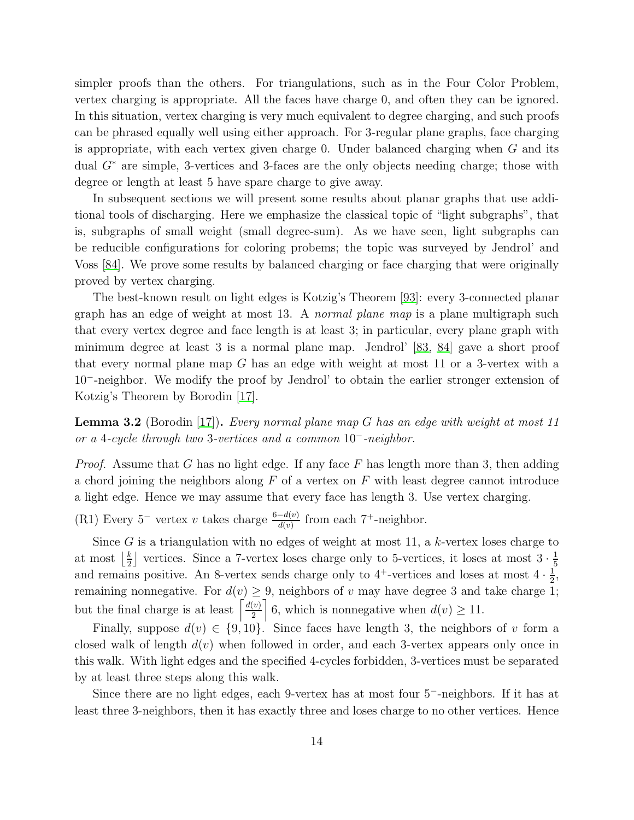simpler proofs than the others. For triangulations, such as in the Four Color Problem, vertex charging is appropriate. All the faces have charge 0, and often they can be ignored. In this situation, vertex charging is very much equivalent to degree charging, and such proofs can be phrased equally well using either approach. For 3-regular plane graphs, face charging is appropriate, with each vertex given charge 0. Under balanced charging when  $G$  and its dual G<sup>∗</sup> are simple, 3-vertices and 3-faces are the only objects needing charge; those with degree or length at least 5 have spare charge to give away.

In subsequent sections we will present some results about planar graphs that use additional tools of discharging. Here we emphasize the classical topic of "light subgraphs", that is, subgraphs of small weight (small degree-sum). As we have seen, light subgraphs can be reducible configurations for coloring probems; the topic was surveyed by Jendrol' and Voss [\[84\]](#page-47-4). We prove some results by balanced charging or face charging that were originally proved by vertex charging.

The best-known result on light edges is Kotzig's Theorem [\[93\]](#page-48-2): every 3-connected planar graph has an edge of weight at most 13. A normal plane map is a plane multigraph such that every vertex degree and face length is at least 3; in particular, every plane graph with minimum degree at least 3 is a normal plane map. Jendrol' [\[83,](#page-47-5) [84\]](#page-47-4) gave a short proof that every normal plane map G has an edge with weight at most 11 or a 3-vertex with a 10<sup>−</sup>-neighbor. We modify the proof by Jendrol' to obtain the earlier stronger extension of Kotzig's Theorem by Borodin [\[17\]](#page-44-2).

<span id="page-13-0"></span>**Lemma 3.2** (Borodin [\[17\]](#page-44-2)). Every normal plane map G has an edge with weight at most 11 or a 4-cycle through two 3-vertices and a common 10<sup>−</sup>-neighbor.

*Proof.* Assume that G has no light edge. If any face F has length more than 3, then adding a chord joining the neighbors along  $F$  of a vertex on  $F$  with least degree cannot introduce a light edge. Hence we may assume that every face has length 3. Use vertex charging.

(R1) Every 5<sup>-</sup> vertex v takes charge  $\frac{6-d(v)}{d(v)}$  from each 7<sup>+</sup>-neighbor.

Since  $G$  is a triangulation with no edges of weight at most 11, a  $k$ -vertex loses charge to at most  $\frac{k}{2}$  $\frac{k}{2}$  vertices. Since a 7-vertex loses charge only to 5-vertices, it loses at most  $3 \cdot \frac{1}{5}$ 5 and remains positive. An 8-vertex sends charge only to  $4^+$ -vertices and loses at most  $4 \cdot \frac{1}{2}$  $\frac{1}{2}$ , remaining nonnegative. For  $d(v) \geq 9$ , neighbors of v may have degree 3 and take charge 1; but the final charge is at least  $\left\lceil \frac{d(v)}{2} \right\rceil$  $\left[\frac{v}{2}\right]$  6, which is nonnegative when  $d(v) \ge 11$ .

Finally, suppose  $d(v) \in \{9, 10\}$ . Since faces have length 3, the neighbors of v form a closed walk of length  $d(v)$  when followed in order, and each 3-vertex appears only once in this walk. With light edges and the specified 4-cycles forbidden, 3-vertices must be separated by at least three steps along this walk.

Since there are no light edges, each 9-vertex has at most four 5<sup>−</sup>-neighbors. If it has at least three 3-neighbors, then it has exactly three and loses charge to no other vertices. Hence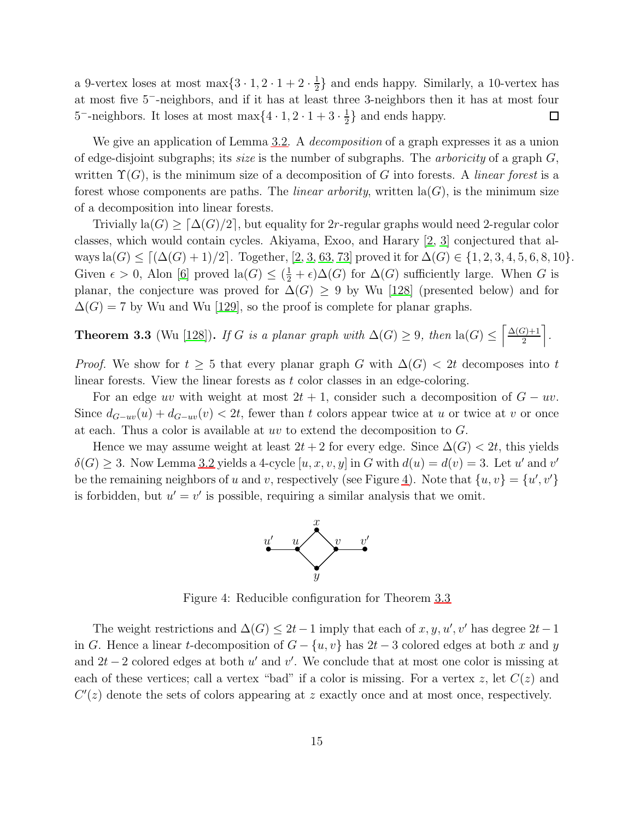a 9-vertex loses at most max $\{3 \cdot 1, 2 \cdot 1 + 2 \cdot \frac{1}{2}\}$  $\frac{1}{2}$  and ends happy. Similarly, a 10-vertex has at most five 5<sup>−</sup>-neighbors, and if it has at least three 3-neighbors then it has at most four 5<sup>-</sup>-neighbors. It loses at most max $\{4 \cdot 1, 2 \cdot 1 + 3 \cdot \frac{1}{2}\}$  $\frac{1}{2}$  and ends happy.  $\Box$ 

We give an application of Lemma [3.2.](#page-13-0) A *decomposition* of a graph expresses it as a union of edge-disjoint subgraphs; its *size* is the number of subgraphs. The *arboricity* of a graph  $G$ , written  $\Upsilon(G)$ , is the minimum size of a decomposition of G into forests. A linear forest is a forest whose components are paths. The *linear arbority*, written  $\text{la}(G)$ , is the minimum size of a decomposition into linear forests.

Trivially  $\text{la}(G) \geq [\Delta(G)/2]$ , but equality for 2r-regular graphs would need 2-regular color classes, which would contain cycles. Akiyama, Exoo, and Harary [\[2,](#page-44-3) [3\]](#page-44-4) conjectured that always la(G) ≤  $[ (Δ(G) + 1)/2 ]$ . Together, [\[2,](#page-44-3) [3,](#page-44-4) [63,](#page-46-5) [73\]](#page-47-6) proved it for  $Δ(G) ∈ {1, 2, 3, 4, 5, 6, 8, 10}.$ Given  $\epsilon > 0$ , Alon [\[6\]](#page-44-5) proved  $\text{la}(G) \leq (\frac{1}{2} + \epsilon) \Delta(G)$  for  $\Delta(G)$  sufficiently large. When G is planar, the conjecture was proved for  $\Delta(G) \geq 9$  by Wu [\[128\]](#page-49-4) (presented below) and for  $\Delta(G) = 7$  by Wu and Wu [\[129\]](#page-49-5), so the proof is complete for planar graphs.

<span id="page-14-1"></span>**Theorem 3.3** (Wu [\[128\]](#page-49-4)). If G is a planar graph with  $\Delta(G) \geq 9$ , then  $\text{la}(G) \leq \left[\frac{\Delta(G)+1}{2}\right]$  $\frac{x}{2}$ .

*Proof.* We show for  $t \geq 5$  that every planar graph G with  $\Delta(G) < 2t$  decomposes into t linear forests. View the linear forests as t color classes in an edge-coloring.

For an edge uv with weight at most  $2t + 1$ , consider such a decomposition of  $G - uv$ . Since  $d_{G-uv}(u) + d_{G-uv}(v) < 2t$ , fewer than t colors appear twice at u or twice at v or once at each. Thus a color is available at uv to extend the decomposition to G.

Hence we may assume weight at least  $2t + 2$  for every edge. Since  $\Delta(G) < 2t$ , this yields  $\delta(G) \geq 3$ . Now Lemma [3.2](#page-13-0) yields a 4-cycle  $[u, x, v, y]$  in G with  $d(u) = d(v) = 3$ . Let u' and v' be the remaining neighbors of u and v, respectively (see Figure [4\)](#page-14-0). Note that  $\{u, v\} = \{u', v'\}$ is forbidden, but  $u' = v'$  is possible, requiring a similar analysis that we omit.



<span id="page-14-0"></span>Figure 4: Reducible configuration for Theorem [3.3](#page-14-1)

The weight restrictions and  $\Delta(G) \leq 2t-1$  imply that each of x, y, u', v' has degree  $2t-1$ in G. Hence a linear t-decomposition of  $G - \{u, v\}$  has  $2t - 3$  colored edges at both x and y and  $2t-2$  colored edges at both u' and v'. We conclude that at most one color is missing at each of these vertices; call a vertex "bad" if a color is missing. For a vertex z, let  $C(z)$  and  $C'(z)$  denote the sets of colors appearing at z exactly once and at most once, respectively.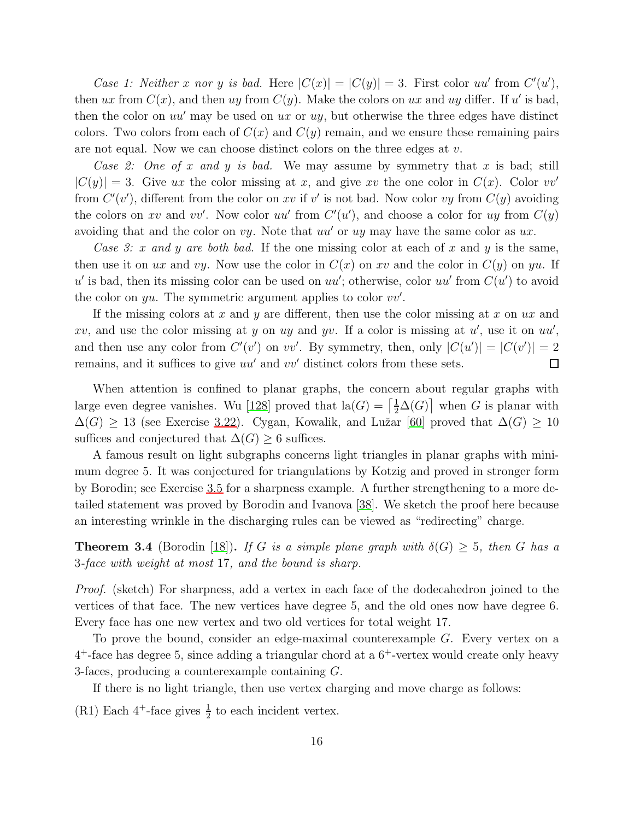Case 1: Neither x nor y is bad. Here  $|C(x)| = |C(y)| = 3$ . First color uu' from  $C'(u')$ , then ux from  $C(x)$ , and then uy from  $C(y)$ . Make the colors on ux and uy differ. If u' is bad, then the color on  $uu'$  may be used on ux or uy, but otherwise the three edges have distinct colors. Two colors from each of  $C(x)$  and  $C(y)$  remain, and we ensure these remaining pairs are not equal. Now we can choose distinct colors on the three edges at v.

Case 2: One of x and y is bad. We may assume by symmetry that x is bad; still  $|C(y)| = 3$ . Give ux the color missing at x, and give xv the one color in  $C(x)$ . Color vv' from  $C'(v')$ , different from the color on xv if v' is not bad. Now color vy from  $C(y)$  avoiding the colors on xv and vv'. Now color uu' from  $C'(u')$ , and choose a color for uy from  $C(y)$ avoiding that and the color on  $vy$ . Note that  $uu'$  or  $uy$  may have the same color as  $ux$ .

Case 3: x and y are both bad. If the one missing color at each of x and y is the same, then use it on ux and vy. Now use the color in  $C(x)$  on xv and the color in  $C(y)$  on yu. If u' is bad, then its missing color can be used on  $uu'$ ; otherwise, color  $uu'$  from  $C(u')$  to avoid the color on  $yu$ . The symmetric argument applies to color  $vv'$ .

If the missing colors at x and y are different, then use the color missing at x on  $ux$  and xv, and use the color missing at y on uy and yv. If a color is missing at  $u'$ , use it on  $uu'$ , and then use any color from  $C'(v')$  on  $vv'$ . By symmetry, then, only  $|C(u')| = |C(v')| = 2$ remains, and it suffices to give uu′ and vv′ distinct colors from these sets.  $\Box$ 

When attention is confined to planar graphs, the concern about regular graphs with large even degree vanishes. Wu [\[128\]](#page-49-4) proved that  $\text{la}(G) = \left[\frac{1}{2}\Delta(G)\right]$  when G is planar with  $\Delta(G) \geq 13$  (see Exercise [3.22\)](#page-25-0). Cygan, Kowalik, and Lužar [\[60\]](#page-46-6) proved that  $\Delta(G) \geq 10$ suffices and conjectured that  $\Delta(G) \geq 6$  suffices.

A famous result on light subgraphs concerns light triangles in planar graphs with minimum degree 5. It was conjectured for triangulations by Kotzig and proved in stronger form by Borodin; see Exercise [3.5](#page-24-0) for a sharpness example. A further strengthening to a more detailed statement was proved by Borodin and Ivanova [\[38\]](#page-45-4). We sketch the proof here because an interesting wrinkle in the discharging rules can be viewed as "redirecting" charge.

<span id="page-15-0"></span>**Theorem 3.4** (Borodin [\[18\]](#page-44-6)). If G is a simple plane graph with  $\delta(G) > 5$ , then G has a 3-face with weight at most 17, and the bound is sharp.

Proof. (sketch) For sharpness, add a vertex in each face of the dodecahedron joined to the vertices of that face. The new vertices have degree 5, and the old ones now have degree 6. Every face has one new vertex and two old vertices for total weight 17.

To prove the bound, consider an edge-maximal counterexample G. Every vertex on a  $4^+$ -face has degree 5, since adding a triangular chord at a  $6^+$ -vertex would create only heavy 3-faces, producing a counterexample containing G.

If there is no light triangle, then use vertex charging and move charge as follows:

(R1) Each 4<sup>+</sup>-face gives  $\frac{1}{2}$  to each incident vertex.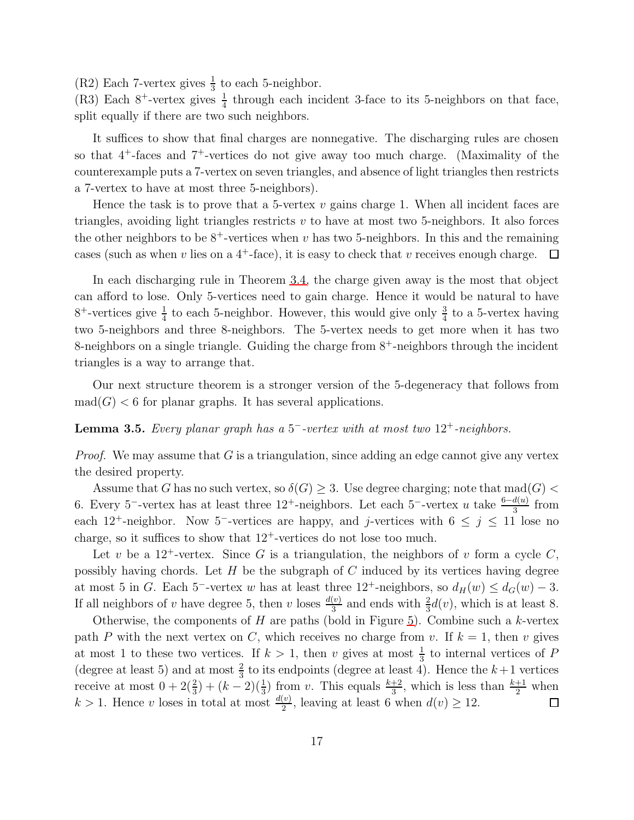(R2) Each 7-vertex gives  $\frac{1}{3}$  to each 5-neighbor.

(R3) Each  $8^+$ -vertex gives  $\frac{1}{4}$  through each incident 3-face to its 5-neighbors on that face, split equally if there are two such neighbors.

It suffices to show that final charges are nonnegative. The discharging rules are chosen so that  $4^+$ -faces and  $7^+$ -vertices do not give away too much charge. (Maximality of the counterexample puts a 7-vertex on seven triangles, and absence of light triangles then restricts a 7-vertex to have at most three 5-neighbors).

Hence the task is to prove that a 5-vertex  $v$  gains charge 1. When all incident faces are triangles, avoiding light triangles restricts  $v$  to have at most two 5-neighbors. It also forces the other neighbors to be  $8^+$ -vertices when v has two 5-neighbors. In this and the remaining cases (such as when v lies on a 4<sup>+</sup>-face), it is easy to check that v receives enough charge.  $\Box$ 

In each discharging rule in Theorem [3.4,](#page-15-0) the charge given away is the most that object can afford to lose. Only 5-vertices need to gain charge. Hence it would be natural to have  $8^+$ -vertices give  $\frac{1}{4}$  to each 5-neighbor. However, this would give only  $\frac{3}{4}$  to a 5-vertex having two 5-neighbors and three 8-neighbors. The 5-vertex needs to get more when it has two 8-neighbors on a single triangle. Guiding the charge from 8<sup>+</sup>-neighbors through the incident triangles is a way to arrange that.

Our next structure theorem is a stronger version of the 5-degeneracy that follows from  $\text{mad}(G) < 6$  for planar graphs. It has several applications.

#### <span id="page-16-0"></span>**Lemma 3.5.** Every planar graph has a  $5$ -vertex with at most two  $12^+$ -neighbors.

*Proof.* We may assume that G is a triangulation, since adding an edge cannot give any vertex the desired property.

Assume that G has no such vertex, so  $\delta(G) \geq 3$ . Use degree charging; note that mad $(G)$ 6. Every 5<sup>-</sup>-vertex has at least three 12<sup>+</sup>-neighbors. Let each 5<sup>-</sup>-vertex u take  $\frac{6-d(u)}{3}$  from each 12<sup>+</sup>-neighbor. Now 5<sup>-</sup>-vertices are happy, and j-vertices with  $6 \leq j \leq 11$  lose no charge, so it suffices to show that  $12^+$ -vertices do not lose too much.

Let v be a  $12^+$ -vertex. Since G is a triangulation, the neighbors of v form a cycle C, possibly having chords. Let  $H$  be the subgraph of  $C$  induced by its vertices having degree at most 5 in G. Each 5<sup>-</sup>-vertex w has at least three  $12^+$ -neighbors, so  $d_H(w) \leq d_G(w) - 3$ . If all neighbors of v have degree 5, then v loses  $\frac{d(v)}{3}$  and ends with  $\frac{2}{3}d(v)$ , which is at least 8.

Otherwise, the components of H are paths (bold in Figure [5\)](#page-17-0). Combine such a k-vertex path P with the next vertex on C, which receives no charge from v. If  $k = 1$ , then v gives at most 1 to these two vertices. If  $k > 1$ , then v gives at most  $\frac{1}{3}$  to internal vertices of P (degree at least 5) and at most  $\frac{2}{3}$  to its endpoints (degree at least 4). Hence the  $k+1$  vertices receive at most  $0+2(\frac{2}{3})+(k-2)(\frac{1}{3})$  from v. This equals  $\frac{k+2}{3}$ , which is less than  $\frac{k+1}{2}$  when  $k > 1$ . Hence v loses in total at most  $\frac{d(v)}{2}$ , leaving at least 6 when  $d(v) \ge 12$ .  $\Box$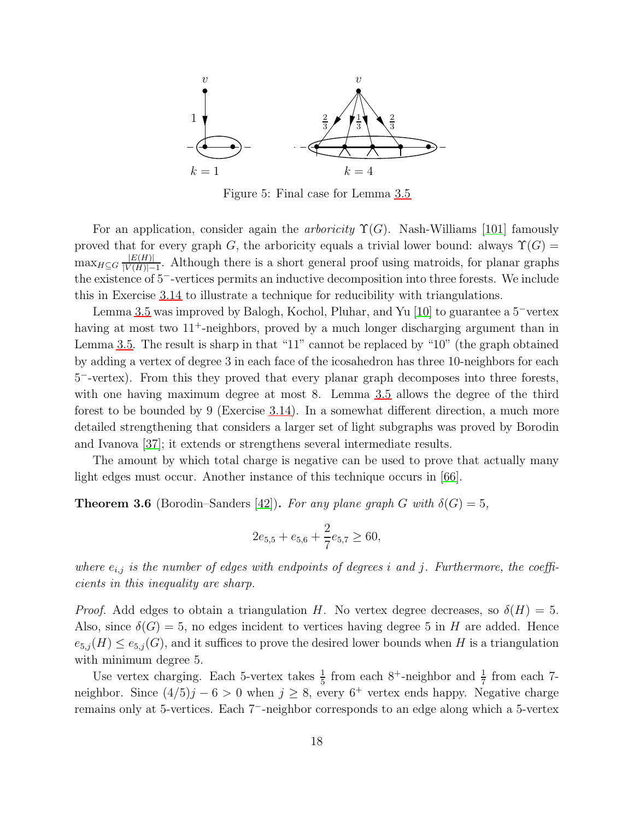

<span id="page-17-0"></span>Figure 5: Final case for Lemma [3.5](#page-16-0)

For an application, consider again the *arboricity*  $\Upsilon(G)$ . Nash-Williams [\[101\]](#page-48-3) famously proved that for every graph G, the arboricity equals a trivial lower bound: always  $\Upsilon(G)$  =  $\max_{H \subseteq G} \frac{|E(H)|}{|V(H)|}$  $\frac{|E(H)|}{|V(H)|-1}$ . Although there is a short general proof using matroids, for planar graphs the existence of 5<sup>−</sup>-vertices permits an inductive decomposition into three forests. We include this in Exercise [3.14](#page-24-1) to illustrate a technique for reducibility with triangulations.

Lemma [3.5](#page-16-0) was improved by Balogh, Kochol, Pluhar, and Yu [\[10\]](#page-44-7) to guarantee a 5<sup>−</sup>vertex having at most two  $11^+$ -neighbors, proved by a much longer discharging argument than in Lemma [3.5.](#page-16-0) The result is sharp in that "11" cannot be replaced by "10" (the graph obtained by adding a vertex of degree 3 in each face of the icosahedron has three 10-neighbors for each 5 <sup>−</sup>-vertex). From this they proved that every planar graph decomposes into three forests, with one having maximum degree at most 8. Lemma [3.5](#page-16-0) allows the degree of the third forest to be bounded by 9 (Exercise [3.14\)](#page-24-1). In a somewhat different direction, a much more detailed strengthening that considers a larger set of light subgraphs was proved by Borodin and Ivanova [\[37\]](#page-45-5); it extends or strengthens several intermediate results.

The amount by which total charge is negative can be used to prove that actually many light edges must occur. Another instance of this technique occurs in [\[66\]](#page-46-7).

<span id="page-17-1"></span>**Theorem 3.6** (Borodin–Sanders [\[42\]](#page-45-6)). For any plane graph G with  $\delta(G) = 5$ ,

$$
2e_{5,5} + e_{5,6} + \frac{2}{7}e_{5,7} \ge 60,
$$

where  $e_{i,j}$  is the number of edges with endpoints of degrees i and j. Furthermore, the coefficients in this inequality are sharp.

*Proof.* Add edges to obtain a triangulation H. No vertex degree decreases, so  $\delta(H) = 5$ . Also, since  $\delta(G) = 5$ , no edges incident to vertices having degree 5 in H are added. Hence  $e_{5,j}(H) \leq e_{5,j}(G)$ , and it suffices to prove the desired lower bounds when H is a triangulation with minimum degree  $5$ .

Use vertex charging. Each 5-vertex takes  $\frac{1}{5}$  from each 8<sup>+</sup>-neighbor and  $\frac{1}{7}$  from each 7neighbor. Since  $(4/5)j - 6 > 0$  when  $j \geq 8$ , every 6<sup>+</sup> vertex ends happy. Negative charge remains only at 5-vertices. Each 7<sup>−</sup>-neighbor corresponds to an edge along which a 5-vertex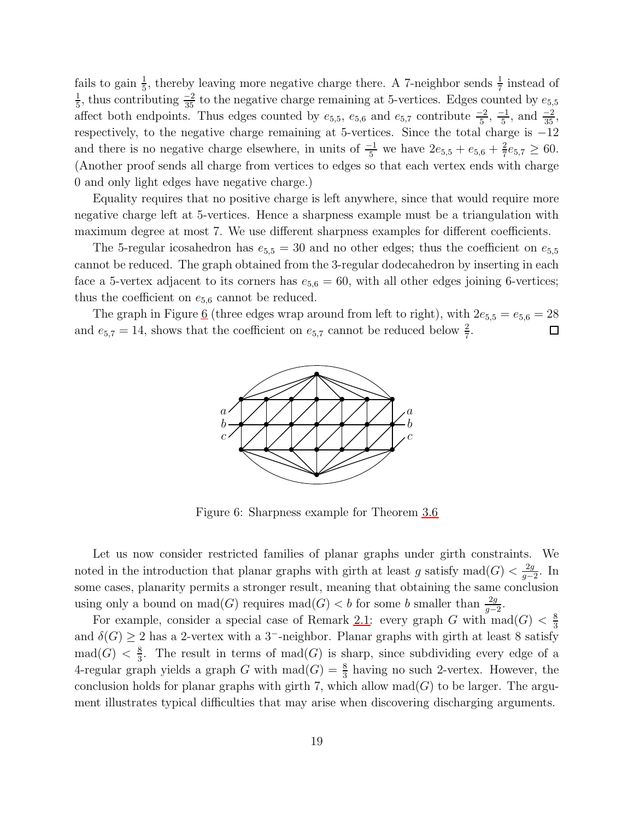fails to gain  $\frac{1}{5}$ , thereby leaving more negative charge there. A 7-neighbor sends  $\frac{1}{7}$  instead of 1  $\frac{1}{5}$ , thus contributing  $\frac{-2}{35}$  to the negative charge remaining at 5-vertices. Edges counted by  $e_{5,5}$ affect both endpoints. Thus edges counted by  $e_{5,5}$ ,  $e_{5,6}$  and  $e_{5,7}$  contribute  $\frac{-2}{5}$ ,  $\frac{-1}{5}$  $\frac{-1}{5}$ , and  $\frac{-2}{35}$ , respectively, to the negative charge remaining at 5-vertices. Since the total charge is −12 and there is no negative charge elsewhere, in units of  $\frac{-1}{5}$  we have  $2e_{5,5} + e_{5,6} + \frac{2}{7}$  $\frac{2}{7}e_{5,7} \geq 60.$ (Another proof sends all charge from vertices to edges so that each vertex ends with charge 0 and only light edges have negative charge.)

Equality requires that no positive charge is left anywhere, since that would require more negative charge left at 5-vertices. Hence a sharpness example must be a triangulation with maximum degree at most 7. We use different sharpness examples for different coefficients.

The 5-regular icosahedron has  $e_{5,5} = 30$  and no other edges; thus the coefficient on  $e_{5,5}$ cannot be reduced. The graph obtained from the 3-regular dodecahedron by inserting in each face a 5-vertex adjacent to its corners has  $e_{5,6} = 60$ , with all other edges joining 6-vertices; thus the coefficient on  $e_{5,6}$  cannot be reduced.

The graph in Figure [6](#page-18-0) (three edges wrap around from left to right), with  $2e_{5,5} = e_{5,6} = 28$ and  $e_{5,7} = 14$ , shows that the coefficient on  $e_{5,7}$  cannot be reduced below  $\frac{2}{7}$ .  $\Box$ 



<span id="page-18-0"></span>Figure 6: Sharpness example for Theorem [3.6](#page-17-1)

Let us now consider restricted families of planar graphs under girth constraints. We noted in the introduction that planar graphs with girth at least g satisfy mad $(G) < \frac{2g}{g-1}$  $\frac{2g}{g-2}$ . In some cases, planarity permits a stronger result, meaning that obtaining the same conclusion using only a bound on  $\text{mad}(G)$  requires  $\text{mad}(G) < b$  for some b smaller than  $\frac{2g}{g-2}$ .

For example, consider a special case of Remark [2.1:](#page-4-1) every graph G with mad $(G) < \frac{8}{3}$ 3 and  $\delta(G) \geq 2$  has a 2-vertex with a 3<sup>-</sup>-neighbor. Planar graphs with girth at least 8 satisfy  $mad(G) < \frac{8}{3}$  $\frac{8}{3}$ . The result in terms of mad(G) is sharp, since subdividing every edge of a 4-regular graph yields a graph G with  $\text{mad}(G) = \frac{8}{3}$  having no such 2-vertex. However, the conclusion holds for planar graphs with girth 7, which allow  $\text{mad}(G)$  to be larger. The argument illustrates typical difficulties that may arise when discovering discharging arguments.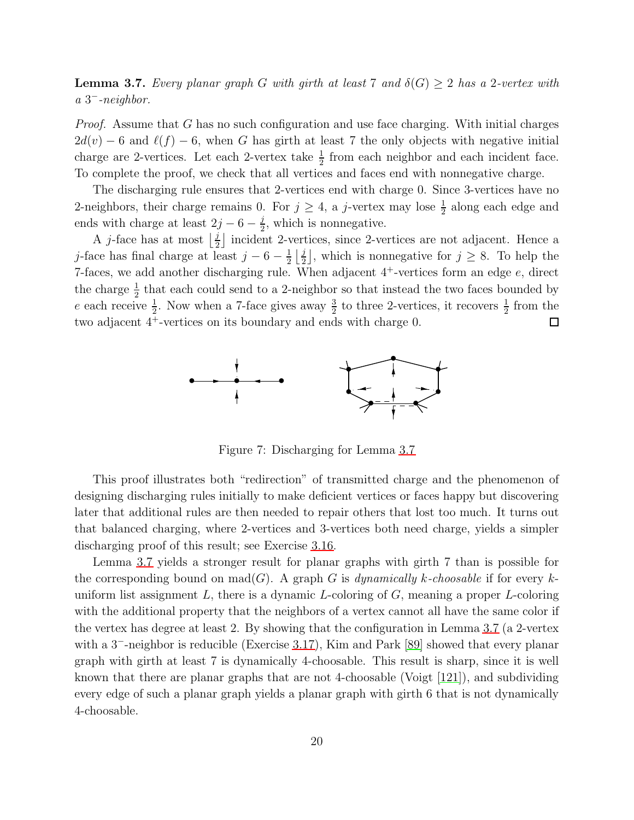<span id="page-19-0"></span>**Lemma 3.7.** Every planar graph G with girth at least 7 and  $\delta(G) \geq 2$  has a 2-vertex with a 3 <sup>−</sup>-neighbor.

*Proof.* Assume that G has no such configuration and use face charging. With initial charges  $2d(v) - 6$  and  $\ell(f) - 6$ , when G has girth at least 7 the only objects with negative initial charge are 2-vertices. Let each 2-vertex take  $\frac{1}{2}$  from each neighbor and each incident face. To complete the proof, we check that all vertices and faces end with nonnegative charge.

The discharging rule ensures that 2-vertices end with charge 0. Since 3-vertices have no 2-neighbors, their charge remains 0. For  $j \geq 4$ , a j-vertex may lose  $\frac{1}{2}$  along each edge and ends with charge at least  $2j-6-\frac{j}{2}$  $\frac{j}{2}$ , which is nonnegative.

A *j*-face has at most  $\frac{j}{2}$  $\frac{1}{2}$  incident 2-vertices, since 2-vertices are not adjacent. Hence a j-face has final charge at least  $j-6-\frac{1}{2}$  $rac{1}{2}$  $rac{1}{2}$  $\frac{j}{2}$ , which is nonnegative for  $j \geq 8$ . To help the 7-faces, we add another discharging rule. When adjacent  $4^+$ -vertices form an edge  $e$ , direct the charge  $\frac{1}{2}$  that each could send to a 2-neighbor so that instead the two faces bounded by e each receive  $\frac{1}{2}$ . Now when a 7-face gives away  $\frac{3}{2}$  to three 2-vertices, it recovers  $\frac{1}{2}$  from the two adjacent 4<sup>+</sup>-vertices on its boundary and ends with charge 0.  $\Box$ 



Figure 7: Discharging for Lemma [3.7](#page-19-0)

This proof illustrates both "redirection" of transmitted charge and the phenomenon of designing discharging rules initially to make deficient vertices or faces happy but discovering later that additional rules are then needed to repair others that lost too much. It turns out that balanced charging, where 2-vertices and 3-vertices both need charge, yields a simpler discharging proof of this result; see Exercise [3.16.](#page-25-1)

Lemma [3.7](#page-19-0) yields a stronger result for planar graphs with girth 7 than is possible for the corresponding bound on  $\text{mad}(G)$ . A graph G is *dynamically k-choosable* if for every kuniform list assignment  $L$ , there is a dynamic  $L$ -coloring of  $G$ , meaning a proper  $L$ -coloring with the additional property that the neighbors of a vertex cannot all have the same color if the vertex has degree at least 2. By showing that the configuration in Lemma [3.7](#page-19-0) (a 2-vertex with a 3<sup>−</sup>-neighbor is reducible (Exercise [3.17\)](#page-25-2), Kim and Park [\[89\]](#page-47-7) showed that every planar graph with girth at least 7 is dynamically 4-choosable. This result is sharp, since it is well known that there are planar graphs that are not 4-choosable (Voigt [\[121\]](#page-49-6)), and subdividing every edge of such a planar graph yields a planar graph with girth 6 that is not dynamically 4-choosable.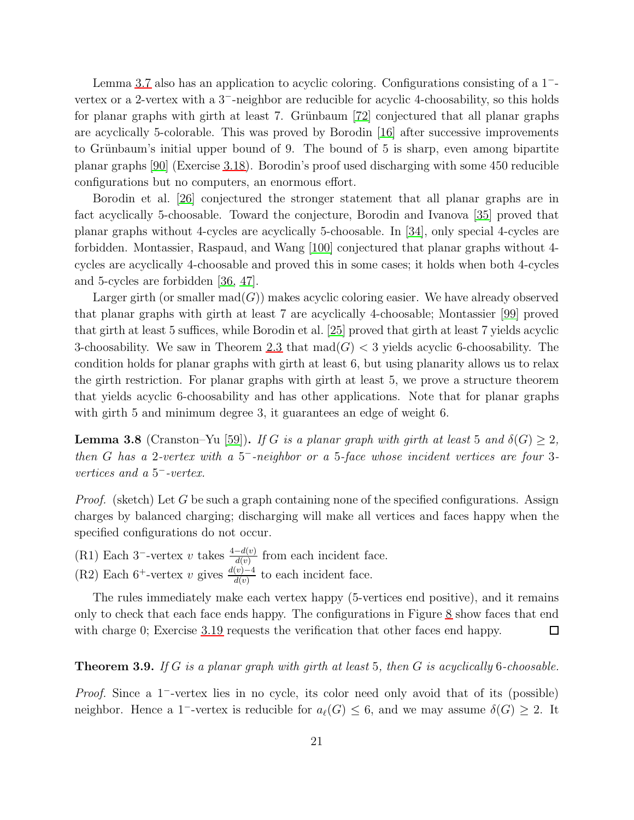Lemma [3.7](#page-19-0) also has an application to acyclic coloring. Configurations consisting of a 1<sup>−</sup> vertex or a 2-vertex with a 3<sup>−</sup>-neighbor are reducible for acyclic 4-choosability, so this holds for planar graphs with girth at least 7. Grünbaum [\[72\]](#page-47-2) conjectured that all planar graphs are acyclically 5-colorable. This was proved by Borodin [\[16\]](#page-44-8) after successive improvements to Grünbaum's initial upper bound of 9. The bound of 5 is sharp, even among bipartite planar graphs [\[90\]](#page-47-8) (Exercise [3.18\)](#page-25-3). Borodin's proof used discharging with some 450 reducible configurations but no computers, an enormous effort.

Borodin et al. [\[26\]](#page-45-7) conjectured the stronger statement that all planar graphs are in fact acyclically 5-choosable. Toward the conjecture, Borodin and Ivanova [\[35\]](#page-45-8) proved that planar graphs without 4-cycles are acyclically 5-choosable. In [\[34\]](#page-45-9), only special 4-cycles are forbidden. Montassier, Raspaud, and Wang [\[100\]](#page-48-4) conjectured that planar graphs without 4 cycles are acyclically 4-choosable and proved this in some cases; it holds when both 4-cycles and 5-cycles are forbidden [\[36,](#page-45-10) [47\]](#page-46-8).

Larger girth (or smaller  $\text{mad}(G)$ ) makes acyclic coloring easier. We have already observed that planar graphs with girth at least 7 are acyclically 4-choosable; Montassier [\[99\]](#page-48-5) proved that girth at least 5 suffices, while Borodin et al. [\[25\]](#page-45-11) proved that girth at least 7 yields acyclic 3-choosability. We saw in Theorem [2.3](#page-5-3) that  $\text{mad}(G) < 3$  yields acyclic 6-choosability. The condition holds for planar graphs with girth at least 6, but using planarity allows us to relax the girth restriction. For planar graphs with girth at least 5, we prove a structure theorem that yields acyclic 6-choosability and has other applications. Note that for planar graphs with girth 5 and minimum degree 3, it guarantees an edge of weight 6.

<span id="page-20-0"></span>**Lemma 3.8** (Cranston–Yu [\[59\]](#page-46-9)). If G is a planar graph with girth at least 5 and  $\delta(G) \geq 2$ , then  $G$  has a 2-vertex with a  $5^-$ -neighbor or a 5-face whose incident vertices are four 3vertices and a 5<sup>-</sup>-vertex.

*Proof.* (sketch) Let G be such a graph containing none of the specified configurations. Assign charges by balanced charging; discharging will make all vertices and faces happy when the specified configurations do not occur.

(R1) Each 3<sup>-</sup>-vertex v takes  $\frac{4-d(v)}{d(v)}$  from each incident face.

(R2) Each 6<sup>+</sup>-vertex v gives  $\frac{d(v)-4}{d(v)}$  to each incident face.

The rules immediately make each vertex happy (5-vertices end positive), and it remains only to check that each face ends happy. The configurations in Figure [8](#page-21-0) show faces that end with charge 0; Exercise [3.19](#page-25-4) requests the verification that other faces end happy.  $\Box$ 

#### <span id="page-20-1"></span>**Theorem 3.9.** If G is a planar graph with girth at least 5, then G is acyclically  $6$ -choosable.

Proof. Since a 1<sup>-</sup>-vertex lies in no cycle, its color need only avoid that of its (possible) neighbor. Hence a 1<sup>-</sup>-vertex is reducible for  $a_{\ell}(G) \leq 6$ , and we may assume  $\delta(G) \geq 2$ . It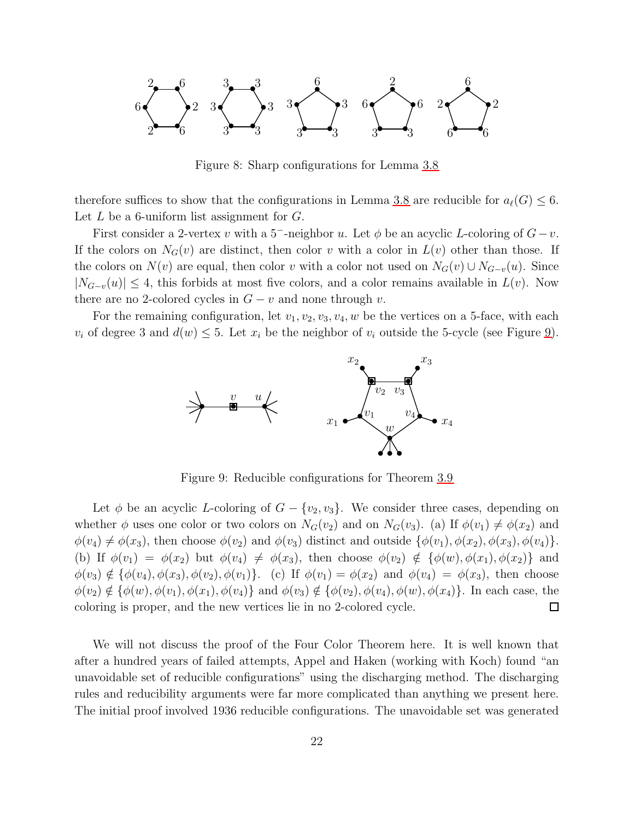

<span id="page-21-0"></span>Figure 8: Sharp configurations for Lemma [3.8](#page-20-0)

therefore suffices to show that the configurations in Lemma [3.8](#page-20-0) are reducible for  $a_{\ell}(G) \leq 6$ . Let  $L$  be a 6-uniform list assignment for  $G$ .

First consider a 2-vertex v with a 5<sup>-</sup>-neighbor u. Let  $\phi$  be an acyclic L-coloring of  $G-v$ . If the colors on  $N_G(v)$  are distinct, then color v with a color in  $L(v)$  other than those. If the colors on  $N(v)$  are equal, then color v with a color not used on  $N_G(v) \cup N_{G-v}(u)$ . Since  $|N_{G-v}(u)| \leq 4$ , this forbids at most five colors, and a color remains available in  $L(v)$ . Now there are no 2-colored cycles in  $G - v$  and none through v.

For the remaining configuration, let  $v_1, v_2, v_3, v_4, w$  be the vertices on a 5-face, with each  $v_i$  of degree 3 and  $d(w) \leq 5$ . Let  $x_i$  be the neighbor of  $v_i$  outside the 5-cycle (see Figure [9\)](#page-21-1).



<span id="page-21-1"></span>Figure 9: Reducible configurations for Theorem [3.9](#page-20-1)

Let  $\phi$  be an acyclic L-coloring of  $G - \{v_2, v_3\}$ . We consider three cases, depending on whether  $\phi$  uses one color or two colors on  $N_G(v_2)$  and on  $N_G(v_3)$ . (a) If  $\phi(v_1) \neq \phi(x_2)$  and  $\phi(v_4) \neq \phi(x_3)$ , then choose  $\phi(v_2)$  and  $\phi(v_3)$  distinct and outside  $\{\phi(v_1), \phi(x_2), \phi(x_3), \phi(v_4)\}.$ (b) If  $\phi(v_1) = \phi(x_2)$  but  $\phi(v_4) \neq \phi(x_3)$ , then choose  $\phi(v_2) \notin {\phi(w), \phi(x_1), \phi(x_2)}$  and  $\phi(v_3) \notin {\phi(v_4), \phi(x_3), \phi(v_2), \phi(v_1)}$ . (c) If  $\phi(v_1) = \phi(x_2)$  and  $\phi(v_4) = \phi(x_3)$ , then choose  $\phi(v_2) \notin {\phi(w), \phi(v_1), \phi(x_1), \phi(v_4)}$  and  $\phi(v_3) \notin {\phi(v_2), \phi(v_4), \phi(w), \phi(x_4)}$ . In each case, the coloring is proper, and the new vertices lie in no 2-colored cycle.  $\Box$ 

We will not discuss the proof of the Four Color Theorem here. It is well known that after a hundred years of failed attempts, Appel and Haken (working with Koch) found "an unavoidable set of reducible configurations" using the discharging method. The discharging rules and reducibility arguments were far more complicated than anything we present here. The initial proof involved 1936 reducible configurations. The unavoidable set was generated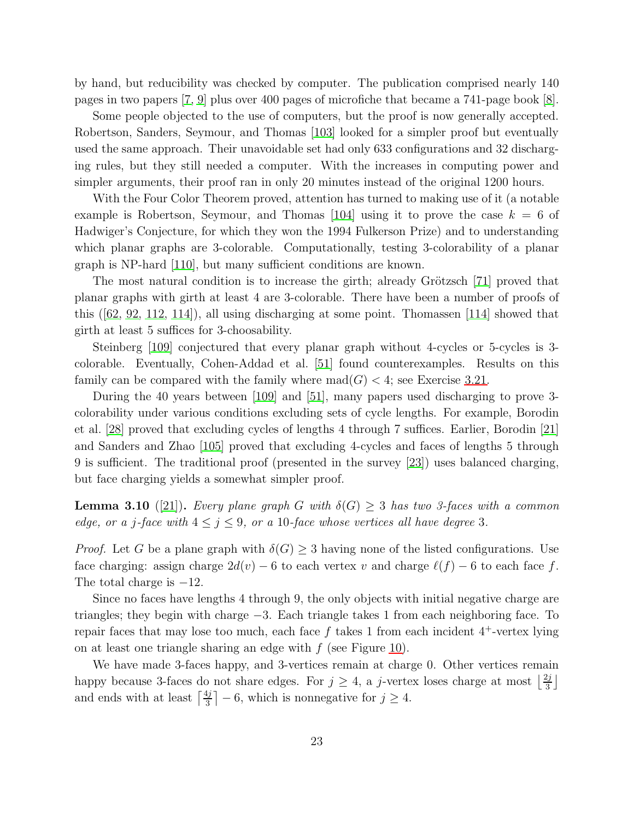by hand, but reducibility was checked by computer. The publication comprised nearly 140 pages in two papers [\[7,](#page-44-9) [9\]](#page-44-10) plus over 400 pages of microfiche that became a 741-page book [\[8\]](#page-44-11).

Some people objected to the use of computers, but the proof is now generally accepted. Robertson, Sanders, Seymour, and Thomas [\[103\]](#page-48-6) looked for a simpler proof but eventually used the same approach. Their unavoidable set had only 633 configurations and 32 discharging rules, but they still needed a computer. With the increases in computing power and simpler arguments, their proof ran in only 20 minutes instead of the original 1200 hours.

With the Four Color Theorem proved, attention has turned to making use of it (a notable example is Robertson, Seymour, and Thomas [\[104\]](#page-48-7) using it to prove the case  $k = 6$  of Hadwiger's Conjecture, for which they won the 1994 Fulkerson Prize) and to understanding which planar graphs are 3-colorable. Computationally, testing 3-colorability of a planar graph is NP-hard [\[110\]](#page-48-8), but many sufficient conditions are known.

The most natural condition is to increase the girth; already Grötzsch [\[71\]](#page-47-9) proved that planar graphs with girth at least 4 are 3-colorable. There have been a number of proofs of this ([\[62,](#page-46-10) [92,](#page-48-9) [112,](#page-48-10) [114\]](#page-49-7)), all using discharging at some point. Thomassen [\[114\]](#page-49-7) showed that girth at least 5 suffices for 3-choosability.

Steinberg [\[109\]](#page-48-11) conjectured that every planar graph without 4-cycles or 5-cycles is 3 colorable. Eventually, Cohen-Addad et al. [\[51\]](#page-46-11) found counterexamples. Results on this family can be compared with the family where  $\text{mad}(G) < 4$ ; see Exercise [3.21.](#page-25-5)

During the 40 years between [\[109\]](#page-48-11) and [\[51\]](#page-46-11), many papers used discharging to prove 3 colorability under various conditions excluding sets of cycle lengths. For example, Borodin et al. [\[28\]](#page-45-12) proved that excluding cycles of lengths 4 through 7 suffices. Earlier, Borodin [\[21\]](#page-44-12) and Sanders and Zhao [\[105\]](#page-48-12) proved that excluding 4-cycles and faces of lengths 5 through 9 is sufficient. The traditional proof (presented in the survey [\[23\]](#page-44-0)) uses balanced charging, but face charging yields a somewhat simpler proof.

<span id="page-22-0"></span>**Lemma 3.10** ([\[21\]](#page-44-12)). Every plane graph G with  $\delta(G) \geq 3$  has two 3-faces with a common edge, or a j-face with  $4 \leq j \leq 9$ , or a 10-face whose vertices all have degree 3.

*Proof.* Let G be a plane graph with  $\delta(G) \geq 3$  having none of the listed configurations. Use face charging: assign charge  $2d(v) - 6$  to each vertex v and charge  $\ell(f) - 6$  to each face f. The total charge is  $-12$ .

Since no faces have lengths 4 through 9, the only objects with initial negative charge are triangles; they begin with charge −3. Each triangle takes 1 from each neighboring face. To repair faces that may lose too much, each face  $f$  takes 1 from each incident  $4^+$ -vertex lying on at least one triangle sharing an edge with  $f$  (see Figure [10\)](#page-23-0).

We have made 3-faces happy, and 3-vertices remain at charge 0. Other vertices remain happy because 3-faces do not share edges. For  $j \geq 4$ , a j-vertex loses charge at most  $\frac{2j}{3}$  $\frac{2j}{3}$ and ends with at least  $\lceil \frac{4j}{3} \rceil$  $\frac{4j}{3}$  | - 6, which is nonnegative for  $j \geq 4$ .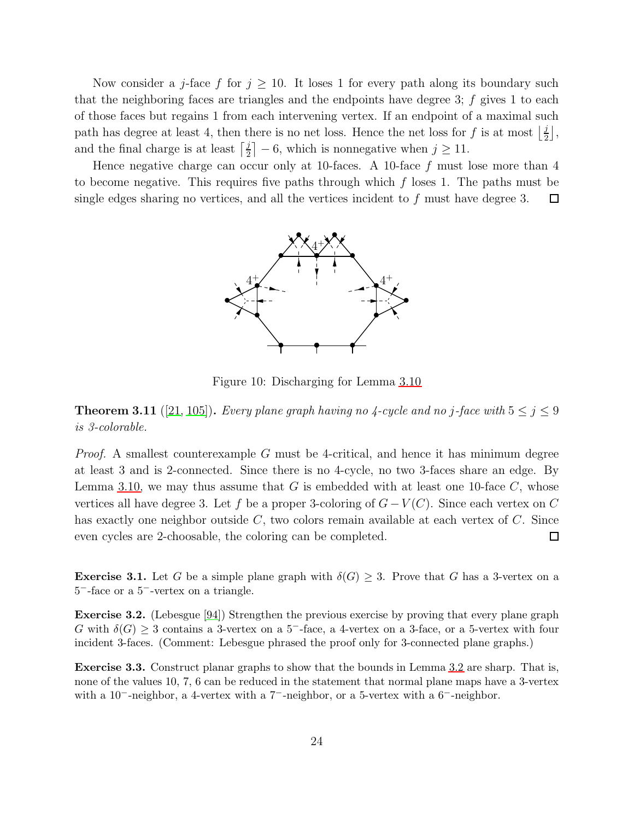Now consider a j-face f for  $j \geq 10$ . It loses 1 for every path along its boundary such that the neighboring faces are triangles and the endpoints have degree 3; f gives 1 to each of those faces but regains 1 from each intervening vertex. If an endpoint of a maximal such path has degree at least 4, then there is no net loss. Hence the net loss for f is at most  $\frac{1}{2}$  $\frac{j}{2}$ , and the final charge is at least  $\left[\frac{j}{2}\right]$  $\lfloor \frac{j}{2} \rfloor - 6$ , which is nonnegative when  $j \ge 11$ .

Hence negative charge can occur only at 10-faces. A 10-face f must lose more than 4 to become negative. This requires five paths through which  $f$  loses 1. The paths must be single edges sharing no vertices, and all the vertices incident to  $f$  must have degree 3. □



<span id="page-23-0"></span>Figure 10: Discharging for Lemma [3.10](#page-22-0)

**Theorem 3.11** ([\[21,](#page-44-12) [105\]](#page-48-12)). Every plane graph having no 4-cycle and no j-face with  $5 \le j \le 9$ is 3-colorable.

*Proof.* A smallest counterexample G must be 4-critical, and hence it has minimum degree at least 3 and is 2-connected. Since there is no 4-cycle, no two 3-faces share an edge. By Lemma [3.10,](#page-22-0) we may thus assume that G is embedded with at least one 10-face  $C$ , whose vertices all have degree 3. Let f be a proper 3-coloring of  $G-V(C)$ . Since each vertex on C has exactly one neighbor outside  $C$ , two colors remain available at each vertex of  $C$ . Since even cycles are 2-choosable, the coloring can be completed. 口

**Exercise 3.1.** Let G be a simple plane graph with  $\delta(G) \geq 3$ . Prove that G has a 3-vertex on a 5 <sup>−</sup>-face or a 5−-vertex on a triangle.

Exercise 3.2. (Lebesgue [\[94\]](#page-48-13)) Strengthen the previous exercise by proving that every plane graph G with  $\delta(G) \geq 3$  contains a 3-vertex on a 5<sup>-</sup>-face, a 4-vertex on a 3-face, or a 5-vertex with four incident 3-faces. (Comment: Lebesgue phrased the proof only for 3-connected plane graphs.)

Exercise 3.3. Construct planar graphs to show that the bounds in Lemma [3.2](#page-13-0) are sharp. That is, none of the values 10, 7, 6 can be reduced in the statement that normal plane maps have a 3-vertex with a 10−-neighbor, a 4-vertex with a 7−-neighbor, or a 5-vertex with a 6−-neighbor.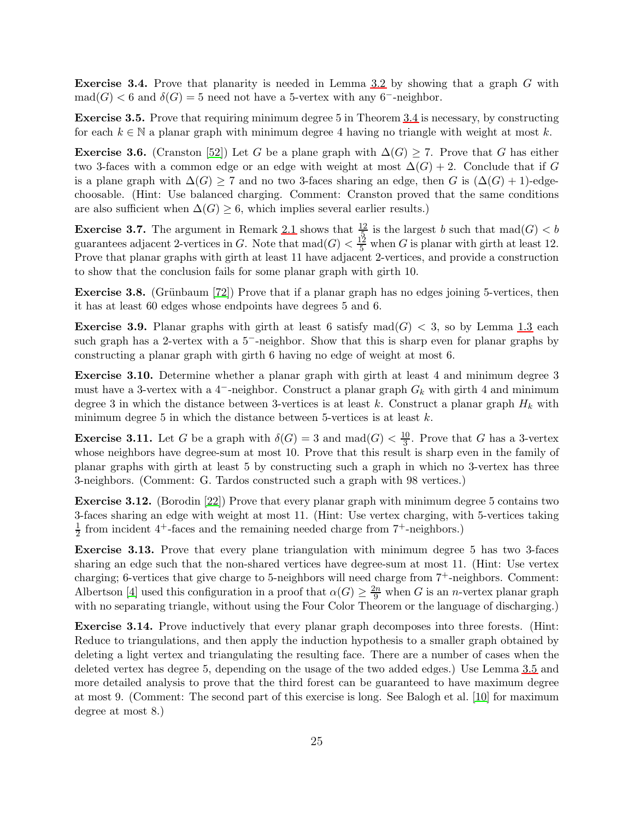Exercise 3.4. Prove that planarity is needed in Lemma [3.2](#page-13-0) by showing that a graph G with  $\text{mad}(G) < 6$  and  $\delta(G) = 5$  need not have a 5-vertex with any 6<sup>-</sup>-neighbor.

<span id="page-24-0"></span>Exercise 3.5. Prove that requiring minimum degree 5 in Theorem [3.4](#page-15-0) is necessary, by constructing for each  $k \in \mathbb{N}$  a planar graph with minimum degree 4 having no triangle with weight at most k.

Exercise 3.6. (Cranston [\[52\]](#page-46-12)) Let G be a plane graph with  $\Delta(G) \geq 7$ . Prove that G has either two 3-faces with a common edge or an edge with weight at most  $\Delta(G) + 2$ . Conclude that if G is a plane graph with  $\Delta(G) \geq 7$  and no two 3-faces sharing an edge, then G is  $(\Delta(G) + 1)$ -edgechoosable. (Hint: Use balanced charging. Comment: Cranston proved that the same conditions are also sufficient when  $\Delta(G) \geq 6$ , which implies several earlier results.)

**Exercise 3.7.** The argument in Remark [2.1](#page-4-1) shows that  $\frac{12}{5}$  is the largest b such that mad(G) < b guarantees adjacent 2-vertices in G. Note that  $\text{mad}(G) < \frac{12}{5}$  when G is planar with girth at least 12. Prove that planar graphs with girth at least 11 have adjacent 2-vertices, and provide a construction to show that the conclusion fails for some planar graph with girth 10.

**Exercise 3.8.** (Grünbaum [\[72\]](#page-47-2)) Prove that if a planar graph has no edges joining 5-vertices, then it has at least 60 edges whose endpoints have degrees 5 and 6.

**Exercise 3.9.** Planar graphs with girth at least 6 satisfy  $\text{mad}(G) < 3$ , so by Lemma [1.3](#page-1-0) each such graph has a 2-vertex with a 5−-neighbor. Show that this is sharp even for planar graphs by constructing a planar graph with girth 6 having no edge of weight at most 6.

Exercise 3.10. Determine whether a planar graph with girth at least 4 and minimum degree 3 must have a 3-vertex with a 4<sup>-</sup>-neighbor. Construct a planar graph  $G_k$  with girth 4 and minimum degree 3 in which the distance between 3-vertices is at least k. Construct a planar graph  $H_k$  with minimum degree 5 in which the distance between 5-vertices is at least  $k$ .

**Exercise 3.11.** Let G be a graph with  $\delta(G) = 3$  and  $\text{mad}(G) < \frac{10}{3}$  $\frac{10}{3}$ . Prove that G has a 3-vertex whose neighbors have degree-sum at most 10. Prove that this result is sharp even in the family of planar graphs with girth at least 5 by constructing such a graph in which no 3-vertex has three 3-neighbors. (Comment: G. Tardos constructed such a graph with 98 vertices.)

Exercise 3.12. (Borodin [\[22\]](#page-44-13)) Prove that every planar graph with minimum degree 5 contains two 3-faces sharing an edge with weight at most 11. (Hint: Use vertex charging, with 5-vertices taking 1  $\frac{1}{2}$  from incident 4<sup>+</sup>-faces and the remaining needed charge from  $7^+$ -neighbors.)

Exercise 3.13. Prove that every plane triangulation with minimum degree 5 has two 3-faces sharing an edge such that the non-shared vertices have degree-sum at most 11. (Hint: Use vertex charging; 6-vertices that give charge to 5-neighbors will need charge from 7+-neighbors. Comment: Albertson [\[4\]](#page-44-14) used this configuration in a proof that  $\alpha(G) \geq \frac{2n}{9}$  when G is an *n*-vertex planar graph with no separating triangle, without using the Four Color Theorem or the language of discharging.)

<span id="page-24-1"></span>Exercise 3.14. Prove inductively that every planar graph decomposes into three forests. (Hint: Reduce to triangulations, and then apply the induction hypothesis to a smaller graph obtained by deleting a light vertex and triangulating the resulting face. There are a number of cases when the deleted vertex has degree 5, depending on the usage of the two added edges.) Use Lemma [3.5](#page-16-0) and more detailed analysis to prove that the third forest can be guaranteed to have maximum degree at most 9. (Comment: The second part of this exercise is long. See Balogh et al. [\[10\]](#page-44-7) for maximum degree at most 8.)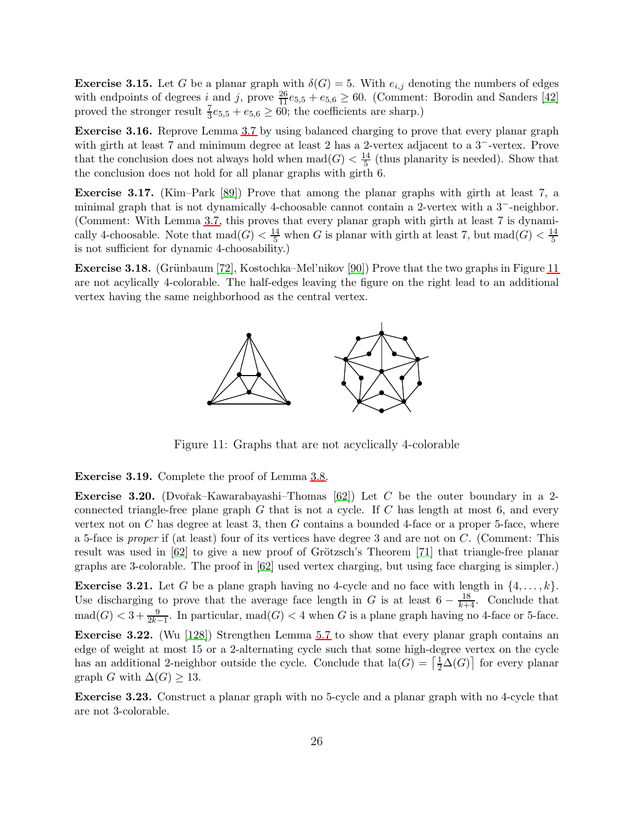**Exercise 3.15.** Let G be a planar graph with  $\delta(G) = 5$ . With  $e_{i,j}$  denoting the numbers of edges with endpoints of degrees  $i$  and  $j$ , prove  $\frac{26}{11}e_{5,5} + e_{5,6} \ge 60$ . (Comment: Borodin and Sanders [\[42\]](#page-45-6) proved the stronger result  $\frac{7}{3}e_{5,5} + e_{5,6} \ge 60$ ; the coefficients are sharp.)

<span id="page-25-1"></span>Exercise 3.16. Reprove Lemma [3.7](#page-19-0) by using balanced charging to prove that every planar graph with girth at least 7 and minimum degree at least 2 has a 2-vertex adjacent to a 3−-vertex. Prove that the conclusion does not always hold when  $\text{mad}(G) < \frac{14}{5}$  $\frac{14}{5}$  (thus planarity is needed). Show that the conclusion does not hold for all planar graphs with girth 6.

<span id="page-25-2"></span>Exercise 3.17. (Kim–Park [\[89\]](#page-47-7)) Prove that among the planar graphs with girth at least 7, a minimal graph that is not dynamically 4-choosable cannot contain a 2-vertex with a 3−-neighbor. (Comment: With Lemma [3.7,](#page-19-0) this proves that every planar graph with girth at least 7 is dynamically 4-choosable. Note that  $\text{mad}(G) < \frac{14}{5}$  when G is planar with girth at least 7, but  $\text{mad}(G) < \frac{14}{5}$ is not sufficient for dynamic 4-choosability.)

<span id="page-25-3"></span>**Exercise 3.18.** (Grünbaum [\[72\]](#page-47-2), Kostochka–Mel'nikov [\[90\]](#page-47-8)) Prove that the two graphs in Figure [11](#page-25-6) are not acylically 4-colorable. The half-edges leaving the figure on the right lead to an additional vertex having the same neighborhood as the central vertex.



<span id="page-25-6"></span>Figure 11: Graphs that are not acyclically 4-colorable

<span id="page-25-4"></span>Exercise 3.19. Complete the proof of Lemma [3.8.](#page-20-0)

Exercise 3.20. (Dvořak–Kawarabayashi–Thomas [\[62\]](#page-46-10)) Let C be the outer boundary in a 2connected triangle-free plane graph G that is not a cycle. If C has length at most 6, and every vertex not on  $C$  has degree at least 3, then  $G$  contains a bounded 4-face or a proper 5-face, where a 5-face is proper if (at least) four of its vertices have degree 3 and are not on C. (Comment: This result was used in  $[62]$  to give a new proof of Grötzsch's Theorem  $[71]$  that triangle-free planar graphs are 3-colorable. The proof in [\[62\]](#page-46-10) used vertex charging, but using face charging is simpler.)

<span id="page-25-5"></span>**Exercise 3.21.** Let G be a plane graph having no 4-cycle and no face with length in  $\{4, \ldots, k\}$ . Use discharging to prove that the average face length in G is at least  $6 - \frac{18}{k+4}$ . Conclude that  $\text{mad}(G) < 3 + \frac{9}{2k-1}$ . In particular,  $\text{mad}(G) < 4$  when G is a plane graph having no 4-face or 5-face.

<span id="page-25-0"></span>Exercise 3.22. (Wu [\[128\]](#page-49-4)) Strengthen Lemma [5.7](#page-40-0) to show that every planar graph contains an edge of weight at most 15 or a 2-alternating cycle such that some high-degree vertex on the cycle has an additional 2-neighbor outside the cycle. Conclude that  $\text{la}(G) = \left[\frac{1}{2}\Delta(G)\right]$  for every planar graph G with  $\Delta(G) \geq 13$ .

Exercise 3.23. Construct a planar graph with no 5-cycle and a planar graph with no 4-cycle that are not 3-colorable.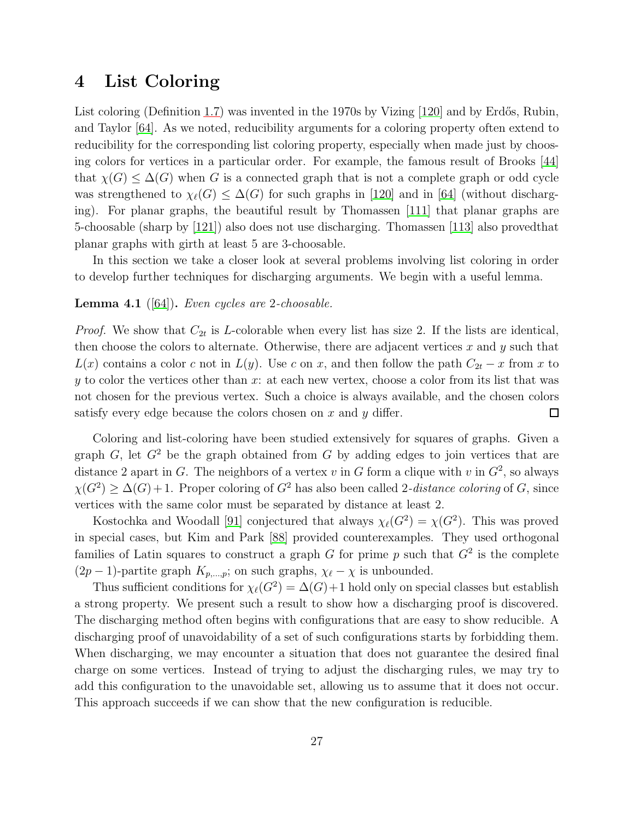### 4 List Coloring

List coloring (Definition [1.7\)](#page-3-0) was invented in the 1970s by Vizing  $|120|$  and by Erdős, Rubin, and Taylor [\[64\]](#page-46-13). As we noted, reducibility arguments for a coloring property often extend to reducibility for the corresponding list coloring property, especially when made just by choosing colors for vertices in a particular order. For example, the famous result of Brooks [\[44\]](#page-45-13) that  $\chi(G) \leq \Delta(G)$  when G is a connected graph that is not a complete graph or odd cycle was strengthened to  $\chi_{\ell}(G) \leq \Delta(G)$  for such graphs in [\[120\]](#page-49-8) and in [\[64\]](#page-46-13) (without discharging). For planar graphs, the beautiful result by Thomassen [\[111\]](#page-48-14) that planar graphs are 5-choosable (sharp by [\[121\]](#page-49-6)) also does not use discharging. Thomassen [\[113\]](#page-49-9) also provedthat planar graphs with girth at least 5 are 3-choosable.

In this section we take a closer look at several problems involving list coloring in order to develop further techniques for discharging arguments. We begin with a useful lemma.

#### <span id="page-26-0"></span>**Lemma 4.1** ([\[64\]](#page-46-13)). Even cycles are 2-choosable.

*Proof.* We show that  $C_{2t}$  is L-colorable when every list has size 2. If the lists are identical, then choose the colors to alternate. Otherwise, there are adjacent vertices  $x$  and  $y$  such that  $L(x)$  contains a color c not in  $L(y)$ . Use c on x, and then follow the path  $C_{2t} - x$  from x to y to color the vertices other than  $x$ : at each new vertex, choose a color from its list that was not chosen for the previous vertex. Such a choice is always available, and the chosen colors satisfy every edge because the colors chosen on  $x$  and  $y$  differ.  $\Box$ 

Coloring and list-coloring have been studied extensively for squares of graphs. Given a graph G, let  $G^2$  be the graph obtained from G by adding edges to join vertices that are distance 2 apart in G. The neighbors of a vertex v in G form a clique with v in  $G^2$ , so always  $\chi(G^2) \geq \Delta(G) + 1$ . Proper coloring of  $G^2$  has also been called 2-distance coloring of G, since vertices with the same color must be separated by distance at least 2.

Kostochka and Woodall [\[91\]](#page-48-15) conjectured that always  $\chi_{\ell}(G^2) = \chi(G^2)$ . This was proved in special cases, but Kim and Park [\[88\]](#page-47-10) provided counterexamples. They used orthogonal families of Latin squares to construct a graph G for prime p such that  $G^2$  is the complete  $(2p-1)$ -partite graph  $K_{p,\ldots,p}$ ; on such graphs,  $\chi_{\ell} - \chi$  is unbounded.

Thus sufficient conditions for  $\chi_{\ell}(G^2) = \Delta(G) + 1$  hold only on special classes but establish a strong property. We present such a result to show how a discharging proof is discovered. The discharging method often begins with configurations that are easy to show reducible. A discharging proof of unavoidability of a set of such configurations starts by forbidding them. When discharging, we may encounter a situation that does not guarantee the desired final charge on some vertices. Instead of trying to adjust the discharging rules, we may try to add this configuration to the unavoidable set, allowing us to assume that it does not occur. This approach succeeds if we can show that the new configuration is reducible.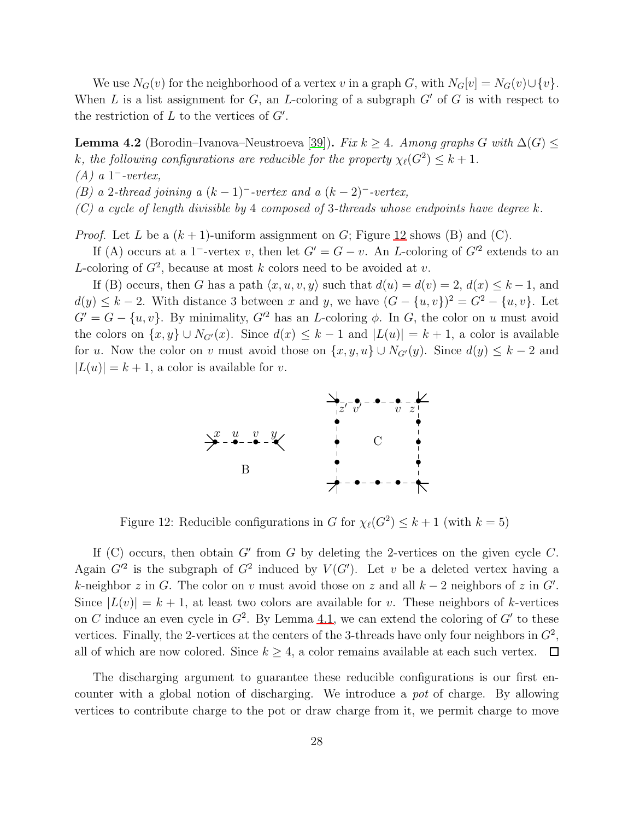We use  $N_G(v)$  for the neighborhood of a vertex v in a graph G, with  $N_G[v] = N_G(v) \cup \{v\}$ . When  $L$  is a list assignment for  $G$ , an  $L$ -coloring of a subgraph  $G'$  of  $G$  is with respect to the restriction of  $L$  to the vertices of  $G'$ .

<span id="page-27-1"></span>**Lemma 4.2** (Borodin–Ivanova–Neustroeva [\[39\]](#page-45-14)). Fix  $k \geq 4$ . Among graphs G with  $\Delta(G) \leq$ k, the following configurations are reducible for the property  $\chi_{\ell}(G^2) \leq k+1$ .

 $(A)$  a 1<sup>-</sup>-vertex,

(B) a 2-thread joining a  $(k-1)$ <sup>-</sup>-vertex and a  $(k-2)$ <sup>-</sup>-vertex,

 $(C)$  a cycle of length divisible by 4 composed of 3-threads whose endpoints have degree k.

*Proof.* Let L be a  $(k + 1)$ -uniform assignment on G; Figure [12](#page-27-0) shows (B) and (C).

If (A) occurs at a 1<sup>-</sup>-vertex v, then let  $G' = G - v$ . An L-coloring of  $G'^2$  extends to an L-coloring of  $G^2$ , because at most k colors need to be avoided at v.

If (B) occurs, then G has a path  $\langle x, u, v, y \rangle$  such that  $d(u) = d(v) = 2$ ,  $d(x) \leq k - 1$ , and  $d(y) \leq k-2$ . With distance 3 between x and y, we have  $(G - \{u, v\})^2 = G^2 - \{u, v\}$ . Let  $G' = G - \{u, v\}$ . By minimality,  $G'^2$  has an *L*-coloring  $\phi$ . In *G*, the color on *u* must avoid the colors on  $\{x, y\} \cup N_{G'}(x)$ . Since  $d(x) \leq k-1$  and  $|L(u)| = k+1$ , a color is available for u. Now the color on v must avoid those on  $\{x, y, u\} \cup N_{G'}(y)$ . Since  $d(y) \leq k - 2$  and  $|L(u)| = k + 1$ , a color is available for v.



<span id="page-27-0"></span>Figure 12: Reducible configurations in G for  $\chi_{\ell}(G^2) \leq k+1$  (with  $k=5$ )

If  $(C)$  occurs, then obtain  $G'$  from  $G$  by deleting the 2-vertices on the given cycle  $C$ . Again  $G^2$  is the subgraph of  $G^2$  induced by  $V(G')$ . Let v be a deleted vertex having a k-neighbor z in G. The color on v must avoid those on z and all  $k-2$  neighbors of z in G'. Since  $|L(v)| = k + 1$ , at least two colors are available for v. These neighbors of k-vertices on C induce an even cycle in  $G^2$ . By Lemma [4.1,](#page-26-0) we can extend the coloring of  $G'$  to these vertices. Finally, the 2-vertices at the centers of the 3-threads have only four neighbors in  $G^2$ , all of which are now colored. Since  $k \geq 4$ , a color remains available at each such vertex.  $\Box$ 

The discharging argument to guarantee these reducible configurations is our first encounter with a global notion of discharging. We introduce a pot of charge. By allowing vertices to contribute charge to the pot or draw charge from it, we permit charge to move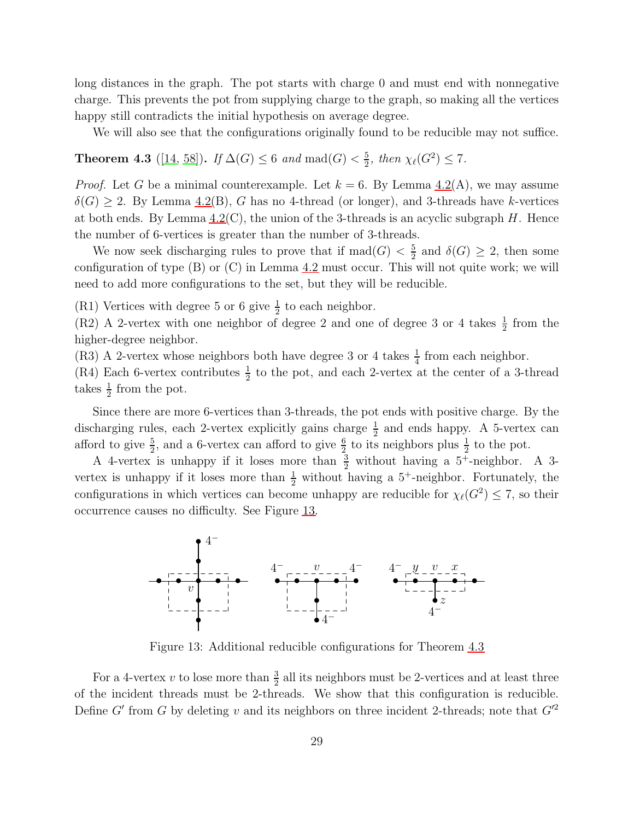long distances in the graph. The pot starts with charge 0 and must end with nonnegative charge. This prevents the pot from supplying charge to the graph, so making all the vertices happy still contradicts the initial hypothesis on average degree.

We will also see that the configurations originally found to be reducible may not suffice.

<span id="page-28-1"></span>**Theorem 4.3** ([\[14,](#page-44-15) [58\]](#page-46-14)). If  $\Delta(G) \leq 6$  and mad $(G) < \frac{5}{2}$  $\frac{5}{2}$ , then  $\chi_{\ell}(G^2) \leq 7$ .

*Proof.* Let G be a minimal counterexample. Let  $k = 6$ . By Lemma [4.2\(](#page-27-1)A), we may assume  $\delta(G) \geq 2$ . By Lemma [4.2\(](#page-27-1)B), G has no 4-thread (or longer), and 3-threads have k-vertices at both ends. By Lemma  $4.2(\text{C})$ , the union of the 3-threads is an acyclic subgraph H. Hence the number of 6-vertices is greater than the number of 3-threads.

We now seek discharging rules to prove that if  $\text{mad}(G) < \frac{5}{2}$  $\frac{5}{2}$  and  $\delta(G) \geq 2$ , then some configuration of type (B) or (C) in Lemma [4.2](#page-27-1) must occur. This will not quite work; we will need to add more configurations to the set, but they will be reducible.

(R1) Vertices with degree 5 or 6 give  $\frac{1}{2}$  to each neighbor.

(R2) A 2-vertex with one neighbor of degree 2 and one of degree 3 or 4 takes  $\frac{1}{2}$  from the higher-degree neighbor.

(R3) A 2-vertex whose neighbors both have degree 3 or 4 takes  $\frac{1}{4}$  from each neighbor.

(R4) Each 6-vertex contributes  $\frac{1}{2}$  to the pot, and each 2-vertex at the center of a 3-thread takes  $\frac{1}{2}$  from the pot.

Since there are more 6-vertices than 3-threads, the pot ends with positive charge. By the discharging rules, each 2-vertex explicitly gains charge  $\frac{1}{2}$  and ends happy. A 5-vertex can afford to give  $\frac{5}{2}$ , and a 6-vertex can afford to give  $\frac{6}{2}$  to its neighbors plus  $\frac{1}{2}$  to the pot.

A 4-vertex is unhappy if it loses more than  $\frac{3}{2}$  without having a 5<sup>+</sup>-neighbor. A 3vertex is unhappy if it loses more than  $\frac{1}{2}$  without having a 5<sup>+</sup>-neighbor. Fortunately, the configurations in which vertices can become unhappy are reducible for  $\chi_{\ell}(G^2) \leq 7$ , so their occurrence causes no difficulty. See Figure [13.](#page-28-0)



<span id="page-28-0"></span>Figure 13: Additional reducible configurations for Theorem [4.3](#page-28-1)

For a 4-vertex v to lose more than  $\frac{3}{2}$  all its neighbors must be 2-vertices and at least three of the incident threads must be 2-threads. We show that this configuration is reducible. Define G' from G by deleting v and its neighbors on three incident 2-threads; note that  $G^2$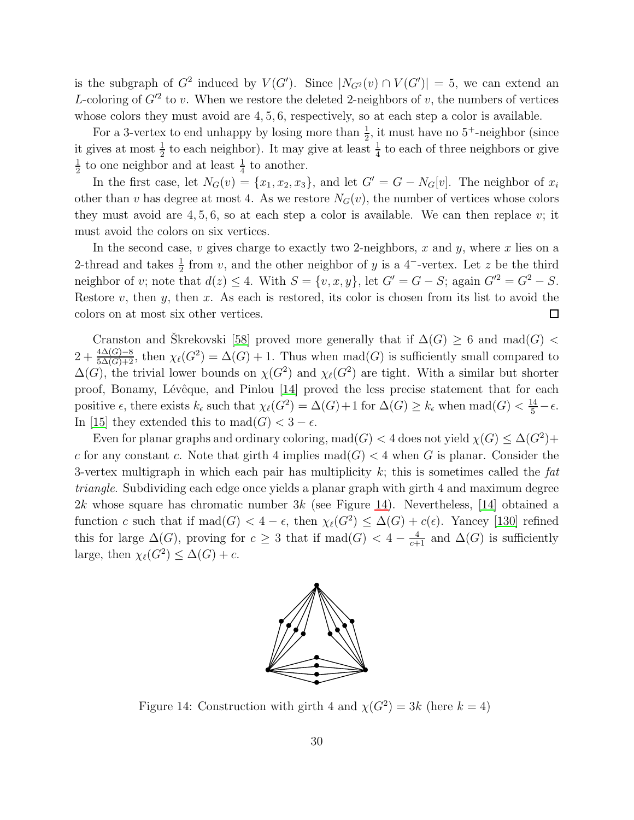is the subgraph of  $G^2$  induced by  $V(G')$ . Since  $|N_{G^2}(v) \cap V(G')| = 5$ , we can extend an L-coloring of  $G'^2$  to v. When we restore the deleted 2-neighbors of v, the numbers of vertices whose colors they must avoid are 4, 5, 6, respectively, so at each step a color is available.

For a 3-vertex to end unhappy by losing more than  $\frac{1}{2}$ , it must have no 5<sup>+</sup>-neighbor (since it gives at most  $\frac{1}{2}$  to each neighbor). It may give at least  $\frac{1}{4}$  to each of three neighbors or give 1  $\frac{1}{2}$  to one neighbor and at least  $\frac{1}{4}$  to another.

In the first case, let  $N_G(v) = \{x_1, x_2, x_3\}$ , and let  $G' = G - N_G[v]$ . The neighbor of  $x_i$ other than v has degree at most 4. As we restore  $N_G(v)$ , the number of vertices whose colors they must avoid are  $4, 5, 6$ , so at each step a color is available. We can then replace v; it must avoid the colors on six vertices.

In the second case, v gives charge to exactly two 2-neighbors, x and y, where x lies on a 2-thread and takes  $\frac{1}{2}$  from v, and the other neighbor of y is a 4<sup>-</sup>-vertex. Let z be the third neighbor of v; note that  $d(z) \leq 4$ . With  $S = \{v, x, y\}$ , let  $G' = G - S$ ; again  $G'^2 = G^2 - S$ . Restore  $v$ , then  $y$ , then  $x$ . As each is restored, its color is chosen from its list to avoid the colors on at most six other vertices.  $\Box$ 

Cranston and Skrekovski [\[58\]](#page-46-14) proved more generally that if  $\Delta(G) \geq 6$  and mad $(G)$  $2+\frac{4\Delta(G)-8}{5\Delta(G)+2}$ , then  $\chi_{\ell}(G^2)=\Delta(G)+1$ . Thus when mad(G) is sufficiently small compared to  $\Delta(G)$ , the trivial lower bounds on  $\chi(G^2)$  and  $\chi_{\ell}(G^2)$  are tight. With a similar but shorter proof, Bonamy, Lévêque, and Pinlou [\[14\]](#page-44-15) proved the less precise statement that for each positive  $\epsilon$ , there exists  $k_{\epsilon}$  such that  $\chi_{\ell}(G^2) = \Delta(G) + 1$  for  $\Delta(G) \geq k_{\epsilon}$  when  $\text{mad}(G) < \frac{14}{5} - \epsilon$ . In [\[15\]](#page-44-16) they extended this to mad $(G) < 3 - \epsilon$ .

Even for planar graphs and ordinary coloring,  $\text{mad}(G) < 4$  does not yield  $\chi(G) \leq \Delta(G^2)$ + c for any constant c. Note that girth 4 implies  $\text{mad}(G) < 4$  when G is planar. Consider the 3-vertex multigraph in which each pair has multiplicity  $k$ ; this is sometimes called the fat triangle. Subdividing each edge once yields a planar graph with girth 4 and maximum degree 2k whose square has chromatic number  $3k$  (see Figure [14\)](#page-29-0). Nevertheless, [\[14\]](#page-44-15) obtained a function c such that if  $\text{mad}(G) < 4 - \epsilon$ , then  $\chi_{\ell}(G^2) \leq \Delta(G) + c(\epsilon)$ . Yancey [\[130\]](#page-49-10) refined this for large  $\Delta(G)$ , proving for  $c \geq 3$  that if mad $(G) < 4 - \frac{4}{c+1}$  and  $\Delta(G)$  is sufficiently large, then  $\chi_{\ell}(G^2) \leq \Delta(G) + c$ .



<span id="page-29-0"></span>Figure 14: Construction with girth 4 and  $\chi(G^2) = 3k$  (here  $k = 4$ )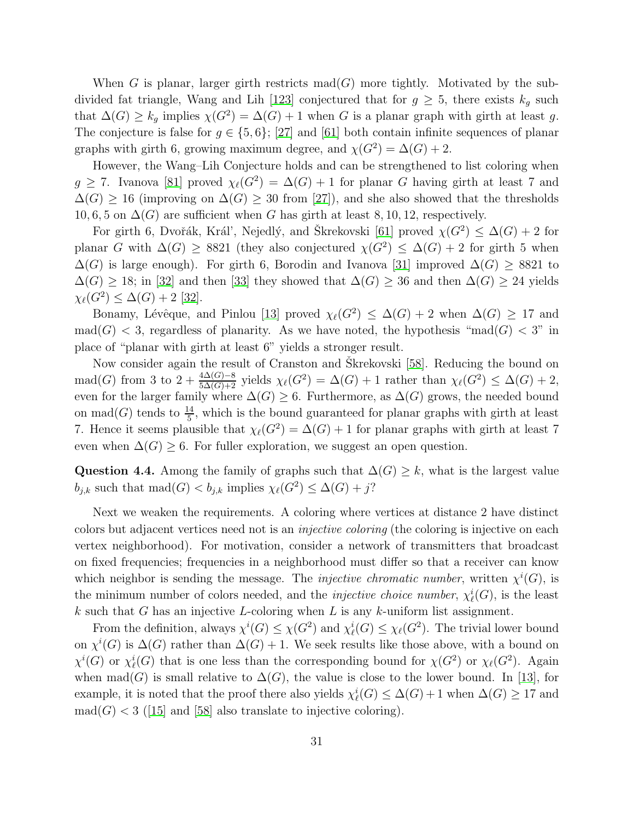When G is planar, larger girth restricts  $\text{mad}(G)$  more tightly. Motivated by the sub-divided fat triangle, Wang and Lih [\[123\]](#page-49-11) conjectured that for  $g \geq 5$ , there exists  $k_g$  such that  $\Delta(G) \geq k_g$  implies  $\chi(G^2) = \Delta(G) + 1$  when G is a planar graph with girth at least g. The conjecture is false for  $g \in \{5,6\}$ ; [\[27\]](#page-45-15) and [\[61\]](#page-46-15) both contain infinite sequences of planar graphs with girth 6, growing maximum degree, and  $\chi(G^2) = \Delta(G) + 2$ .

However, the Wang–Lih Conjecture holds and can be strengthened to list coloring when  $g \geq 7$ . Ivanova [\[81\]](#page-47-11) proved  $\chi_{\ell}(G^2) = \Delta(G) + 1$  for planar G having girth at least 7 and  $\Delta(G) \geq 16$  (improving on  $\Delta(G) \geq 30$  from [\[27\]](#page-45-15)), and she also showed that the thresholds 10, 6, 5 on  $\Delta(G)$  are sufficient when G has girth at least 8, 10, 12, respectively.

For girth 6, Dvořák, Král', Nejedlý, and Škrekovski [\[61\]](#page-46-15) proved  $\chi(G^2) \leq \Delta(G) + 2$  for planar G with  $\Delta(G) \geq 8821$  (they also conjectured  $\chi(G^2) \leq \Delta(G) + 2$  for girth 5 when  $\Delta(G)$  is large enough). For girth 6, Borodin and Ivanova [\[31\]](#page-45-16) improved  $\Delta(G) \geq 8821$  to  $\Delta(G) \geq 18$ ; in [\[32\]](#page-45-17) and then [\[33\]](#page-45-18) they showed that  $\Delta(G) \geq 36$  and then  $\Delta(G) \geq 24$  yields  $\chi_{\ell}(G^2) \leq \Delta(G) + 2$  [\[32\]](#page-45-17).

Bonamy, Lévêque, and Pinlou [\[13\]](#page-44-17) proved  $\chi_{\ell}(G^2) \leq \Delta(G) + 2$  when  $\Delta(G) \geq 17$  and  $\text{mad}(G) < 3$ , regardless of planarity. As we have noted, the hypothesis "mad(G)  $< 3$ " in place of "planar with girth at least 6" yields a stronger result.

Now consider again the result of Cranston and Skrekovski [\[58\]](#page-46-14). Reducing the bound on mad(G) from 3 to  $2 + \frac{4\Delta(G) - 8}{5\Delta(G) + 2}$  yields  $\chi_{\ell}(G^2) = \Delta(G) + 1$  rather than  $\chi_{\ell}(G^2) \leq \Delta(G) + 2$ , even for the larger family where  $\Delta(G) \geq 6$ . Furthermore, as  $\Delta(G)$  grows, the needed bound on mad(G) tends to  $\frac{14}{5}$ , which is the bound guaranteed for planar graphs with girth at least 7. Hence it seems plausible that  $\chi_{\ell}(G^2) = \Delta(G) + 1$  for planar graphs with girth at least 7 even when  $\Delta(G) \geq 6$ . For fuller exploration, we suggest an open question.

<span id="page-30-0"></span>Question 4.4. Among the family of graphs such that  $\Delta(G) \geq k$ , what is the largest value  $b_{j,k}$  such that mad $(G) < b_{j,k}$  implies  $\chi_{\ell}(G^2) \leq \Delta(G) + j$ ?

Next we weaken the requirements. A coloring where vertices at distance 2 have distinct colors but adjacent vertices need not is an injective coloring (the coloring is injective on each vertex neighborhood). For motivation, consider a network of transmitters that broadcast on fixed frequencies; frequencies in a neighborhood must differ so that a receiver can know which neighbor is sending the message. The *injective chromatic number*, written  $\chi^{i}(G)$ , is the minimum number of colors needed, and the *injective choice number*,  $\chi_{\ell}^{i}(G)$ , is the least  $k$  such that G has an injective L-coloring when L is any  $k$ -uniform list assignment.

From the definition, always  $\chi^i(G) \leq \chi(G^2)$  and  $\chi^i_{\ell}(G) \leq \chi_{\ell}(G^2)$ . The trivial lower bound on  $\chi^i(G)$  is  $\Delta(G)$  rather than  $\Delta(G) + 1$ . We seek results like those above, with a bound on  $\chi^{i}(G)$  or  $\chi^{i}_{\ell}(G)$  that is one less than the corresponding bound for  $\chi(G^2)$  or  $\chi_{\ell}(G^2)$ . Again when mad(G) is small relative to  $\Delta(G)$ , the value is close to the lower bound. In [\[13\]](#page-44-17), for example, it is noted that the proof there also yields  $\chi^i_{\ell}(G) \leq \Delta(G) + 1$  when  $\Delta(G) \geq 17$  and  $\text{mad}(G) < 3$  ([\[15\]](#page-44-16) and [\[58\]](#page-46-14) also translate to injective coloring).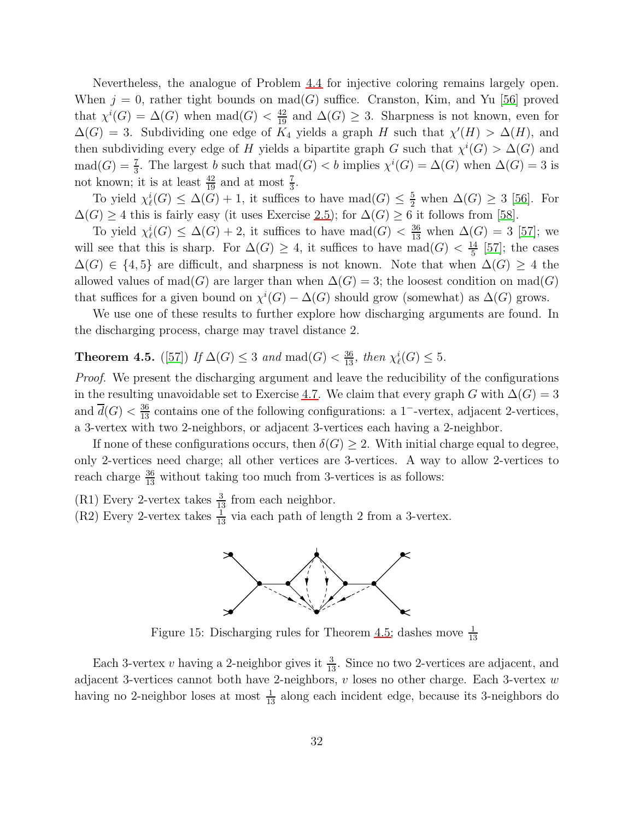Nevertheless, the analogue of Problem [4.4](#page-30-0) for injective coloring remains largely open. When  $j = 0$ , rather tight bounds on mad(G) suffice. Cranston, Kim, and Yu [\[56\]](#page-46-3) proved that  $\chi^{i}(G) = \Delta(G)$  when mad $(G) < \frac{42}{19}$  and  $\Delta(G) \geq 3$ . Sharpness is not known, even for  $\Delta(G) = 3$ . Subdividing one edge of  $K_4$  yields a graph H such that  $\chi'(H) > \Delta(H)$ , and then subdividing every edge of H yields a bipartite graph G such that  $\chi^{i}(G) > \Delta(G)$  and  $\text{mad}(G) = \frac{7}{3}$ . The largest b such that  $\text{mad}(G) < b$  implies  $\chi^i(G) = \Delta(G)$  when  $\Delta(G) = 3$  is not known; it is at least  $\frac{42}{19}$  and at most  $\frac{7}{3}$ .

To yield  $\chi^i_{\ell}(G) \leq \Delta(G) + 1$ , it suffices to have mad $(G) \leq \frac{5}{2}$  when  $\Delta(G) \geq 3$  [\[56\]](#page-46-3). For  $\Delta(G) \geq 4$  this is fairly easy (it uses Exercise [2.5\)](#page-11-4); for  $\Delta(G) \geq 6$  it follows from [\[58\]](#page-46-14).

To yield  $\chi^i_\ell(G) \leq \Delta(G) + 2$ , it suffices to have mad $(G) < \frac{36}{13}$  when  $\Delta(G) = 3$  [\[57\]](#page-46-16); we will see that this is sharp. For  $\Delta(G) \geq 4$ , it suffices to have mad $(G) < \frac{14}{5}$  $\frac{14}{5}$  [\[57\]](#page-46-16); the cases  $\Delta(G) \in \{4, 5\}$  are difficult, and sharpness is not known. Note that when  $\Delta(G) \geq 4$  the allowed values of mad(G) are larger than when  $\Delta(G) = 3$ ; the loosest condition on mad(G) that suffices for a given bound on  $\chi^i(G) - \Delta(G)$  should grow (somewhat) as  $\Delta(G)$  grows.

We use one of these results to further explore how discharging arguments are found. In the discharging process, charge may travel distance 2.

<span id="page-31-0"></span>**Theorem 4.5.** ([\[57\]](#page-46-16)) If  $\Delta(G) \leq 3$  and mad $(G) < \frac{36}{13}$ , then  $\chi^i_{\ell}(G) \leq 5$ .

Proof. We present the discharging argument and leave the reducibility of the configurations in the resulting unavoidable set to Exercise [4.7.](#page-35-0) We claim that every graph G with  $\Delta(G) = 3$ and  $\overline{d}(G) < \frac{36}{13}$  contains one of the following configurations: a 1<sup>-</sup>-vertex, adjacent 2-vertices, a 3-vertex with two 2-neighbors, or adjacent 3-vertices each having a 2-neighbor.

If none of these configurations occurs, then  $\delta(G) \geq 2$ . With initial charge equal to degree, only 2-vertices need charge; all other vertices are 3-vertices. A way to allow 2-vertices to reach charge  $\frac{36}{13}$  without taking too much from 3-vertices is as follows:

- (R1) Every 2-vertex takes  $\frac{3}{13}$  from each neighbor.
- (R2) Every 2-vertex takes  $\frac{1}{13}$  via each path of length 2 from a 3-vertex.



<span id="page-31-1"></span>Figure 15: Discharging rules for Theorem [4.5;](#page-31-0) dashes move  $\frac{1}{13}$ 

Each 3-vertex v having a 2-neighbor gives it  $\frac{3}{13}$ . Since no two 2-vertices are adjacent, and adjacent 3-vertices cannot both have 2-neighbors,  $v$  loses no other charge. Each 3-vertex  $w$ having no 2-neighbor loses at most  $\frac{1}{13}$  along each incident edge, because its 3-neighbors do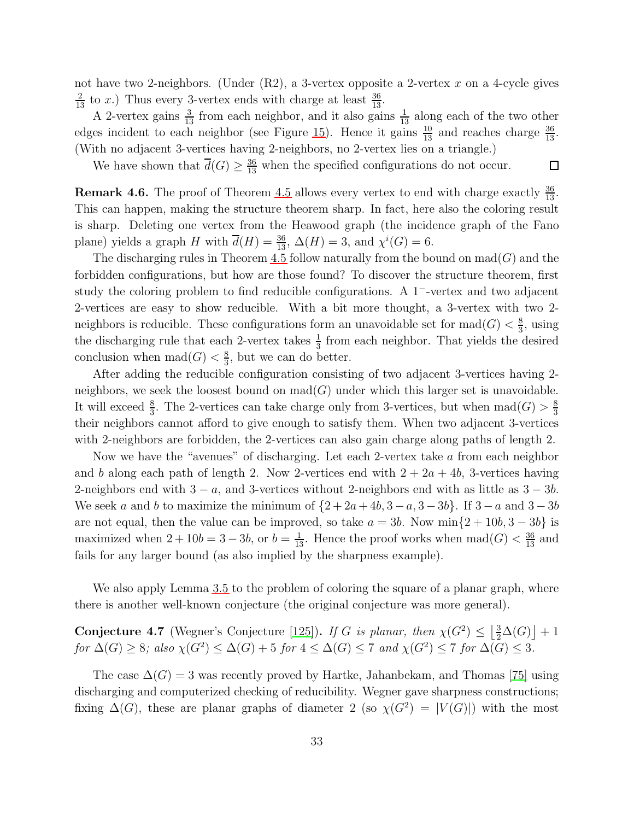not have two 2-neighbors. (Under  $(R2)$ , a 3-vertex opposite a 2-vertex x on a 4-cycle gives  $\frac{2}{13}$  to x.) Thus every 3-vertex ends with charge at least  $\frac{36}{13}$ .

A 2-vertex gains  $\frac{3}{13}$  from each neighbor, and it also gains  $\frac{1}{13}$  along each of the two other edges incident to each neighbor (see Figure [15\)](#page-31-1). Hence it gains  $\frac{10}{13}$  and reaches charge  $\frac{36}{13}$ . (With no adjacent 3-vertices having 2-neighbors, no 2-vertex lies on a triangle.)

We have shown that  $\overline{d}(G) \geq \frac{36}{13}$  when the specified configurations do not occur.

 $\Box$ 

**Remark 4.6.** The proof of Theorem [4.5](#page-31-0) allows every vertex to end with charge exactly  $\frac{36}{13}$ . This can happen, making the structure theorem sharp. In fact, here also the coloring result is sharp. Deleting one vertex from the Heawood graph (the incidence graph of the Fano plane) yields a graph H with  $\overline{d}(H) = \frac{36}{13}$ ,  $\Delta(H) = 3$ , and  $\chi^{i}(G) = 6$ .

The discharging rules in Theorem [4.5](#page-31-0) follow naturally from the bound on  $\text{mad}(G)$  and the forbidden configurations, but how are those found? To discover the structure theorem, first study the coloring problem to find reducible configurations. A 1<sup>−</sup>-vertex and two adjacent 2-vertices are easy to show reducible. With a bit more thought, a 3-vertex with two 2 neighbors is reducible. These configurations form an unavoidable set for  $\text{mad}(G) < \frac{8}{3}$  $\frac{8}{3}$ , using the discharging rule that each 2-vertex takes  $\frac{1}{3}$  from each neighbor. That yields the desired conclusion when  $\text{mad}(G) < \frac{8}{3}$  $\frac{8}{3}$ , but we can do better.

After adding the reducible configuration consisting of two adjacent 3-vertices having 2 neighbors, we seek the loosest bound on  $\text{mad}(G)$  under which this larger set is unavoidable. It will exceed  $\frac{8}{3}$ . The 2-vertices can take charge only from 3-vertices, but when  $\text{mad}(G) > \frac{8}{3}$ 3 their neighbors cannot afford to give enough to satisfy them. When two adjacent 3-vertices with 2-neighbors are forbidden, the 2-vertices can also gain charge along paths of length 2.

Now we have the "avenues" of discharging. Let each 2-vertex take a from each neighbor and b along each path of length 2. Now 2-vertices end with  $2 + 2a + 4b$ , 3-vertices having 2-neighbors end with  $3 - a$ , and 3-vertices without 2-neighbors end with as little as  $3 - 3b$ . We seek a and b to maximize the minimum of  $\{2+2a+4b, 3-a, 3-3b\}$ . If  $3-a$  and  $3-3b$ are not equal, then the value can be improved, so take  $a = 3b$ . Now  $\min\{2 + 10b, 3 - 3b\}$  is maximized when  $2 + 10b = 3 - 3b$ , or  $b = \frac{1}{13}$ . Hence the proof works when mad $(G) < \frac{36}{13}$  and fails for any larger bound (as also implied by the sharpness example).

We also apply Lemma [3.5](#page-16-0) to the problem of coloring the square of a planar graph, where there is another well-known conjecture (the original conjecture was more general).

**Conjecture 4.7** (Wegner's Conjecture [\[125\]](#page-49-12)). If G is planar, then  $\chi(G^2) \leq \left\lfloor \frac{3}{2}\Delta(G) \right\rfloor + 1$ for  $\Delta(G) \geq 8$ ; also  $\chi(G^2) \leq \Delta(G) + 5$  for  $4 \leq \Delta(G) \leq 7$  and  $\chi(G^2) \leq 7$  for  $\Delta(G) \leq 3$ .

The case  $\Delta(G) = 3$  was recently proved by Hartke, Jahanbekam, and Thomas [\[75\]](#page-47-12) using discharging and computerized checking of reducibility. Wegner gave sharpness constructions; fixing  $\Delta(G)$ , these are planar graphs of diameter 2 (so  $\chi(G^2) = |V(G)|$ ) with the most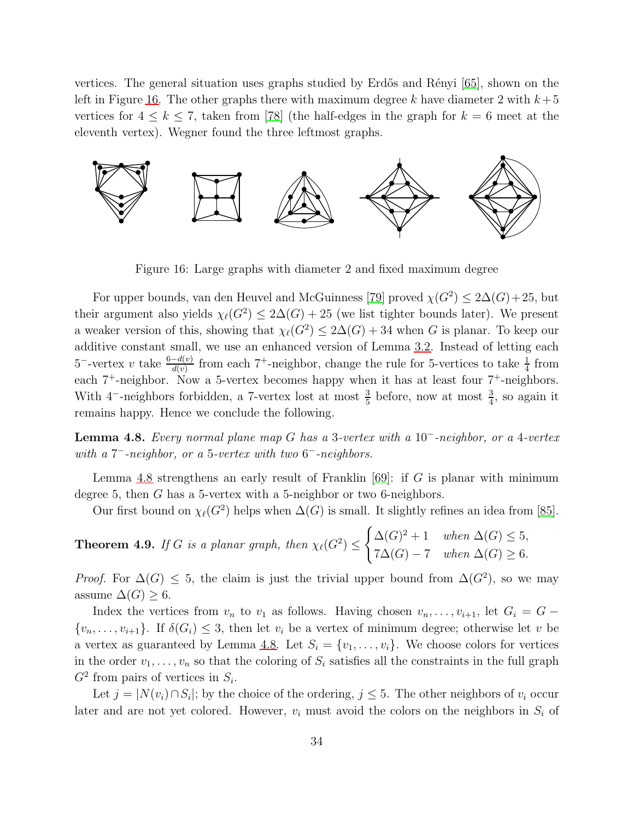vertices. The general situation uses graphs studied by Erdős and Rényi [\[65\]](#page-46-17), shown on the left in Figure [16.](#page-33-0) The other graphs there with maximum degree k have diameter 2 with  $k+5$ vertices for  $4 \leq k \leq 7$ , taken from [\[78\]](#page-47-13) (the half-edges in the graph for  $k = 6$  meet at the eleventh vertex). Wegner found the three leftmost graphs.



<span id="page-33-0"></span>Figure 16: Large graphs with diameter 2 and fixed maximum degree

For upper bounds, van den Heuvel and McGuinness [\[79\]](#page-47-14) proved  $\chi(G^2) \leq 2\Delta(G) + 25$ , but their argument also yields  $\chi_{\ell}(G^2) \leq 2\Delta(G) + 25$  (we list tighter bounds later). We present a weaker version of this, showing that  $\chi_{\ell}(G^2) \leq 2\Delta(G) + 34$  when G is planar. To keep our additive constant small, we use an enhanced version of Lemma [3.2.](#page-13-0) Instead of letting each 5<sup>-</sup>-vertex v take  $\frac{6-d(v)}{d(v)}$  from each 7<sup>+</sup>-neighbor, change the rule for 5-vertices to take  $\frac{1}{4}$  from each  $7^+$ -neighbor. Now a 5-vertex becomes happy when it has at least four  $7^+$ -neighbors. With 4<sup>--</sup>neighbors forbidden, a 7-vertex lost at most  $\frac{3}{5}$  before, now at most  $\frac{3}{4}$ , so again it remains happy. Hence we conclude the following.

<span id="page-33-1"></span>Lemma 4.8. Every normal plane map G has a 3-vertex with a 10<sup>−</sup>-neighbor, or a 4-vertex with a  $7^-$ -neighbor, or a 5-vertex with two  $6^-$ -neighbors.

Lemma [4.8](#page-33-1) strengthens an early result of Franklin  $[69]$ : if G is planar with minimum degree 5, then G has a 5-vertex with a 5-neighbor or two 6-neighbors.

Our first bound on  $\chi_{\ell}(G^2)$  helps when  $\Delta(G)$  is small. It slightly refines an idea from [\[85\]](#page-47-16).

<span id="page-33-2"></span>**Theorem 4.9.** If G is a planar graph, then 
$$
\chi_{\ell}(G^2) \leq \begin{cases} \Delta(G)^2 + 1 & \text{when } \Delta(G) \leq 5, \\ 7\Delta(G) - 7 & \text{when } \Delta(G) \geq 6. \end{cases}
$$

*Proof.* For  $\Delta(G) \leq 5$ , the claim is just the trivial upper bound from  $\Delta(G^2)$ , so we may assume  $\Delta(G) \geq 6$ .

Index the vertices from  $v_n$  to  $v_1$  as follows. Having chosen  $v_n, \ldots, v_{i+1}$ , let  $G_i = G \{v_n, \ldots, v_{i+1}\}.$  If  $\delta(G_i) \leq 3$ , then let  $v_i$  be a vertex of minimum degree; otherwise let v be a vertex as guaranteed by Lemma [4.8.](#page-33-1) Let  $S_i = \{v_1, \ldots, v_i\}$ . We choose colors for vertices in the order  $v_1, \ldots, v_n$  so that the coloring of  $S_i$  satisfies all the constraints in the full graph  $G^2$  from pairs of vertices in  $S_i$ .

Let  $j = |N(v_i) \cap S_i|$ ; by the choice of the ordering,  $j \leq 5$ . The other neighbors of  $v_i$  occur later and are not yet colored. However,  $v_i$  must avoid the colors on the neighbors in  $S_i$  of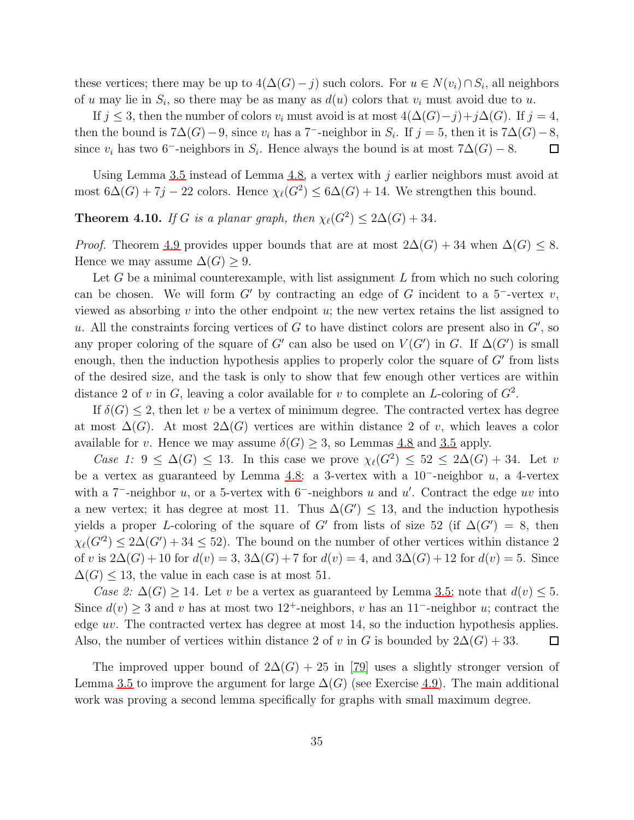these vertices; there may be up to  $4(\Delta(G)-j)$  such colors. For  $u \in N(v_i) \cap S_i$ , all neighbors of u may lie in  $S_i$ , so there may be as many as  $d(u)$  colors that  $v_i$  must avoid due to u.

If  $j \leq 3$ , then the number of colors  $v_i$  must avoid is at most  $4(\Delta(G)-j)+j\Delta(G)$ . If  $j=4$ , then the bound is  $7\Delta(G) - 9$ , since  $v_i$  has a 7<sup>-</sup>-neighbor in  $S_i$ . If  $j = 5$ , then it is  $7\Delta(G) - 8$ , since  $v_i$  has two 6<sup>-</sup>-neighbors in  $S_i$ . Hence always the bound is at most  $7\Delta(G) - 8$ .  $\Box$ 

Using Lemma [3.5](#page-16-0) instead of Lemma [4.8,](#page-33-1) a vertex with j earlier neighbors must avoid at most  $6\Delta(G) + 7j - 22$  colors. Hence  $\chi_{\ell}(G^2) \leq 6\Delta(G) + 14$ . We strengthen this bound.

**Theorem 4.10.** If G is a planar graph, then  $\chi_{\ell}(G^2) \leq 2\Delta(G) + 34$ .

*Proof.* Theorem [4.9](#page-33-2) provides upper bounds that are at most  $2\Delta(G) + 34$  when  $\Delta(G) \leq 8$ . Hence we may assume  $\Delta(G) \geq 9$ .

Let  $G$  be a minimal counterexample, with list assignment  $L$  from which no such coloring can be chosen. We will form G' by contracting an edge of G incident to a 5<sup>-</sup>-vertex v, viewed as absorbing  $v$  into the other endpoint  $u$ ; the new vertex retains the list assigned to u. All the constraints forcing vertices of  $G$  to have distinct colors are present also in  $G'$ , so any proper coloring of the square of G' can also be used on  $V(G')$  in G. If  $\Delta(G')$  is small enough, then the induction hypothesis applies to properly color the square of  $G'$  from lists of the desired size, and the task is only to show that few enough other vertices are within distance 2 of v in G, leaving a color available for v to complete an L-coloring of  $G^2$ .

If  $\delta(G) \leq 2$ , then let v be a vertex of minimum degree. The contracted vertex has degree at most  $\Delta(G)$ . At most  $2\Delta(G)$  vertices are within distance 2 of v, which leaves a color available for v. Hence we may assume  $\delta(G) \geq 3$ , so Lemmas [4.8](#page-33-1) and [3.5](#page-16-0) apply.

Case 1:  $9 \leq \Delta(G) \leq 13$ . In this case we prove  $\chi_{\ell}(G^2) \leq 52 \leq 2\Delta(G) + 34$ . Let v be a vertex as guaranteed by Lemma [4.8:](#page-33-1) a 3-vertex with a 10<sup>−</sup>-neighbor u, a 4-vertex with a  $7^-$ -neighbor u, or a 5-vertex with 6<sup>-</sup>-neighbors u and u'. Contract the edge uv into a new vertex; it has degree at most 11. Thus  $\Delta(G') \leq 13$ , and the induction hypothesis yields a proper L-coloring of the square of G' from lists of size 52 (if  $\Delta(G') = 8$ , then  $\chi_{\ell}(G^2) \leq 2\Delta(G') + 34 \leq 52$ . The bound on the number of other vertices within distance 2 of v is  $2\Delta(G) + 10$  for  $d(v) = 3$ ,  $3\Delta(G) + 7$  for  $d(v) = 4$ , and  $3\Delta(G) + 12$  for  $d(v) = 5$ . Since  $\Delta(G) \leq 13$ , the value in each case is at most 51.

Case 2:  $\Delta(G) \geq 14$ . Let v be a vertex as guaranteed by Lemma [3.5;](#page-16-0) note that  $d(v) \leq 5$ . Since  $d(v) \geq 3$  and v has at most two 12<sup>+</sup>-neighbors, v has an 11<sup>-</sup>-neighbor u; contract the edge uv. The contracted vertex has degree at most 14, so the induction hypothesis applies. Also, the number of vertices within distance 2 of v in G is bounded by  $2\Delta(G) + 33$ . 口

The improved upper bound of  $2\Delta(G) + 25$  in [\[79\]](#page-47-14) uses a slightly stronger version of Lemma [3.5](#page-16-0) to improve the argument for large  $\Delta(G)$  (see Exercise [4.9\)](#page-36-0). The main additional work was proving a second lemma specifically for graphs with small maximum degree.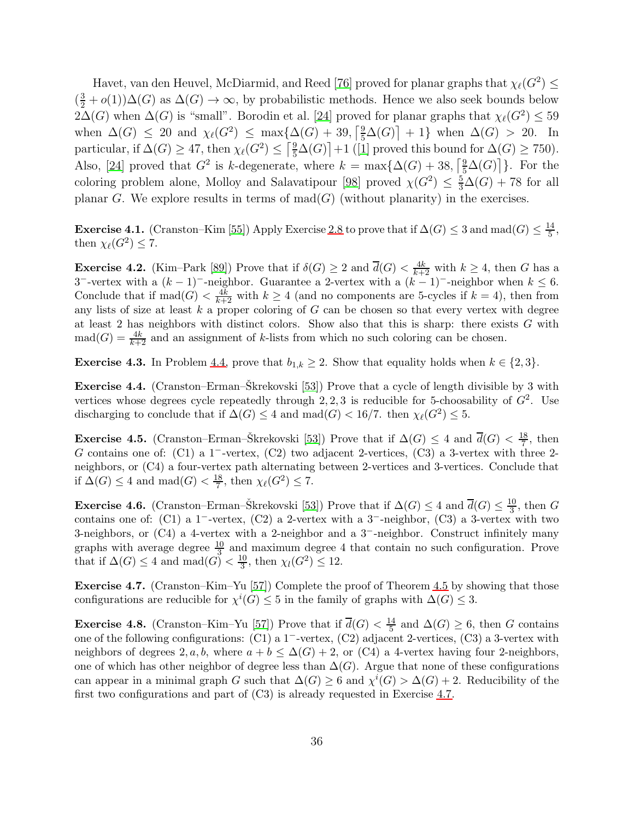Havet, van den Heuvel, McDiarmid, and Reed [\[76\]](#page-47-17) proved for planar graphs that  $\chi_{\ell}(G^2) \leq$  $(\frac{3}{2} + o(1))\Delta(G)$  as  $\Delta(G) \to \infty$ , by probabilistic methods. Hence we also seek bounds below  $2\Delta(G)$  when  $\Delta(G)$  is "small". Borodin et al. [\[24\]](#page-44-18) proved for planar graphs that  $\chi_{\ell}(G^2) \leq 59$ when  $\Delta(G) \leq 20$  and  $\chi_{\ell}(G^2) \leq \max{\{\Delta(G) + 39, \lceil \frac{9}{5}\Delta(G) \rceil + 1\}}$  when  $\Delta(G) > 20$ . In particular, if  $\Delta(G) \geq 47$ , then  $\chi_{\ell}(G^2) \leq \lceil \frac{9}{5}\Delta(G) \rceil + 1$  ([\[1\]](#page-43-0) proved this bound for  $\Delta(G) \geq 750$ ). Also, [\[24\]](#page-44-18) proved that  $G^2$  is k-degenerate, where  $k = \max\{\Delta(G) + 38, \lceil \frac{9}{5}\Delta(G) \rceil\}$ . For the coloring problem alone, Molloy and Salavatipour [\[98\]](#page-48-16) proved  $\chi(G^2) \leq \frac{5}{3}\Delta(G) + 78$  for all planar G. We explore results in terms of  $\text{mad}(G)$  (without planarity) in the exercises.

Exercise 4.1. (Cranston–Kim [\[55\]](#page-46-0)) Apply Exercise [2.8](#page-11-5) to prove that if  $\Delta(G) \leq 3$  and mad $(G) \leq \frac{14}{5}$  $\frac{14}{5}$ , then  $\chi_{\ell}(G^2) \leq 7$ .

**Exercise 4.2.** (Kim–Park [\[89\]](#page-47-7)) Prove that if  $\delta(G) \geq 2$  and  $\overline{d}(G) < \frac{4k}{k+2}$  with  $k \geq 4$ , then G has a 3<sup>-</sup>-vertex with a  $(k-1)$ <sup>-</sup>-neighbor. Guarantee a 2-vertex with a  $(k-1)$ <sup>-</sup>-neighbor when  $k \leq 6$ . Conclude that if  $\text{mad}(G) < \frac{4k}{k+2}$  with  $k \geq 4$  (and no components are 5-cycles if  $k = 4$ ), then from any lists of size at least  $k$  a proper coloring of  $G$  can be chosen so that every vertex with degree at least 2 has neighbors with distinct colors. Show also that this is sharp: there exists  $G$  with  $\text{mad}(G) = \frac{4k}{k+2}$  and an assignment of k-lists from which no such coloring can be chosen.

**Exercise 4.3.** In Problem [4.4,](#page-30-0) prove that  $b_{1,k} \geq 2$ . Show that equality holds when  $k \in \{2,3\}$ .

**Exercise 4.4.** (Cranston–Erman–Skrekovski [\[53\]](#page-46-18)) Prove that a cycle of length divisible by 3 with vertices whose degrees cycle repeatedly through 2, 2, 3 is reducible for 5-choosability of  $G^2$ . Use discharging to conclude that if  $\Delta(G) \leq 4$  and  $\text{mad}(G) < 16/7$ . then  $\chi_{\ell}(G^2) \leq 5$ .

Exercise 4.5. (Cranston–Erman–Škrekovski [\[53\]](#page-46-18)) Prove that if  $\Delta(G) \leq 4$  and  $\overline{d}(G) < \frac{18}{7}$  $\frac{18}{7}$ , then G contains one of: (C1) a 1−-vertex, (C2) two adjacent 2-vertices, (C3) a 3-vertex with three 2 neighbors, or (C4) a four-vertex path alternating between 2-vertices and 3-vertices. Conclude that if  $\Delta(G) \leq 4$  and  $\text{mad}(G) < \frac{18}{7}$  $\frac{18}{7}$ , then  $\chi_{\ell}(G^2) \leq 7$ .

**Exercise 4.6.** (Cranston–Erman–Škrekovski [\[53\]](#page-46-18)) Prove that if  $\Delta(G) \leq 4$  and  $\overline{d}(G) \leq \frac{10}{3}$  $\frac{10}{3}$ , then G contains one of: (C1) a 1<sup>-</sup>-vertex, (C2) a 2-vertex with a 3<sup>-</sup>-neighbor, (C3) a 3-vertex with two 3-neighbors, or (C4) a 4-vertex with a 2-neighbor and a 3−-neighbor. Construct infinitely many graphs with average degree  $\frac{10}{3}$  and maximum degree 4 that contain no such configuration. Prove that if  $\Delta(G) \leq 4$  and mad $(G) < \frac{10}{3}$  $\frac{10}{3}$ , then  $\chi_l(G^2) \leq 12$ .

<span id="page-35-0"></span>Exercise 4.7. (Cranston–Kim–Yu [\[57\]](#page-46-16)) Complete the proof of Theorem [4.5](#page-31-0) by showing that those configurations are reducible for  $\chi^i(G) \leq 5$  in the family of graphs with  $\Delta(G) \leq 3$ .

Exercise 4.8. (Cranston–Kim–Yu [\[57\]](#page-46-16)) Prove that if  $\overline{d}(G) < \frac{14}{5}$  and  $\Delta(G) \ge 6$ , then G contains one of the following configurations: (C1) a 1−-vertex, (C2) adjacent 2-vertices, (C3) a 3-vertex with neighbors of degrees 2, a, b, where  $a + b \leq \Delta(G) + 2$ , or (C4) a 4-vertex having four 2-neighbors, one of which has other neighbor of degree less than  $\Delta(G)$ . Argue that none of these configurations can appear in a minimal graph G such that  $\Delta(G) \geq 6$  and  $\chi^i(G) > \Delta(G) + 2$ . Reducibility of the first two configurations and part of (C3) is already requested in Exercise [4.7.](#page-35-0)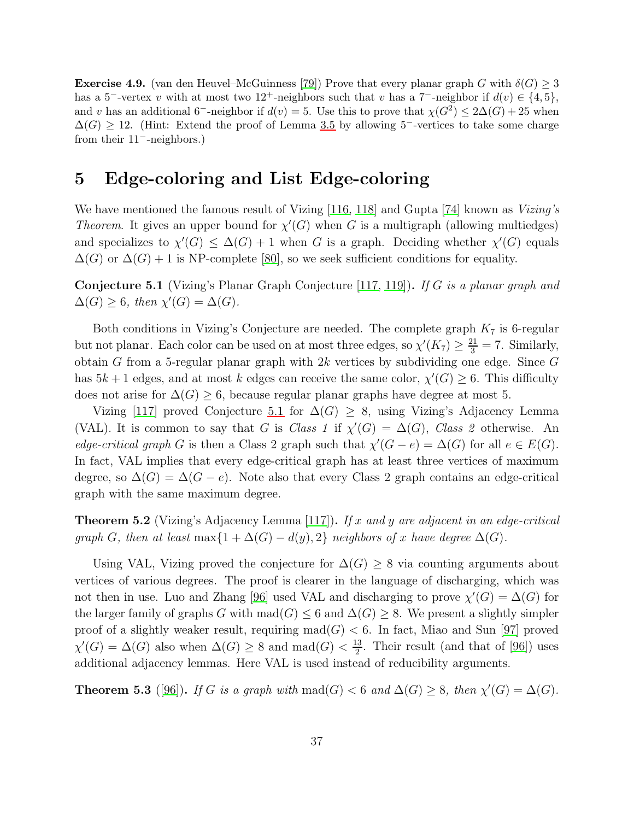<span id="page-36-0"></span>**Exercise 4.9.** (van den Heuvel–McGuinness [\[79\]](#page-47-14)) Prove that every planar graph G with  $\delta(G) \geq 3$ has a 5<sup>-</sup>-vertex v with at most two 12<sup>+</sup>-neighbors such that v has a 7<sup>-</sup>-neighbor if  $d(v) \in \{4, 5\}$ , and v has an additional 6<sup>-</sup>-neighbor if  $d(v) = 5$ . Use this to prove that  $\chi(G^2) \leq 2\Delta(G) + 25$  when  $\Delta(G) \geq 12$ . (Hint: Extend the proof of Lemma [3.5](#page-16-0) by allowing 5<sup>-</sup>-vertices to take some charge from their 11−-neighbors.)

## 5 Edge-coloring and List Edge-coloring

We have mentioned the famous result of Vizing [\[116,](#page-49-13) [118\]](#page-49-0) and Gupta [\[74\]](#page-47-0) known as Vizing's *Theorem.* It gives an upper bound for  $\chi'(G)$  when G is a multigraph (allowing multiedges) and specializes to  $\chi'(G) \leq \Delta(G) + 1$  when G is a graph. Deciding whether  $\chi'(G)$  equals  $\Delta(G)$  or  $\Delta(G) + 1$  is NP-complete [\[80\]](#page-47-18), so we seek sufficient conditions for equality.

<span id="page-36-1"></span>Conjecture 5.1 (Vizing's Planar Graph Conjecture [\[117,](#page-49-14) [119\]](#page-49-15)). If G is a planar graph and  $\Delta(G) \geq 6$ , then  $\chi'(G) = \Delta(G)$ .

Both conditions in Vizing's Conjecture are needed. The complete graph  $K_7$  is 6-regular but not planar. Each color can be used on at most three edges, so  $\chi'(K_7) \geq \frac{21}{3} = 7$ . Similarly, obtain G from a 5-regular planar graph with  $2k$  vertices by subdividing one edge. Since G has  $5k+1$  edges, and at most k edges can receive the same color,  $\chi'(G) \geq 6$ . This difficulty does not arise for  $\Delta(G) \geq 6$ , because regular planar graphs have degree at most 5.

Vizing [\[117\]](#page-49-14) proved Conjecture [5.1](#page-36-1) for  $\Delta(G) \geq 8$ , using Vizing's Adjacency Lemma (VAL). It is common to say that G is Class 1 if  $\chi'(G) = \Delta(G)$ , Class 2 otherwise. An edge-critical graph G is then a Class 2 graph such that  $\chi'(G - e) = \Delta(G)$  for all  $e \in E(G)$ . In fact, VAL implies that every edge-critical graph has at least three vertices of maximum degree, so  $\Delta(G) = \Delta(G - e)$ . Note also that every Class 2 graph contains an edge-critical graph with the same maximum degree.

**Theorem 5.2** (Vizing's Adjacency Lemma [\[117\]](#page-49-14)). If x and y are adjacent in an edge-critical graph G, then at least max $\{1 + \Delta(G) - d(y), 2\}$  neighbors of x have degree  $\Delta(G)$ .

Using VAL, Vizing proved the conjecture for  $\Delta(G) \geq 8$  via counting arguments about vertices of various degrees. The proof is clearer in the language of discharging, which was not then in use. Luo and Zhang [\[96\]](#page-48-17) used VAL and discharging to prove  $\chi'(G) = \Delta(G)$  for the larger family of graphs G with mad(G)  $\leq 6$  and  $\Delta(G) \geq 8$ . We present a slightly simpler proof of a slightly weaker result, requiring  $\text{mad}(G) < 6$ . In fact, Miao and Sun [\[97\]](#page-48-18) proved  $\chi'(G) = \Delta(G)$  also when  $\Delta(G) \geq 8$  and mad $(G) < \frac{13}{2}$  $\frac{13}{2}$ . Their result (and that of [\[96\]](#page-48-17)) uses additional adjacency lemmas. Here VAL is used instead of reducibility arguments.

<span id="page-36-2"></span>**Theorem 5.3** ([\[96\]](#page-48-17)). If G is a graph with mad(G) < 6 and  $\Delta(G) \geq 8$ , then  $\chi'(G) = \Delta(G)$ .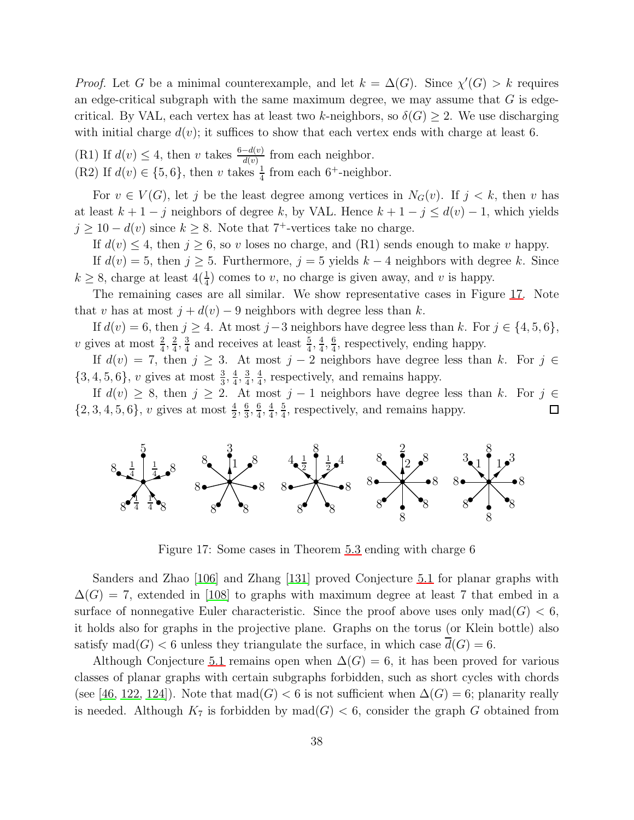*Proof.* Let G be a minimal counterexample, and let  $k = \Delta(G)$ . Since  $\chi'(G) > k$  requires an edge-critical subgraph with the same maximum degree, we may assume that  $G$  is edgecritical. By VAL, each vertex has at least two k-neighbors, so  $\delta(G) \geq 2$ . We use discharging with initial charge  $d(v)$ ; it suffices to show that each vertex ends with charge at least 6.

(R1) If  $d(v) \leq 4$ , then v takes  $\frac{6-d(v)}{d(v)}$  from each neighbor. (R2) If  $d(v) \in \{5, 6\}$ , then v takes  $\frac{1}{4}$  from each 6<sup>+</sup>-neighbor.

For  $v \in V(G)$ , let j be the least degree among vertices in  $N_G(v)$ . If  $j < k$ , then v has at least  $k + 1 - j$  neighbors of degree k, by VAL. Hence  $k + 1 - j \leq d(v) - 1$ , which yields  $j \geq 10 - d(v)$  since  $k \geq 8$ . Note that 7<sup>+</sup>-vertices take no charge.

If  $d(v) \leq 4$ , then  $j \geq 6$ , so v loses no charge, and (R1) sends enough to make v happy.

If  $d(v) = 5$ , then  $j \ge 5$ . Furthermore,  $j = 5$  yields  $k - 4$  neighbors with degree k. Since  $k \geq 8$ , charge at least  $4(\frac{1}{4})$  comes to v, no charge is given away, and v is happy.

The remaining cases are all similar. We show representative cases in Figure [17.](#page-37-0) Note that v has at most  $j + d(v) - 9$  neighbors with degree less than k.

If  $d(v) = 6$ , then  $j \geq 4$ . At most  $j-3$  neighbors have degree less than k. For  $j \in \{4, 5, 6\}$ , v gives at most  $\frac{2}{4}, \frac{2}{4}$  $\frac{2}{4}, \frac{3}{4}$  $\frac{3}{4}$  and receives at least  $\frac{5}{4}, \frac{4}{4}$  $\frac{4}{4}$ ,  $\frac{6}{4}$  $\frac{6}{4}$ , respectively, ending happy.

If  $d(v) = 7$ , then  $j \ge 3$ . At most  $j - 2$  neighbors have degree less than k. For  $j \in \mathbb{Z}$  $\{3, 4, 5, 6\}, v$  gives at most  $\frac{3}{3}, \frac{4}{4}$  $\frac{4}{4}$ ,  $\frac{3}{4}$  $\frac{3}{4}$ ,  $\frac{4}{4}$  $\frac{4}{4}$ , respectively, and remains happy.

If  $d(v) \geq 8$ , then  $j \geq 2$ . At most  $j-1$  neighbors have degree less than k. For  $j \in \mathbb{Z}$  $\{2, 3, 4, 5, 6\}, v$  gives at most  $\frac{4}{2}, \frac{6}{3}$  $\frac{6}{3}, \frac{6}{4}$  $\frac{6}{4}$ ,  $\frac{4}{4}$  $\frac{4}{4}$ ,  $\frac{5}{4}$  $\frac{5}{4}$ , respectively, and remains happy.  $\Box$ 



<span id="page-37-0"></span>Figure 17: Some cases in Theorem [5.3](#page-36-2) ending with charge 6

Sanders and Zhao [\[106\]](#page-48-19) and Zhang [\[131\]](#page-49-16) proved Conjecture [5.1](#page-36-1) for planar graphs with  $\Delta(G) = 7$ , extended in [\[108\]](#page-48-20) to graphs with maximum degree at least 7 that embed in a surface of nonnegative Euler characteristic. Since the proof above uses only  $\text{mad}(G) < 6$ , it holds also for graphs in the projective plane. Graphs on the torus (or Klein bottle) also satisfy mad $(G)$  < 6 unless they triangulate the surface, in which case  $\overline{d}(G) = 6$ .

Although Conjecture [5.1](#page-36-1) remains open when  $\Delta(G) = 6$ , it has been proved for various classes of planar graphs with certain subgraphs forbidden, such as short cycles with chords (see [\[46,](#page-46-19) [122,](#page-49-17) [124\]](#page-49-18)). Note that  $\text{mad}(G) < 6$  is not sufficient when  $\Delta(G) = 6$ ; planarity really is needed. Although  $K_7$  is forbidden by  $\text{mad}(G) < 6$ , consider the graph G obtained from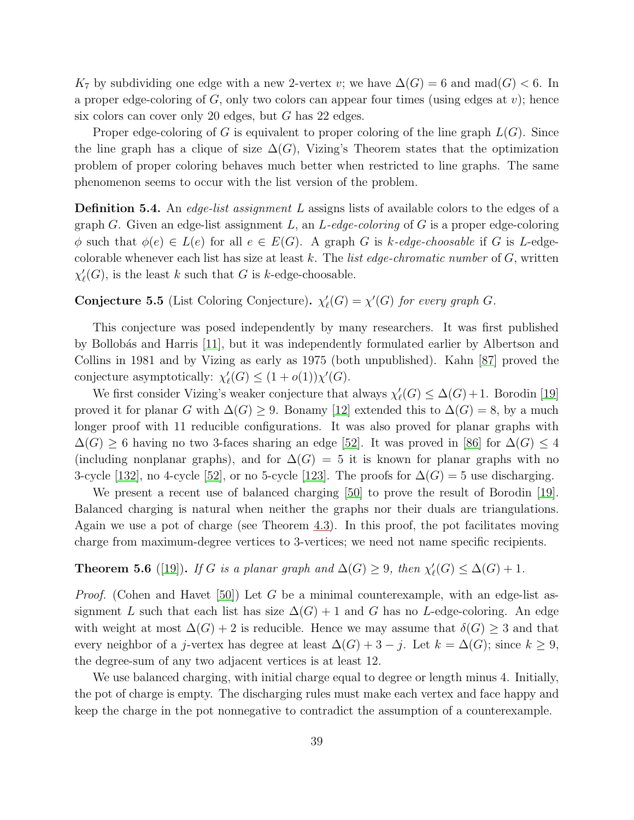$K_7$  by subdividing one edge with a new 2-vertex v; we have  $\Delta(G) = 6$  and mad $(G) < 6$ . In a proper edge-coloring of  $G$ , only two colors can appear four times (using edges at v); hence six colors can cover only 20 edges, but G has 22 edges.

Proper edge-coloring of G is equivalent to proper coloring of the line graph  $L(G)$ . Since the line graph has a clique of size  $\Delta(G)$ , Vizing's Theorem states that the optimization problem of proper coloring behaves much better when restricted to line graphs. The same phenomenon seems to occur with the list version of the problem.

**Definition 5.4.** An *edge-list assignment L* assigns lists of available colors to the edges of a graph G. Given an edge-list assignment L, an  $L$ -edge-coloring of G is a proper edge-coloring  $\phi$  such that  $\phi(e) \in L(e)$  for all  $e \in E(G)$ . A graph G is k-edge-choosable if G is L-edgecolorable whenever each list has size at least  $k$ . The *list edge-chromatic number* of  $G$ , written  $\chi'_{\ell}(G)$ , is the least k such that G is k-edge-choosable.

### **Conjecture 5.5** (List Coloring Conjecture).  $\chi'_{\ell}(G) = \chi'(G)$  for every graph G.

This conjecture was posed independently by many researchers. It was first published by Bollobás and Harris [\[11\]](#page-44-19), but it was independently formulated earlier by Albertson and Collins in 1981 and by Vizing as early as 1975 (both unpublished). Kahn [\[87\]](#page-47-19) proved the conjecture asymptotically:  $\chi'_{\ell}(G) \leq (1 + o(1))\chi'(G)$ .

We first consider Vizing's weaker conjecture that always  $\chi'_{\ell}(G) \leq \Delta(G) + 1$ . Borodin [\[19\]](#page-44-20) proved it for planar G with  $\Delta(G) \geq 9$ . Bonamy [\[12\]](#page-44-21) extended this to  $\Delta(G) = 8$ , by a much longer proof with 11 reducible configurations. It was also proved for planar graphs with  $\Delta(G) \geq 6$  having no two 3-faces sharing an edge [\[52\]](#page-46-12). It was proved in [\[86\]](#page-47-20) for  $\Delta(G) \leq 4$ (including nonplanar graphs), and for  $\Delta(G) = 5$  it is known for planar graphs with no 3-cycle [\[132\]](#page-49-19), no 4-cycle [\[52\]](#page-46-12), or no 5-cycle [\[123\]](#page-49-11). The proofs for  $\Delta(G) = 5$  use discharging.

We present a recent use of balanced charging [\[50\]](#page-46-20) to prove the result of Borodin [\[19\]](#page-44-20). Balanced charging is natural when neither the graphs nor their duals are triangulations. Again we use a pot of charge (see Theorem [4.3\)](#page-28-1). In this proof, the pot facilitates moving charge from maximum-degree vertices to 3-vertices; we need not name specific recipients.

<span id="page-38-0"></span>**Theorem 5.6** ([\[19\]](#page-44-20)). If G is a planar graph and  $\Delta(G) \geq 9$ , then  $\chi'_{\ell}(G) \leq \Delta(G) + 1$ .

*Proof.* (Cohen and Havet [\[50\]](#page-46-20)) Let G be a minimal counterexample, with an edge-list assignment L such that each list has size  $\Delta(G) + 1$  and G has no L-edge-coloring. An edge with weight at most  $\Delta(G) + 2$  is reducible. Hence we may assume that  $\delta(G) \geq 3$  and that every neighbor of a j-vertex has degree at least  $\Delta(G) + 3 - j$ . Let  $k = \Delta(G)$ ; since  $k \geq 9$ , the degree-sum of any two adjacent vertices is at least 12.

We use balanced charging, with initial charge equal to degree or length minus 4. Initially, the pot of charge is empty. The discharging rules must make each vertex and face happy and keep the charge in the pot nonnegative to contradict the assumption of a counterexample.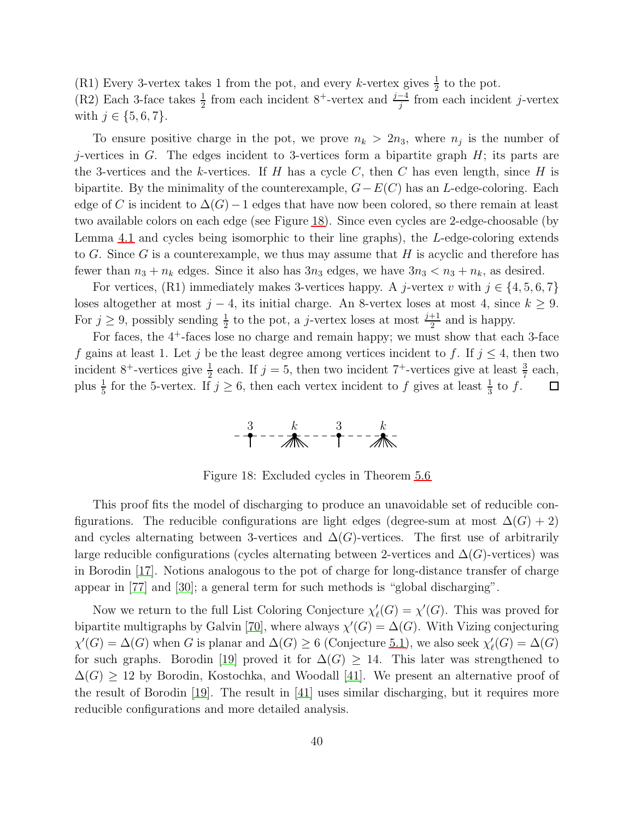(R1) Every 3-vertex takes 1 from the pot, and every k-vertex gives  $\frac{1}{2}$  to the pot.

(R2) Each 3-face takes  $\frac{1}{2}$  from each incident 8<sup>+</sup>-vertex and  $\frac{j-4}{j}$  from each incident j-vertex with  $j \in \{5, 6, 7\}.$ 

To ensure positive charge in the pot, we prove  $n_k > 2n_3$ , where  $n_j$  is the number of j-vertices in G. The edges incident to 3-vertices form a bipartite graph  $H$ ; its parts are the 3-vertices and the k-vertices. If H has a cycle C, then C has even length, since H is bipartite. By the minimality of the counterexample,  $G-E(C)$  has an L-edge-coloring. Each edge of C is incident to  $\Delta(G)$  – 1 edges that have now been colored, so there remain at least two available colors on each edge (see Figure [18\)](#page-39-0). Since even cycles are 2-edge-choosable (by Lemma [4.1](#page-26-0) and cycles being isomorphic to their line graphs), the L-edge-coloring extends to G. Since G is a counterexample, we thus may assume that H is acyclic and therefore has fewer than  $n_3 + n_k$  edges. Since it also has  $3n_3$  edges, we have  $3n_3 < n_3 + n_k$ , as desired.

For vertices, (R1) immediately makes 3-vertices happy. A j-vertex v with  $j \in \{4, 5, 6, 7\}$ loses altogether at most  $j - 4$ , its initial charge. An 8-vertex loses at most 4, since  $k \geq 9$ . For  $j \geq 9$ , possibly sending  $\frac{1}{2}$  to the pot, a j-vertex loses at most  $\frac{j+1}{2}$  and is happy.

For faces, the 4<sup>+</sup>-faces lose no charge and remain happy; we must show that each 3-face f gains at least 1. Let j be the least degree among vertices incident to f. If  $j \leq 4$ , then two incident 8<sup>+</sup>-vertices give  $\frac{1}{2}$  each. If  $j = 5$ , then two incident 7<sup>+</sup>-vertices give at least  $\frac{3}{7}$  each, plus  $\frac{1}{5}$  for the 5-vertex. If  $j \geq 6$ , then each vertex incident to f gives at least  $\frac{1}{3}$  to f.  $\Box$ 



<span id="page-39-0"></span>Figure 18: Excluded cycles in Theorem [5.6](#page-38-0)

This proof fits the model of discharging to produce an unavoidable set of reducible configurations. The reducible configurations are light edges (degree-sum at most  $\Delta(G) + 2$ ) and cycles alternating between 3-vertices and  $\Delta(G)$ -vertices. The first use of arbitrarily large reducible configurations (cycles alternating between 2-vertices and  $\Delta(G)$ -vertices) was in Borodin [\[17\]](#page-44-2). Notions analogous to the pot of charge for long-distance transfer of charge appear in [\[77\]](#page-47-21) and [\[30\]](#page-45-19); a general term for such methods is "global discharging".

Now we return to the full List Coloring Conjecture  $\chi'_{\ell}(G) = \chi'(G)$ . This was proved for bipartite multigraphs by Galvin [\[70\]](#page-47-22), where always  $\chi'(G) = \Delta(G)$ . With Vizing conjecturing  $\chi'(G) = \Delta(G)$  when G is planar and  $\Delta(G) \geq 6$  (Conjecture [5.1\)](#page-36-1), we also seek  $\chi'_{\ell}(G) = \Delta(G)$ for such graphs. Borodin [\[19\]](#page-44-20) proved it for  $\Delta(G) \geq 14$ . This later was strengthened to  $\Delta(G) \geq 12$  by Borodin, Kostochka, and Woodall [\[41\]](#page-45-20). We present an alternative proof of the result of Borodin [\[19\]](#page-44-20). The result in [\[41\]](#page-45-20) uses similar discharging, but it requires more reducible configurations and more detailed analysis.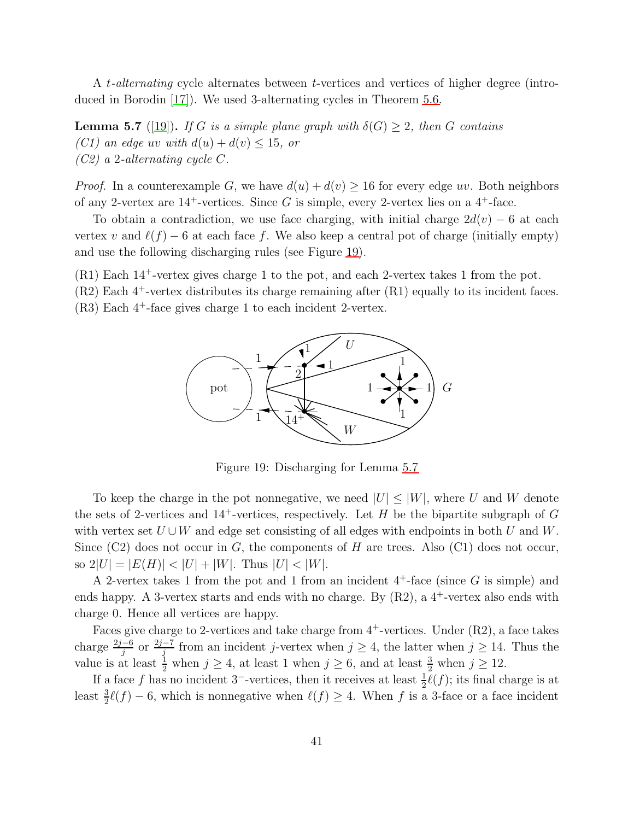A *t*-alternating cycle alternates between *t*-vertices and vertices of higher degree (introduced in Borodin [\[17\]](#page-44-2)). We used 3-alternating cycles in Theorem [5.6.](#page-38-0)

<span id="page-40-0"></span>**Lemma 5.7** ([\[19\]](#page-44-20)). If G is a simple plane graph with  $\delta(G) \geq 2$ , then G contains (C1) an edge uv with  $d(u) + d(v) \le 15$ , or  $(C2)$  a 2-alternating cycle C.

*Proof.* In a counterexample G, we have  $d(u) + d(v) \ge 16$  for every edge uv. Both neighbors of any 2-vertex are  $14^+$ -vertices. Since G is simple, every 2-vertex lies on a  $4^+$ -face.

To obtain a contradiction, we use face charging, with initial charge  $2d(v) - 6$  at each vertex v and  $\ell(f) - 6$  at each face f. We also keep a central pot of charge (initially empty) and use the following discharging rules (see Figure [19\)](#page-40-1).

(R1) Each 14<sup>+</sup>-vertex gives charge 1 to the pot, and each 2-vertex takes 1 from the pot.

 $(R2)$  Each  $4^+$ -vertex distributes its charge remaining after  $(R1)$  equally to its incident faces.

(R3) Each 4<sup>+</sup>-face gives charge 1 to each incident 2-vertex.



<span id="page-40-1"></span>Figure 19: Discharging for Lemma [5.7](#page-40-0)

To keep the charge in the pot nonnegative, we need  $|U| \leq |W|$ , where U and W denote the sets of 2-vertices and  $14^+$ -vertices, respectively. Let H be the bipartite subgraph of G with vertex set  $U \cup W$  and edge set consisting of all edges with endpoints in both U and W. Since  $(C2)$  does not occur in G, the components of H are trees. Also  $(C1)$  does not occur, so  $2|U| = |E(H)| < |U| + |W|$ . Thus  $|U| < |W|$ .

A 2-vertex takes 1 from the pot and 1 from an incident  $4^+$ -face (since G is simple) and ends happy. A 3-vertex starts and ends with no charge. By  $(R2)$ , a 4<sup>+</sup>-vertex also ends with charge 0. Hence all vertices are happy.

Faces give charge to 2-vertices and take charge from  $4^+$ -vertices. Under  $(R2)$ , a face takes charge  $\frac{2j-6}{j}$  or  $\frac{2j-7}{j}$  from an incident j-vertex when  $j \geq 4$ , the latter when  $j \geq 14$ . Thus the value is at least  $\frac{1}{2}$  when  $j \geq 4$ , at least 1 when  $j \geq 6$ , and at least  $\frac{3}{2}$  when  $j \geq 12$ .

If a face f has no incident 3<sup>-</sup>-vertices, then it receives at least  $\frac{1}{2}\ell(f)$ ; its final charge is at least  $\frac{3}{2}\ell(f) - 6$ , which is nonnegative when  $\ell(f) \geq 4$ . When f is a 3-face or a face incident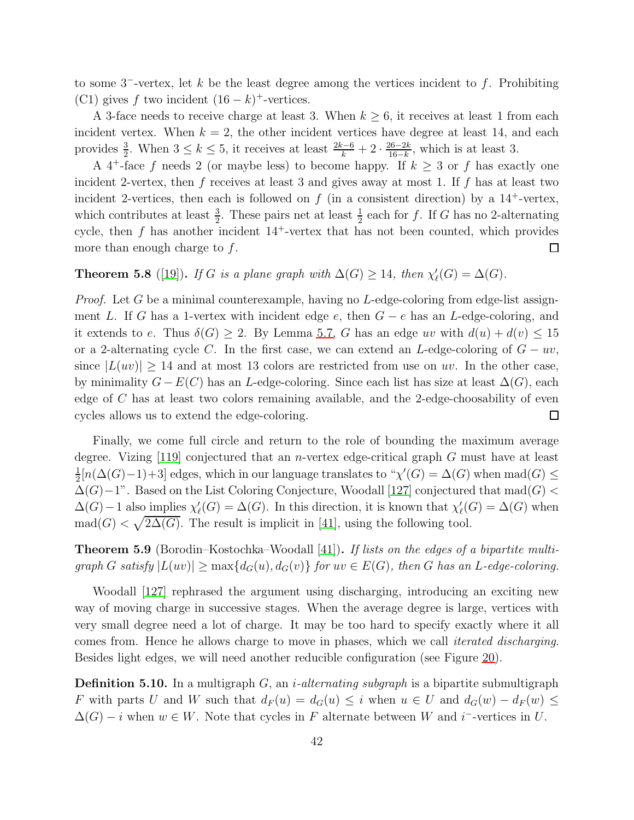to some  $3^-$ -vertex, let k be the least degree among the vertices incident to f. Prohibiting (C1) gives f two incident  $(16 - k)^+$ -vertices.

A 3-face needs to receive charge at least 3. When  $k \geq 6$ , it receives at least 1 from each incident vertex. When  $k = 2$ , the other incident vertices have degree at least 14, and each provides  $\frac{3}{2}$ . When  $3 \leq k \leq 5$ , it receives at least  $\frac{2k-6}{k} + 2 \cdot \frac{26-2k}{16-k}$  $\frac{26-2k}{16-k}$ , which is at least 3.

A 4<sup>+</sup>-face f needs 2 (or maybe less) to become happy. If  $k \geq 3$  or f has exactly one incident 2-vertex, then  $f$  receives at least 3 and gives away at most 1. If  $f$  has at least two incident 2-vertices, then each is followed on  $f$  (in a consistent direction) by a  $14^+$ -vertex, which contributes at least  $\frac{3}{2}$ . These pairs net at least  $\frac{1}{2}$  each for f. If G has no 2-alternating cycle, then f has another incident  $14^+$ -vertex that has not been counted, which provides more than enough charge to f.  $\Box$ 

<span id="page-41-1"></span>**Theorem 5.8** ([\[19\]](#page-44-20)). If G is a plane graph with  $\Delta(G) \ge 14$ , then  $\chi'_{\ell}(G) = \Delta(G)$ .

*Proof.* Let G be a minimal counterexample, having no L-edge-coloring from edge-list assignment L. If G has a 1-vertex with incident edge e, then  $G - e$  has an L-edge-coloring, and it extends to e. Thus  $\delta(G) \geq 2$ . By Lemma [5.7,](#page-40-0) G has an edge uv with  $d(u) + d(v) \leq 15$ or a 2-alternating cycle C. In the first case, we can extend an L-edge-coloring of  $G - uv$ , since  $|L(uv)| \geq 14$  and at most 13 colors are restricted from use on uv. In the other case, by minimality  $G - E(C)$  has an L-edge-coloring. Since each list has size at least  $\Delta(G)$ , each edge of C has at least two colors remaining available, and the 2-edge-choosability of even cycles allows us to extend the edge-coloring.  $\Box$ 

Finally, we come full circle and return to the role of bounding the maximum average degree. Vizing  $[119]$  conjectured that an *n*-vertex edge-critical graph G must have at least 1  $\frac{1}{2}[n(\Delta(G)-1)+3]$  edges, which in our language translates to " $\chi'(G) = \Delta(G)$  when mad $(G) \le$  $\Delta(G)-1$ ". Based on the List Coloring Conjecture, Woodall [\[127\]](#page-49-20) conjectured that mad(G) <  $\Delta(G) - 1$  also implies  $\chi'_{\ell}(G) = \Delta(G)$ . In this direction, it is known that  $\chi'_{\ell}(G) = \Delta(G)$  when  $\text{mad}(G) < \sqrt{2\Delta(G)}$ . The result is implicit in [\[41\]](#page-45-20), using the following tool.

<span id="page-41-0"></span>Theorem 5.9 (Borodin–Kostochka–Woodall [\[41\]](#page-45-20)). If lists on the edges of a bipartite multigraph G satisfy  $|L(uv)| \ge \max\{d_G(u), d_G(v)\}\$  for  $uv \in E(G)$ , then G has an L-edge-coloring.

Woodall [\[127\]](#page-49-20) rephrased the argument using discharging, introducing an exciting new way of moving charge in successive stages. When the average degree is large, vertices with very small degree need a lot of charge. It may be too hard to specify exactly where it all comes from. Hence he allows charge to move in phases, which we call iterated discharging. Besides light edges, we will need another reducible configuration (see Figure [20\)](#page-42-0).

**Definition 5.10.** In a multigraph  $G$ , an *i*-alternating subgraph is a bipartite submultigraph F with parts U and W such that  $d_F(u) = d_G(u) \leq i$  when  $u \in U$  and  $d_G(w) - d_F(w) \leq$  $\Delta(G) - i$  when  $w \in W$ . Note that cycles in F alternate between W and i<sup>-</sup>-vertices in U.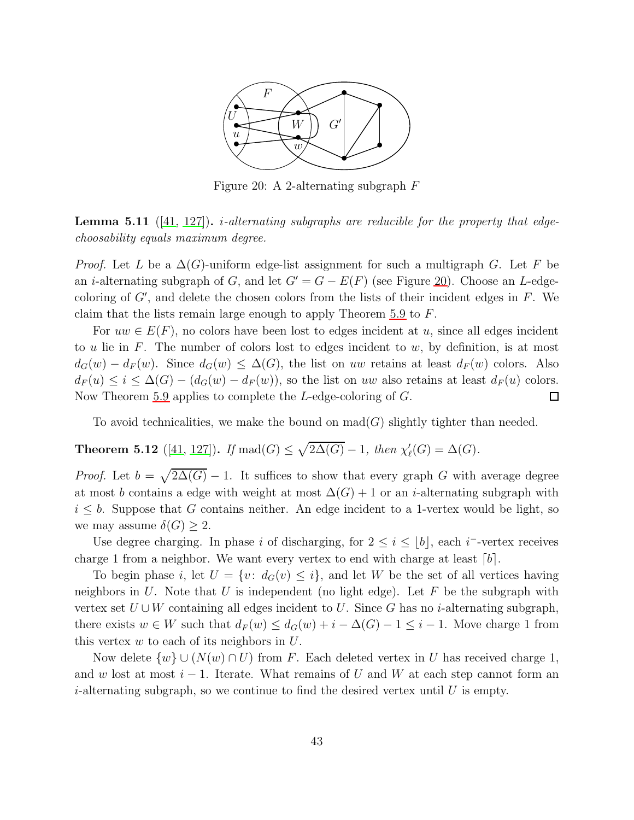

<span id="page-42-0"></span>Figure 20: A 2-alternating subgraph F

**Lemma 5.11** ([\[41,](#page-45-20) [127\]](#page-49-20)). *i*-alternating subgraphs are reducible for the property that edgechoosability equals maximum degree.

*Proof.* Let L be a  $\Delta(G)$ -uniform edge-list assignment for such a multigraph G. Let F be an *i*-alternating subgraph of G, and let  $G' = G - E(F)$  (see Figure [20\)](#page-42-0). Choose an L-edgecoloring of  $G'$ , and delete the chosen colors from the lists of their incident edges in  $F$ . We claim that the lists remain large enough to apply Theorem [5.9](#page-41-0) to F.

For  $uw \in E(F)$ , no colors have been lost to edges incident at u, since all edges incident to u lie in  $F$ . The number of colors lost to edges incident to  $w$ , by definition, is at most  $d_G(w) - d_F(w)$ . Since  $d_G(w) \leq \Delta(G)$ , the list on uw retains at least  $d_F(w)$  colors. Also  $d_F(u) \leq i \leq \Delta(G) - (d_G(w) - d_F(w))$ , so the list on uw also retains at least  $d_F(u)$  colors. Now Theorem [5.9](#page-41-0) applies to complete the L-edge-coloring of G.  $\Box$ 

To avoid technicalities, we make the bound on  $\text{mad}(G)$  slightly tighter than needed.

<span id="page-42-1"></span>**Theorem 5.12** ([\[41,](#page-45-20) [127\]](#page-49-20)). If  $\text{mad}(G) \leq \sqrt{2\Delta(G)} - 1$ , then  $\chi'_{\ell}(G) = \Delta(G)$ .

*Proof.* Let  $b = \sqrt{2\Delta(G)} - 1$ . It suffices to show that every graph G with average degree at most b contains a edge with weight at most  $\Delta(G) + 1$  or an i-alternating subgraph with  $i \leq b$ . Suppose that G contains neither. An edge incident to a 1-vertex would be light, so we may assume  $\delta(G) \geq 2$ .

Use degree charging. In phase i of discharging, for  $2 \le i \le \lfloor b \rfloor$ , each i<sup>-</sup>-vertex receives charge 1 from a neighbor. We want every vertex to end with charge at least  $[b]$ .

To begin phase i, let  $U = \{v : d_G(v) \leq i\}$ , and let W be the set of all vertices having neighbors in U. Note that U is independent (no light edge). Let F be the subgraph with vertex set  $U \cup W$  containing all edges incident to U. Since G has no *i*-alternating subgraph, there exists  $w \in W$  such that  $d_F(w) \leq d_G(w) + i - \Delta(G) - 1 \leq i - 1$ . Move charge 1 from this vertex  $w$  to each of its neighbors in  $U$ .

Now delete  $\{w\} \cup (N(w) \cap U)$  from F. Each deleted vertex in U has received charge 1, and w lost at most  $i-1$ . Iterate. What remains of U and W at each step cannot form an *i*-alternating subgraph, so we continue to find the desired vertex until  $U$  is empty.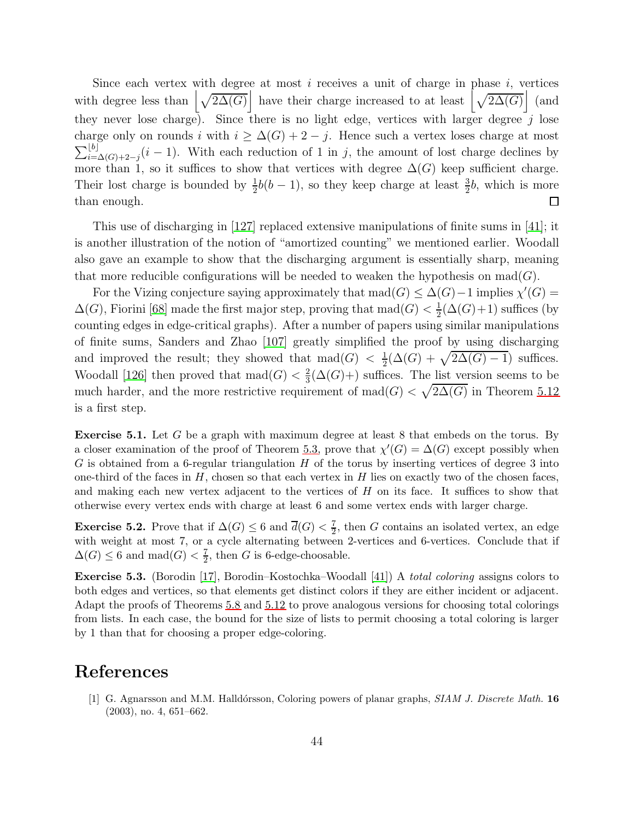Since each vertex with degree at most  $i$  receives a unit of charge in phase  $i$ , vertices  $\overline{2\Delta(G)}$  have their charge increased to at least  $\left[\sqrt{2\Delta(G)}\right]$  (and with degree less than  $\,$ they never lose charge). Since there is no light edge, vertices with larger degree  $j$  lose charge only on rounds i with  $i \geq \Delta(G) + 2 - j$ . Hence such a vertex loses charge at most  $\sum_{i=\Delta(G)+2-j}^{\lfloor b\rfloor} (i-1)$ . With each reduction of 1 in j, the amount of lost charge declines by more than 1, so it suffices to show that vertices with degree  $\Delta(G)$  keep sufficient charge. Their lost charge is bounded by  $\frac{1}{2}b(b-1)$ , so they keep charge at least  $\frac{3}{2}b$ , which is more than enough.  $\Box$ 

This use of discharging in [\[127\]](#page-49-20) replaced extensive manipulations of finite sums in [\[41\]](#page-45-20); it is another illustration of the notion of "amortized counting" we mentioned earlier. Woodall also gave an example to show that the discharging argument is essentially sharp, meaning that more reducible configurations will be needed to weaken the hypothesis on  $\text{mad}(G)$ .

For the Vizing conjecture saying approximately that  $\text{mad}(G) \leq \Delta(G) - 1$  implies  $\chi'(G) =$  $\Delta(G)$ , Fiorini [\[68\]](#page-47-23) made the first major step, proving that mad $(G) < \frac{1}{2}$  $\frac{1}{2}(\Delta(G)+1)$  suffices (by counting edges in edge-critical graphs). After a number of papers using similar manipulations of finite sums, Sanders and Zhao [\[107\]](#page-48-21) greatly simplified the proof by using discharging and improved the result; they showed that  $\text{mad}(G) < \frac{1}{2}$  $\frac{1}{2}(\Delta(G) + \sqrt{2\Delta(G) - 1})$  suffices. Woodall [\[126\]](#page-49-21) then proved that  $\text{mad}(G) < \frac{2}{3}$  $\frac{2}{3}(\Delta(G)+)$  suffices. The <u>list version</u> seems to be much harder, and the more restrictive requirement of  $\text{mad}(G) < \sqrt{2\Delta(G)}$  in Theorem [5.12](#page-42-1) is a first step.

Exercise 5.1. Let G be a graph with maximum degree at least 8 that embeds on the torus. By a closer examination of the proof of Theorem [5.3,](#page-36-2) prove that  $\chi'(G) = \Delta(G)$  except possibly when G is obtained from a 6-regular triangulation  $H$  of the torus by inserting vertices of degree 3 into one-third of the faces in  $H$ , chosen so that each vertex in  $H$  lies on exactly two of the chosen faces, and making each new vertex adjacent to the vertices of  $H$  on its face. It suffices to show that otherwise every vertex ends with charge at least 6 and some vertex ends with larger charge.

**Exercise 5.2.** Prove that if  $\Delta(G) \leq 6$  and  $\overline{d}(G) < \frac{7}{2}$  $\frac{7}{2}$ , then G contains an isolated vertex, an edge with weight at most 7, or a cycle alternating between 2-vertices and 6-vertices. Conclude that if  $\Delta(G) \leq 6$  and mad $(G) < \frac{7}{2}$  $\frac{7}{2}$ , then G is 6-edge-choosable.

Exercise 5.3. (Borodin [\[17\]](#page-44-2), Borodin–Kostochka–Woodall [\[41\]](#page-45-20)) A total coloring assigns colors to both edges and vertices, so that elements get distinct colors if they are either incident or adjacent. Adapt the proofs of Theorems [5.8](#page-41-1) and [5.12](#page-42-1) to prove analogous versions for choosing total colorings from lists. In each case, the bound for the size of lists to permit choosing a total coloring is larger by 1 than that for choosing a proper edge-coloring.

### <span id="page-43-0"></span>References

[1] G. Agnarsson and M.M. Halldórsson, Coloring powers of planar graphs, SIAM J. Discrete Math. 16 (2003), no. 4, 651–662.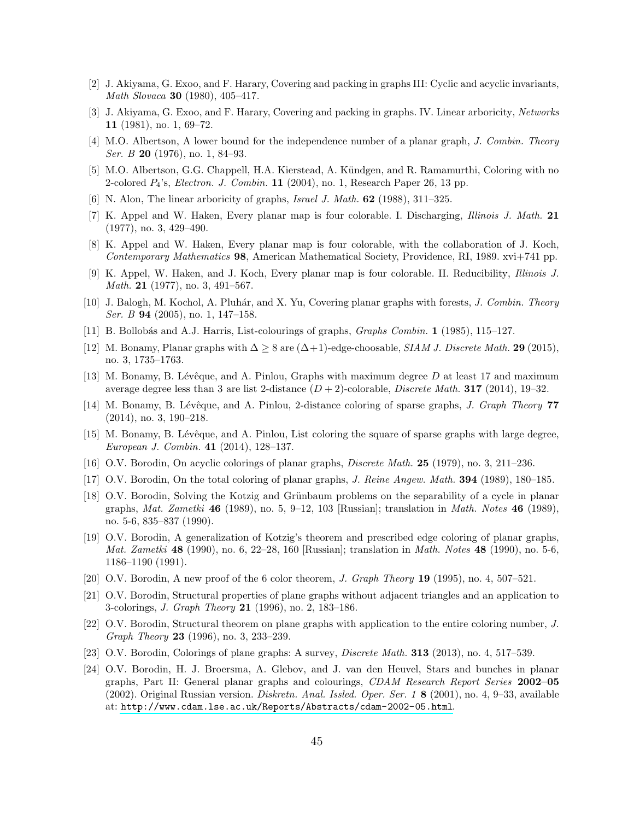- <span id="page-44-4"></span><span id="page-44-3"></span>[2] J. Akiyama, G. Exoo, and F. Harary, Covering and packing in graphs III: Cyclic and acyclic invariants, Math Slovaca 30 (1980), 405–417.
- <span id="page-44-14"></span>[3] J. Akiyama, G. Exoo, and F. Harary, Covering and packing in graphs. IV. Linear arboricity, Networks 11 (1981), no. 1, 69–72.
- <span id="page-44-1"></span>[4] M.O. Albertson, A lower bound for the independence number of a planar graph, J. Combin. Theory Ser. B 20 (1976), no. 1, 84–93.
- <span id="page-44-5"></span>[5] M.O. Albertson, G.G. Chappell, H.A. Kierstead, A. Kündgen, and R. Ramamurthi, Coloring with no 2-colored  $P_4$ 's, *Electron. J. Combin.* 11 (2004), no. 1, Research Paper 26, 13 pp.
- <span id="page-44-9"></span>[6] N. Alon, The linear arboricity of graphs, Israel J. Math. 62 (1988), 311–325.
- <span id="page-44-11"></span>[7] K. Appel and W. Haken, Every planar map is four colorable. I. Discharging, Illinois J. Math. 21 (1977), no. 3, 429–490.
- <span id="page-44-10"></span>[8] K. Appel and W. Haken, Every planar map is four colorable, with the collaboration of J. Koch, Contemporary Mathematics 98, American Mathematical Society, Providence, RI, 1989. xvi+741 pp.
- <span id="page-44-7"></span>[9] K. Appel, W. Haken, and J. Koch, Every planar map is four colorable. II. Reducibility, Illinois J. Math. 21 (1977), no. 3, 491–567.
- <span id="page-44-19"></span>[10] J. Balogh, M. Kochol, A. Pluhár, and X. Yu, Covering planar graphs with forests, J. Combin. Theory Ser. B **94** (2005), no. 1, 147–158.
- <span id="page-44-21"></span>[11] B. Bollobás and A.J. Harris, List-colourings of graphs, *Graphs Combin.* 1 (1985), 115–127.
- <span id="page-44-17"></span>[12] M. Bonamy, Planar graphs with  $\Delta \geq 8$  are  $(\Delta+1)$ -edge-choosable, SIAM J. Discrete Math. 29 (2015), no. 3, 1735–1763.
- <span id="page-44-15"></span>[13] M. Bonamy, B. Lévêque, and A. Pinlou, Graphs with maximum degree  $D$  at least 17 and maximum average degree less than 3 are list 2-distance  $(D+2)$ -colorable, *Discrete Math.* **317** (2014), 19–32.
- <span id="page-44-16"></span>[14] M. Bonamy, B. Lévêque, and A. Pinlou, 2-distance coloring of sparse graphs, *J. Graph Theory* 77 (2014), no. 3, 190–218.
- <span id="page-44-8"></span>[15] M. Bonamy, B. Lévêque, and A. Pinlou, List coloring the square of sparse graphs with large degree, European J. Combin. 41 (2014), 128–137.
- <span id="page-44-2"></span>[16] O.V. Borodin, On acyclic colorings of planar graphs, Discrete Math. 25 (1979), no. 3, 211–236.
- <span id="page-44-6"></span>[17] O.V. Borodin, On the total coloring of planar graphs, J. Reine Angew. Math. 394 (1989), 180–185.
- [18] O.V. Borodin, Solving the Kotzig and Grünbaum problems on the separability of a cycle in planar graphs, Mat. Zametki 46 (1989), no. 5, 9–12, 103 [Russian]; translation in Math. Notes 46 (1989), no. 5-6, 835–837 (1990).
- <span id="page-44-20"></span>[19] O.V. Borodin, A generalization of Kotzig's theorem and prescribed edge coloring of planar graphs, *Mat. Zametki* 48 (1990), no. 6, 22–28, 160 [Russian]; translation in *Math. Notes* 48 (1990), no. 5-6, 1186–1190 (1991).
- <span id="page-44-12"></span>[20] O.V. Borodin, A new proof of the 6 color theorem, J. Graph Theory 19 (1995), no. 4, 507–521.
- <span id="page-44-13"></span>[21] O.V. Borodin, Structural properties of plane graphs without adjacent triangles and an application to 3-colorings, J. Graph Theory 21 (1996), no. 2, 183–186.
- <span id="page-44-0"></span>[22] O.V. Borodin, Structural theorem on plane graphs with application to the entire coloring number, J. Graph Theory 23 (1996), no. 3, 233–239.
- <span id="page-44-18"></span>[23] O.V. Borodin, Colorings of plane graphs: A survey, Discrete Math. 313 (2013), no. 4, 517–539.
- [24] O.V. Borodin, H. J. Broersma, A. Glebov, and J. van den Heuvel, Stars and bunches in planar graphs, Part II: General planar graphs and colourings, CDAM Research Report Series 2002–05 (2002). Original Russian version. Diskretn. Anal. Issled. Oper. Ser. 1 8 (2001), no. 4, 9–33, available at: <http://www.cdam.lse.ac.uk/Reports/Abstracts/cdam-2002-05.html>.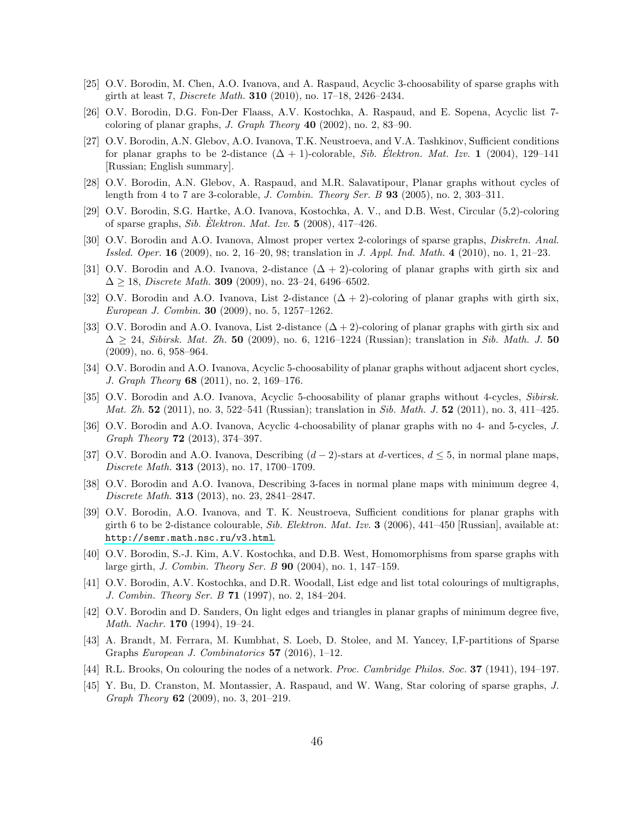- <span id="page-45-11"></span><span id="page-45-7"></span>[25] O.V. Borodin, M. Chen, A.O. Ivanova, and A. Raspaud, Acyclic 3-choosability of sparse graphs with girth at least 7, Discrete Math. 310 (2010), no. 17–18, 2426–2434.
- <span id="page-45-15"></span>[26] O.V. Borodin, D.G. Fon-Der Flaass, A.V. Kostochka, A. Raspaud, and E. Sopena, Acyclic list 7 coloring of planar graphs, J. Graph Theory 40 (2002), no. 2, 83–90.
- [27] O.V. Borodin, A.N. Glebov, A.O. Ivanova, T.K. Neustroeva, and V.A. Tashkinov, Sufficient conditions for planar graphs to be 2-distance  $(\Delta + 1)$ -colorable, Sib. Elektron. Mat. Izv. 1 (2004), 129–141 [Russian; English summary].
- <span id="page-45-12"></span><span id="page-45-0"></span>[28] O.V. Borodin, A.N. Glebov, A. Raspaud, and M.R. Salavatipour, Planar graphs without cycles of length from 4 to 7 are 3-colorable, J. Combin. Theory Ser. B 93 (2005), no. 2, 303–311.
- <span id="page-45-19"></span>[29] O.V. Borodin, S.G. Hartke, A.O. Ivanova, Kostochka, A. V., and D.B. West, Circular (5,2)-coloring of sparse graphs, Sib. Elektron. Mat. Izv.  $5$  (2008), 417–426.
- <span id="page-45-16"></span>[30] O.V. Borodin and A.O. Ivanova, Almost proper vertex 2-colorings of sparse graphs, Diskretn. Anal. Issled. Oper. 16 (2009), no. 2, 16–20, 98; translation in J. Appl. Ind. Math. 4 (2010), no. 1, 21–23.
- <span id="page-45-17"></span>[31] O.V. Borodin and A.O. Ivanova, 2-distance  $(\Delta + 2)$ -coloring of planar graphs with girth six and  $\Delta \geq 18$ , *Discrete Math.* **309** (2009), no. 23–24, 6496–6502.
- <span id="page-45-18"></span>[32] O.V. Borodin and A.O. Ivanova, List 2-distance  $(\Delta + 2)$ -coloring of planar graphs with girth six, European J. Combin. 30 (2009), no. 5, 1257–1262.
- [33] O.V. Borodin and A.O. Ivanova, List 2-distance  $(\Delta + 2)$ -coloring of planar graphs with girth six and  $\Delta \geq 24$ , Sibirsk. Mat. Zh. 50 (2009), no. 6, 1216–1224 (Russian); translation in Sib. Math. J. 50 (2009), no. 6, 958–964.
- <span id="page-45-9"></span><span id="page-45-8"></span>[34] O.V. Borodin and A.O. Ivanova, Acyclic 5-choosability of planar graphs without adjacent short cycles, J. Graph Theory 68 (2011), no. 2, 169–176.
- <span id="page-45-10"></span>[35] O.V. Borodin and A.O. Ivanova, Acyclic 5-choosability of planar graphs without 4-cycles, Sibirsk. Mat. Zh. 52 (2011), no. 3, 522–541 (Russian); translation in Sib. Math. J. 52 (2011), no. 3, 411–425.
- <span id="page-45-5"></span>[36] O.V. Borodin and A.O. Ivanova, Acyclic 4-choosability of planar graphs with no 4- and 5-cycles, J. Graph Theory 72 (2013), 374–397.
- <span id="page-45-4"></span>[37] O.V. Borodin and A.O. Ivanova, Describing  $(d-2)$ -stars at d-vertices,  $d \leq 5$ , in normal plane maps, Discrete Math. 313 (2013), no. 17, 1700–1709.
- <span id="page-45-14"></span>[38] O.V. Borodin and A.O. Ivanova, Describing 3-faces in normal plane maps with minimum degree 4, Discrete Math. 313 (2013), no. 23, 2841–2847.
- [39] O.V. Borodin, A.O. Ivanova, and T. K. Neustroeva, Sufficient conditions for planar graphs with girth 6 to be 2-distance colourable, Sib. Elektron. Mat. Izv. 3 (2006), 441–450 [Russian], available at: <http://semr.math.nsc.ru/v3.html>.
- <span id="page-45-20"></span><span id="page-45-1"></span>[40] O.V. Borodin, S.-J. Kim, A.V. Kostochka, and D.B. West, Homomorphisms from sparse graphs with large girth, J. Combin. Theory Ser. B 90 (2004), no. 1, 147–159.
- <span id="page-45-6"></span>[41] O.V. Borodin, A.V. Kostochka, and D.R. Woodall, List edge and list total colourings of multigraphs, J. Combin. Theory Ser. B 71 (1997), no. 2, 184–204.
- <span id="page-45-3"></span>[42] O.V. Borodin and D. Sanders, On light edges and triangles in planar graphs of minimum degree five, Math. Nachr. 170 (1994), 19–24.
- <span id="page-45-13"></span>[43] A. Brandt, M. Ferrara, M. Kumbhat, S. Loeb, D. Stolee, and M. Yancey, I,F-partitions of Sparse Graphs European J. Combinatorics 57 (2016), 1–12.
- <span id="page-45-2"></span>[44] R.L. Brooks, On colouring the nodes of a network. Proc. Cambridge Philos. Soc. 37 (1941), 194–197.
- [45] Y. Bu, D. Cranston, M. Montassier, A. Raspaud, and W. Wang, Star coloring of sparse graphs, J. Graph Theory 62 (2009), no. 3, 201–219.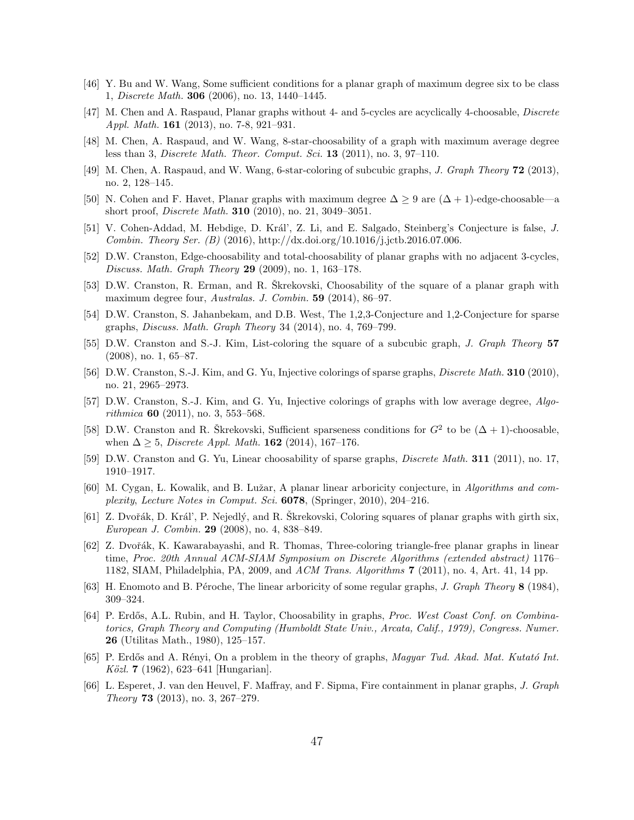- <span id="page-46-19"></span><span id="page-46-8"></span>[46] Y. Bu and W. Wang, Some sufficient conditions for a planar graph of maximum degree six to be class 1, Discrete Math. 306 (2006), no. 13, 1440–1445.
- <span id="page-46-1"></span>[47] M. Chen and A. Raspaud, Planar graphs without 4- and 5-cycles are acyclically 4-choosable, Discrete Appl. Math. **161** (2013), no. 7-8, 921–931.
- <span id="page-46-2"></span>[48] M. Chen, A. Raspaud, and W. Wang, 8-star-choosability of a graph with maximum average degree less than 3, Discrete Math. Theor. Comput. Sci. 13 (2011), no. 3, 97–110.
- <span id="page-46-20"></span>[49] M. Chen, A. Raspaud, and W. Wang, 6-star-coloring of subcubic graphs, J. Graph Theory **72** (2013), no. 2, 128–145.
- <span id="page-46-11"></span>[50] N. Cohen and F. Havet, Planar graphs with maximum degree  $\Delta \geq 9$  are  $(\Delta + 1)$ -edge-choosable—a short proof, Discrete Math. 310 (2010), no. 21, 3049–3051.
- <span id="page-46-12"></span>[51] V. Cohen-Addad, M. Hebdige, D. Král', Z. Li, and E. Salgado, Steinberg's Conjecture is false, J. Combin. Theory Ser. (B) (2016), http://dx.doi.org/10.1016/j.jctb.2016.07.006.
- <span id="page-46-18"></span>[52] D.W. Cranston, Edge-choosability and total-choosability of planar graphs with no adjacent 3-cycles, Discuss. Math. Graph Theory 29 (2009), no. 1, 163–178.
- <span id="page-46-4"></span>[53] D.W. Cranston, R. Erman, and R. Škrekovski, Choosability of the square of a planar graph with maximum degree four, Australas. J. Combin. 59 (2014), 86–97.
- <span id="page-46-0"></span>[54] D.W. Cranston, S. Jahanbekam, and D.B. West, The 1,2,3-Conjecture and 1,2-Conjecture for sparse graphs, Discuss. Math. Graph Theory 34 (2014), no. 4, 769–799.
- <span id="page-46-3"></span>[55] D.W. Cranston and S.-J. Kim, List-coloring the square of a subcubic graph, J. Graph Theory 57 (2008), no. 1, 65–87.
- <span id="page-46-16"></span>[56] D.W. Cranston, S.-J. Kim, and G. Yu, Injective colorings of sparse graphs, *Discrete Math.* **310** (2010), no. 21, 2965–2973.
- <span id="page-46-14"></span>[57] D.W. Cranston, S.-J. Kim, and G. Yu, Injective colorings of graphs with low average degree, Algorithmica  $60$  (2011), no. 3, 553–568.
- <span id="page-46-9"></span>[58] D.W. Cranston and R. Škrekovski, Sufficient sparseness conditions for  $G^2$  to be  $(\Delta + 1)$ -choosable, when  $\Delta \geq 5$ , *Discrete Appl. Math.* **162** (2014), 167–176.
- <span id="page-46-6"></span>[59] D.W. Cranston and G. Yu, Linear choosability of sparse graphs, Discrete Math. 311 (2011), no. 17, 1910–1917.
- <span id="page-46-15"></span>[60] M. Cygan, L. Kowalik, and B. Lužar, A planar linear arboricity conjecture, in Algorithms and complexity, Lecture Notes in Comput. Sci. 6078, (Springer, 2010), 204–216.
- <span id="page-46-10"></span>[61] Z. Dvořák, D. Král', P. Nejedlý, and R. Skrekovski, Coloring squares of planar graphs with girth six, European J. Combin. 29 (2008), no. 4, 838–849.
- [62] Z. Dvoˇr´ak, K. Kawarabayashi, and R. Thomas, Three-coloring triangle-free planar graphs in linear time, Proc. 20th Annual ACM-SIAM Symposium on Discrete Algorithms (extended abstract) 1176– 1182, SIAM, Philadelphia, PA, 2009, and ACM Trans. Algorithms 7 (2011), no. 4, Art. 41, 14 pp.
- <span id="page-46-13"></span><span id="page-46-5"></span>[63] H. Enomoto and B. Péroche, The linear arboricity of some regular graphs, J. Graph Theory 8 (1984), 309–324.
- [64] P. Erdős, A.L. Rubin, and H. Taylor, Choosability in graphs, Proc. West Coast Conf. on Combinatorics, Graph Theory and Computing (Humboldt State Univ., Arcata, Calif., 1979), Congress. Numer. 26 (Utilitas Math., 1980), 125–157.
- <span id="page-46-17"></span><span id="page-46-7"></span> $[65]$  P. Erdős and A. Rényi, On a problem in the theory of graphs, Magyar Tud. Akad. Mat. Kutató Int.  $K\ddot{o}zl.$  7 (1962), 623–641 [Hungarian].
- [66] L. Esperet, J. van den Heuvel, F. Maffray, and F. Sipma, Fire containment in planar graphs, J. Graph Theory 73 (2013), no. 3, 267–279.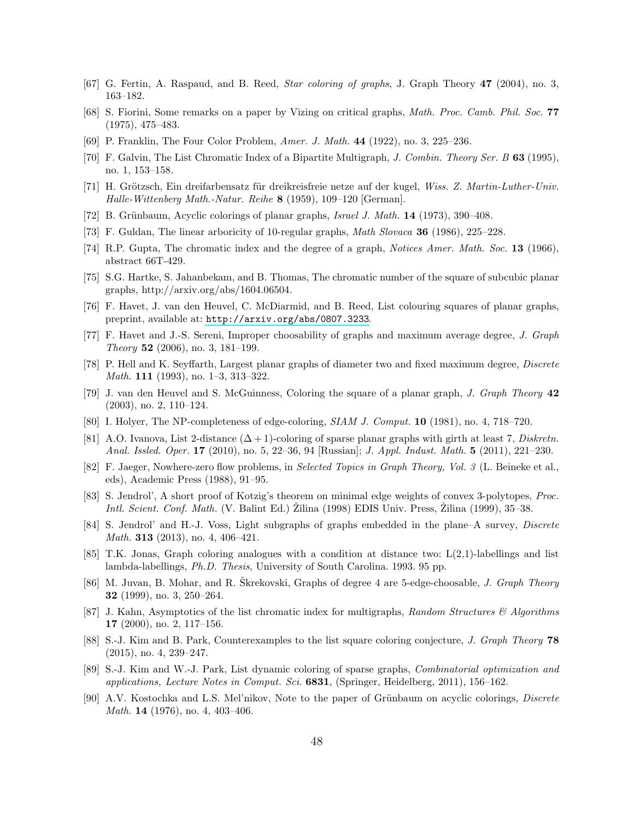- <span id="page-47-23"></span><span id="page-47-3"></span>[67] G. Fertin, A. Raspaud, and B. Reed, Star coloring of graphs, J. Graph Theory 47 (2004), no. 3, 163–182.
- <span id="page-47-15"></span>[68] S. Fiorini, Some remarks on a paper by Vizing on critical graphs, Math. Proc. Camb. Phil. Soc. 77 (1975), 475–483.
- <span id="page-47-22"></span>[69] P. Franklin, The Four Color Problem, Amer. J. Math. 44 (1922), no. 3, 225–236.
- <span id="page-47-9"></span>[70] F. Galvin, The List Chromatic Index of a Bipartite Multigraph, J. Combin. Theory Ser. B 63 (1995), no. 1, 153–158.
- <span id="page-47-2"></span>[71] H. Grötzsch, Ein dreifarbensatz für dreikreisfreie netze auf der kugel, Wiss. Z. Martin-Luther-Univ. Halle-Wittenberg Math.-Natur. Reihe 8 (1959), 109–120 [German].
- <span id="page-47-6"></span>[72] B. Grünbaum, Acyclic colorings of planar graphs, *Israel J. Math.* **14** (1973), 390–408.
- <span id="page-47-0"></span>[73] F. Guldan, The linear arboricity of 10-regular graphs, Math Slovaca 36 (1986), 225–228.
- <span id="page-47-12"></span>[74] R.P. Gupta, The chromatic index and the degree of a graph, Notices Amer. Math. Soc. 13 (1966), abstract 66T-429.
- <span id="page-47-17"></span>[75] S.G. Hartke, S. Jahanbekam, and B. Thomas, The chromatic number of the square of subcubic planar graphs, http://arxiv.org/abs/1604.06504.
- <span id="page-47-21"></span>[76] F. Havet, J. van den Heuvel, C. McDiarmid, and B. Reed, List colouring squares of planar graphs, preprint, available at: <http://arxiv.org/abs/0807.3233>.
- <span id="page-47-13"></span>[77] F. Havet and J.-S. Sereni, Improper choosability of graphs and maximum average degree, J. Graph Theory 52 (2006), no. 3, 181–199.
- <span id="page-47-14"></span>[78] P. Hell and K. Seyffarth, Largest planar graphs of diameter two and fixed maximum degree, Discrete Math. 111 (1993), no. 1–3, 313–322.
- <span id="page-47-18"></span>[79] J. van den Heuvel and S. McGuinness, Coloring the square of a planar graph, J. Graph Theory 42 (2003), no. 2, 110–124.
- <span id="page-47-11"></span>[80] I. Holyer, The NP-completeness of edge-coloring, SIAM J. Comput. 10 (1981), no. 4, 718–720.
- <span id="page-47-1"></span>[81] A.O. Ivanova, List 2-distance  $(\Delta + 1)$ -coloring of sparse planar graphs with girth at least 7, Diskretn. Anal. Issled. Oper. 17 (2010), no. 5, 22-36, 94 [Russian]; J. Appl. Indust. Math. 5 (2011), 221-230.
- <span id="page-47-5"></span>[82] F. Jaeger, Nowhere-zero flow problems, in Selected Topics in Graph Theory, Vol. 3 (L. Beineke et al., eds), Academic Press (1988), 91–95.
- <span id="page-47-4"></span>[83] S. Jendrol', A short proof of Kotzig's theorem on minimal edge weights of convex 3-polytopes, Proc. Intl. Scient. Conf. Math. (V. Balint Ed.) Žilina (1998) EDIS Univ. Press, Žilina (1999), 35–38.
- <span id="page-47-16"></span>[84] S. Jendrol' and H.-J. Voss, Light subgraphs of graphs embedded in the plane–A survey, Discrete Math. 313 (2013), no. 4, 406–421.
- <span id="page-47-20"></span>[85] T.K. Jonas, Graph coloring analogues with a condition at distance two: L(2,1)-labellings and list lambda-labellings, Ph.D. Thesis, University of South Carolina. 1993. 95 pp.
- <span id="page-47-19"></span>[86] M. Juvan, B. Mohar, and R. Skrekovski, Graphs of degree 4 are 5-edge-choosable, J. Graph Theory 32 (1999), no. 3, 250–264.
- <span id="page-47-10"></span>[87] J. Kahn, Asymptotics of the list chromatic index for multigraphs, Random Structures  $\mathcal{C}_{\mathcal{A}}$  Algorithms 17 (2000), no. 2, 117–156.
- <span id="page-47-7"></span>[88] S.-J. Kim and B. Park, Counterexamples to the list square coloring conjecture, J. Graph Theory 78 (2015), no. 4, 239–247.
- <span id="page-47-8"></span>[89] S.-J. Kim and W.-J. Park, List dynamic coloring of sparse graphs, Combinatorial optimization and applications, Lecture Notes in Comput. Sci. 6831, (Springer, Heidelberg, 2011), 156–162.
- [90] A.V. Kostochka and L.S. Mel'nikov, Note to the paper of Grünbaum on acyclic colorings, Discrete Math. **14** (1976), no. 4, 403-406.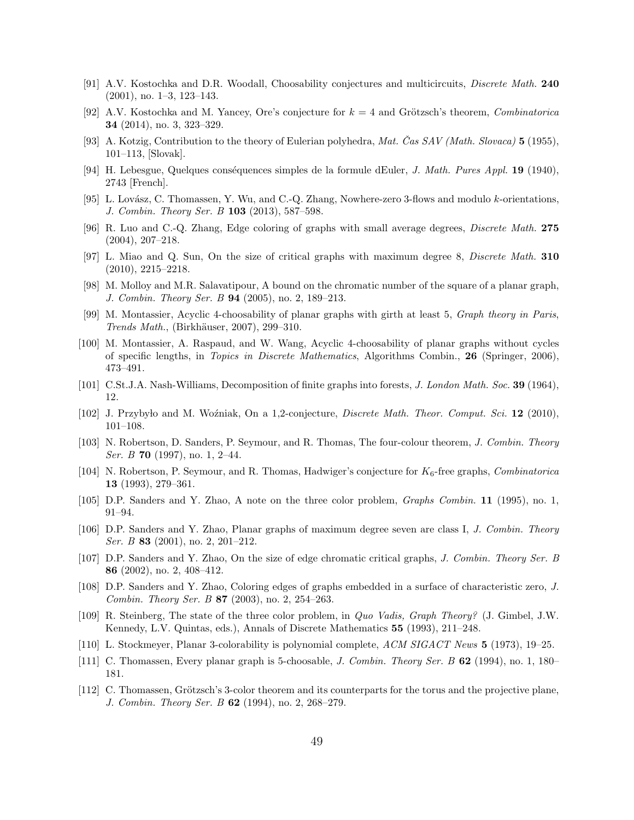- <span id="page-48-15"></span><span id="page-48-9"></span>[91] A.V. Kostochka and D.R. Woodall, Choosability conjectures and multicircuits, Discrete Math. 240 (2001), no. 1–3, 123–143.
- <span id="page-48-2"></span>[92] A.V. Kostochka and M. Yancey, Ore's conjecture for  $k = 4$  and Grötzsch's theorem, *Combinatorica* 34 (2014), no. 3, 323–329.
- <span id="page-48-13"></span>[93] A. Kotzig, Contribution to the theory of Eulerian polyhedra, Mat. Čas SAV (Math. Slovaca)  $\bf{5}$  (1955), 101–113, [Slovak].
- <span id="page-48-0"></span>[94] H. Lebesgue, Quelques conséquences simples de la formule dEuler, J. Math. Pures Appl. 19 (1940), 2743 [French].
- <span id="page-48-17"></span>[95] L. Lovász, C. Thomassen, Y. Wu, and C.-Q. Zhang, Nowhere-zero 3-flows and modulo k-orientations, J. Combin. Theory Ser. B 103 (2013), 587–598.
- <span id="page-48-18"></span>[96] R. Luo and C.-Q. Zhang, Edge coloring of graphs with small average degrees, Discrete Math. 275 (2004), 207–218.
- <span id="page-48-16"></span>[97] L. Miao and Q. Sun, On the size of critical graphs with maximum degree 8, Discrete Math. 310 (2010), 2215–2218.
- <span id="page-48-5"></span>[98] M. Molloy and M.R. Salavatipour, A bound on the chromatic number of the square of a planar graph, J. Combin. Theory Ser. B 94 (2005), no. 2, 189–213.
- <span id="page-48-4"></span>[99] M. Montassier, Acyclic 4-choosability of planar graphs with girth at least 5, Graph theory in Paris, Trends Math., (Birkhäuser, 2007), 299–310.
- [100] M. Montassier, A. Raspaud, and W. Wang, Acyclic 4-choosability of planar graphs without cycles of specific lengths, in Topics in Discrete Mathematics, Algorithms Combin., 26 (Springer, 2006), 473–491.
- <span id="page-48-3"></span><span id="page-48-1"></span>[101] C.St.J.A. Nash-Williams, Decomposition of finite graphs into forests, J. London Math. Soc. 39 (1964), 12.
- <span id="page-48-6"></span>[102] J. Przybyło and M. Woźniak, On a 1,2-conjecture, *Discrete Math. Theor. Comput. Sci.* 12 (2010), 101–108.
- <span id="page-48-7"></span>[103] N. Robertson, D. Sanders, P. Seymour, and R. Thomas, The four-colour theorem, J. Combin. Theory *Ser. B* 70 (1997), no. 1, 2–44.
- <span id="page-48-12"></span>[104] N. Robertson, P. Seymour, and R. Thomas, Hadwiger's conjecture for  $K_6$ -free graphs, *Combinatorica* 13 (1993), 279–361.
- <span id="page-48-19"></span>[105] D.P. Sanders and Y. Zhao, A note on the three color problem, Graphs Combin. 11 (1995), no. 1, 91–94.
- <span id="page-48-21"></span>[106] D.P. Sanders and Y. Zhao, Planar graphs of maximum degree seven are class I, J. Combin. Theory Ser. B 83 (2001), no. 2, 201-212.
- <span id="page-48-20"></span>[107] D.P. Sanders and Y. Zhao, On the size of edge chromatic critical graphs, J. Combin. Theory Ser. B 86 (2002), no. 2, 408–412.
- <span id="page-48-11"></span>[108] D.P. Sanders and Y. Zhao, Coloring edges of graphs embedded in a surface of characteristic zero, J. Combin. Theory Ser. B 87 (2003), no. 2, 254–263.
- <span id="page-48-8"></span>[109] R. Steinberg, The state of the three color problem, in Quo Vadis, Graph Theory? (J. Gimbel, J.W. Kennedy, L.V. Quintas, eds.), Annals of Discrete Mathematics 55 (1993), 211–248.
- <span id="page-48-14"></span>[110] L. Stockmeyer, Planar 3-colorability is polynomial complete, ACM SIGACT News 5 (1973), 19–25.
- <span id="page-48-10"></span>[111] C. Thomassen, Every planar graph is 5-choosable, J. Combin. Theory Ser. B 62 (1994), no. 1, 180– 181.
- [112] C. Thomassen, Grötzsch's 3-color theorem and its counterparts for the torus and the projective plane, J. Combin. Theory Ser. B 62 (1994), no. 2, 268–279.